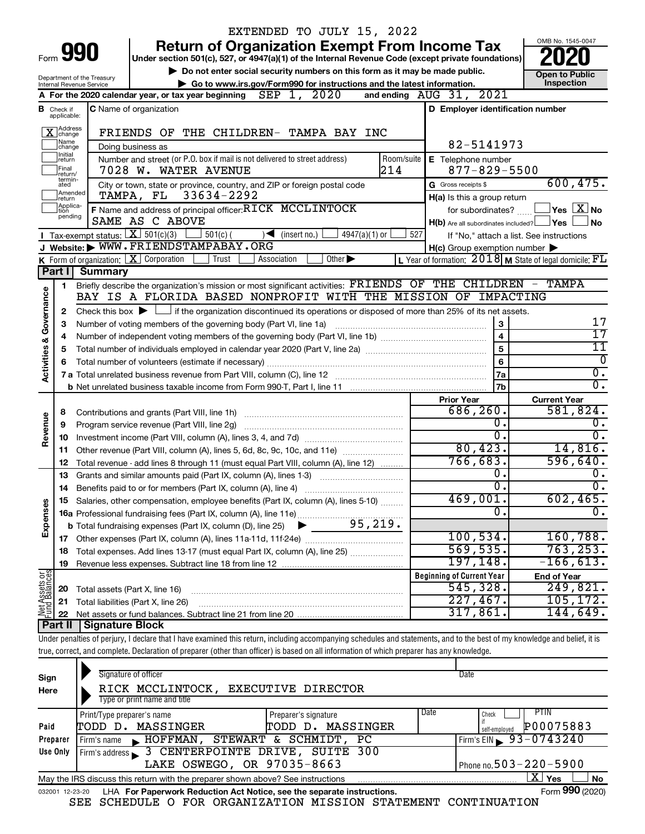|                                |                             |                                                        | EXTENDED TO JULY 15, 2022                                                                                                                                                  |                |                                                     |                                                                  |  |  |  |  |
|--------------------------------|-----------------------------|--------------------------------------------------------|----------------------------------------------------------------------------------------------------------------------------------------------------------------------------|----------------|-----------------------------------------------------|------------------------------------------------------------------|--|--|--|--|
|                                |                             |                                                        | <b>Return of Organization Exempt From Income Tax</b>                                                                                                                       |                |                                                     | OMB No. 1545-0047                                                |  |  |  |  |
|                                |                             | Form <b>990</b>                                        | Under section 501(c), 527, or 4947(a)(1) of the Internal Revenue Code (except private foundations)                                                                         |                |                                                     |                                                                  |  |  |  |  |
|                                |                             |                                                        | Do not enter social security numbers on this form as it may be made public.                                                                                                |                |                                                     | <b>Open to Public</b>                                            |  |  |  |  |
|                                |                             | Department of the Treasury<br>Internal Revenue Service | Go to www.irs.gov/Form990 for instructions and the latest information.                                                                                                     |                |                                                     | Inspection                                                       |  |  |  |  |
|                                |                             |                                                        | SEP 1, 2020<br>A For the 2020 calendar year, or tax year beginning                                                                                                         |                | and ending AUG 31, 2021                             |                                                                  |  |  |  |  |
| в                              | Check if<br>applicable:     |                                                        | <b>C</b> Name of organization                                                                                                                                              |                | D Employer identification number                    |                                                                  |  |  |  |  |
|                                | Address<br>Change           |                                                        | FRIENDS OF THE CHILDREN- TAMPA BAY INC                                                                                                                                     |                |                                                     |                                                                  |  |  |  |  |
|                                | Name<br> change<br>Ilnitial |                                                        | Doing business as                                                                                                                                                          |                | 82-5141973                                          |                                                                  |  |  |  |  |
|                                | return<br> Final<br>return/ |                                                        | Number and street (or P.O. box if mail is not delivered to street address)<br>214<br>7028 W. WATER AVENUE                                                                  | Room/suite     | E Telephone number<br>$877 - 829 - 5500$            |                                                                  |  |  |  |  |
|                                | termin-<br>ated             |                                                        | City or town, state or province, country, and ZIP or foreign postal code                                                                                                   |                | G Gross receipts \$                                 | 600, 475.                                                        |  |  |  |  |
|                                | Amended<br>Ireturn          |                                                        | TAMPA, FL<br>33634-2292                                                                                                                                                    |                | H(a) Is this a group return                         |                                                                  |  |  |  |  |
|                                | Applica-<br>ltion           |                                                        | F Name and address of principal officer: RICK MCCLINTOCK                                                                                                                   |                | for subordinates?                                   | $ {\mathsf Y}{\mathsf e}{\mathsf s} \mid \overline{{\rm X}} $ No |  |  |  |  |
|                                | pending                     |                                                        | SAME AS C ABOVE                                                                                                                                                            |                | $H(b)$ Are all subordinates included? $\Box$ Yes    | No                                                               |  |  |  |  |
|                                |                             |                                                        | <b>I</b> Tax-exempt status: $X \overline{X}$ 501(c)(3)<br>$501(c)$ (<br>$\sqrt{\frac{1}{1}}$ (insert no.)<br>$4947(a)(1)$ or                                               | 527            |                                                     | If "No," attach a list. See instructions                         |  |  |  |  |
|                                |                             |                                                        | J Website: WWW.FRIENDSTAMPABAY.ORG                                                                                                                                         |                | $H(c)$ Group exemption number $\blacktriangleright$ |                                                                  |  |  |  |  |
|                                |                             |                                                        | <b>K</b> Form of organization: $\boxed{\mathbf{X}}$ Corporation<br>Trust<br>Other $\blacktriangleright$<br>Association                                                     |                |                                                     | L Year of formation: $2018$ M State of legal domicile: $FL$      |  |  |  |  |
|                                | Part I                      | <b>Summary</b>                                         |                                                                                                                                                                            |                |                                                     |                                                                  |  |  |  |  |
|                                | 1                           |                                                        | Briefly describe the organization's mission or most significant activities: FRIENDS OF THE CHILDREN - TAMPA                                                                |                |                                                     |                                                                  |  |  |  |  |
| Governance                     |                             |                                                        | BAY IS A FLORIDA BASED NONPROFIT WITH THE MISSION OF IMPACTING                                                                                                             |                |                                                     |                                                                  |  |  |  |  |
|                                | 2                           |                                                        | Check this box $\blacktriangleright$ $\Box$ if the organization discontinued its operations or disposed of more than 25% of its net assets.                                |                |                                                     |                                                                  |  |  |  |  |
|                                | з                           |                                                        | Number of voting members of the governing body (Part VI, line 1a)                                                                                                          |                |                                                     | 17                                                               |  |  |  |  |
|                                | 4                           | $\overline{\mathbf{4}}$                                |                                                                                                                                                                            |                |                                                     |                                                                  |  |  |  |  |
|                                | 5                           | 5                                                      |                                                                                                                                                                            |                |                                                     |                                                                  |  |  |  |  |
|                                |                             |                                                        |                                                                                                                                                                            | $6\phantom{a}$ | 0                                                   |                                                                  |  |  |  |  |
| <b>Activities &amp;</b>        |                             |                                                        |                                                                                                                                                                            |                | 7a                                                  | $\overline{0}$ .                                                 |  |  |  |  |
|                                |                             |                                                        |                                                                                                                                                                            |                | 7b                                                  | σ.                                                               |  |  |  |  |
|                                |                             |                                                        |                                                                                                                                                                            |                | <b>Prior Year</b>                                   | <b>Current Year</b>                                              |  |  |  |  |
|                                | 8                           |                                                        | Contributions and grants (Part VIII, line 1h)                                                                                                                              |                | 686, 260.                                           | 581,824.                                                         |  |  |  |  |
|                                | 9                           |                                                        | Program service revenue (Part VIII, line 2g)                                                                                                                               |                | 0.                                                  | Ο.                                                               |  |  |  |  |
| Revenue                        | 10                          |                                                        |                                                                                                                                                                            |                | σ.                                                  | 0.                                                               |  |  |  |  |
|                                | 11                          |                                                        | Other revenue (Part VIII, column (A), lines 5, 6d, 8c, 9c, 10c, and 11e)                                                                                                   |                | 80, 423.                                            | 14,816.                                                          |  |  |  |  |
|                                | 12                          |                                                        | Total revenue - add lines 8 through 11 (must equal Part VIII, column (A), line 12)                                                                                         |                | 766, 683.                                           | 596,640.                                                         |  |  |  |  |
|                                | 13                          |                                                        | Grants and similar amounts paid (Part IX, column (A), lines 1-3)                                                                                                           |                | 0.                                                  | 0.                                                               |  |  |  |  |
|                                | 14                          |                                                        | Benefits paid to or for members (Part IX, column (A), line 4)                                                                                                              |                | $\overline{0}$ .                                    | Ο.                                                               |  |  |  |  |
|                                |                             |                                                        | Salaries, other compensation, employee benefits (Part IX, column (A), lines 5-10)                                                                                          |                | 469,001.                                            | 602, 465.                                                        |  |  |  |  |
| Expenses                       |                             |                                                        |                                                                                                                                                                            |                | 0.                                                  | $\overline{0}$ .                                                 |  |  |  |  |
|                                |                             |                                                        |                                                                                                                                                                            |                |                                                     |                                                                  |  |  |  |  |
|                                |                             |                                                        |                                                                                                                                                                            |                | 100,534.                                            | 160, 788.                                                        |  |  |  |  |
|                                | 18                          |                                                        | Total expenses. Add lines 13-17 (must equal Part IX, column (A), line 25)                                                                                                  |                | 569, 535.                                           | 763, 253.                                                        |  |  |  |  |
|                                | 19                          |                                                        |                                                                                                                                                                            |                | 197,148.                                            | $-166,613.$                                                      |  |  |  |  |
|                                |                             |                                                        |                                                                                                                                                                            |                | <b>Beginning of Current Year</b>                    | <b>End of Year</b>                                               |  |  |  |  |
|                                | 20                          | Total assets (Part X, line 16)                         |                                                                                                                                                                            |                | 545,328.                                            | 249,821.                                                         |  |  |  |  |
|                                | 21                          |                                                        | Total liabilities (Part X, line 26)                                                                                                                                        |                | 227,467.                                            | 105, 172.                                                        |  |  |  |  |
| Net Assets or<br>Fund Balances | 22                          |                                                        |                                                                                                                                                                            |                | 317,861                                             | 144,649.                                                         |  |  |  |  |
|                                | <b>Part II</b>              | <b>Signature Block</b>                                 |                                                                                                                                                                            |                |                                                     |                                                                  |  |  |  |  |
|                                |                             |                                                        | Under penalties of perjury, I declare that I have examined this return, including accompanying schedules and statements, and to the best of my knowledge and belief, it is |                |                                                     |                                                                  |  |  |  |  |
|                                |                             |                                                        | true, correct, and complete. Declaration of preparer (other than officer) is based on all information of which preparer has any knowledge.                                 |                |                                                     |                                                                  |  |  |  |  |
|                                |                             |                                                        |                                                                                                                                                                            |                |                                                     |                                                                  |  |  |  |  |
| Sign                           |                             |                                                        | Signature of officer                                                                                                                                                       |                | Date                                                |                                                                  |  |  |  |  |
|                                |                             |                                                        | RICK MCCLINTOCK EXECUTIVE DIRECTOR                                                                                                                                         |                |                                                     |                                                                  |  |  |  |  |

| Here                                                                                                      | RICK MCCLINTOCK, EXECUTIVE DIRECTOR                                                                          |                      |                                |  |  |  |  |  |  |
|-----------------------------------------------------------------------------------------------------------|--------------------------------------------------------------------------------------------------------------|----------------------|--------------------------------|--|--|--|--|--|--|
|                                                                                                           | Type or print name and title                                                                                 |                      |                                |  |  |  |  |  |  |
|                                                                                                           | Print/Type preparer's name                                                                                   | Preparer's signature | Date<br>PTIN<br>Check          |  |  |  |  |  |  |
| Paid                                                                                                      | TODD D. MASSINGER                                                                                            | TODD D. MASSINGER    | P00075883<br>self-employed     |  |  |  |  |  |  |
| Preparer                                                                                                  | HOFFMAN, STEWART & SCHMIDT, PC<br>Firm's name                                                                |                      | Firm's EIN $\sqrt{93-0743240}$ |  |  |  |  |  |  |
| Use Only                                                                                                  | Firm's address 3 CENTERPOINTE DRIVE, SUITE 300                                                               |                      |                                |  |  |  |  |  |  |
|                                                                                                           | LAKE OSWEGO, OR 97035-8663<br>Phone no. $503 - 220 - 5900$                                                   |                      |                                |  |  |  |  |  |  |
| ΧI<br><b>No</b><br>Yes<br>May the IRS discuss this return with the preparer shown above? See instructions |                                                                                                              |                      |                                |  |  |  |  |  |  |
|                                                                                                           | Form 990 (2020)<br>LHA For Paperwork Reduction Act Notice, see the separate instructions.<br>032001 12-23-20 |                      |                                |  |  |  |  |  |  |

SEE SCHEDULE O FOR ORGANIZATION MISSION STATEMENT CONTINUATION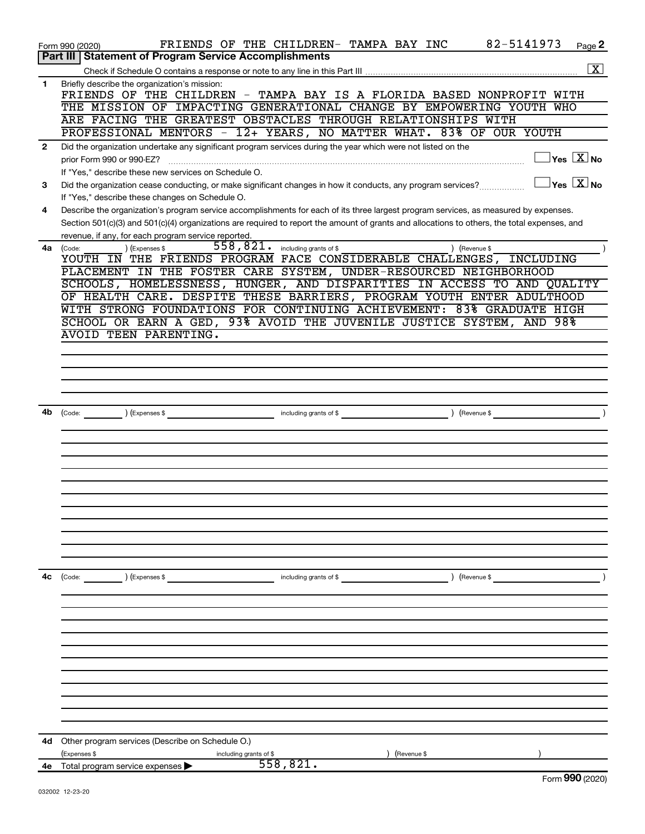|              | 82-5141973<br>FRIENDS OF THE CHILDREN- TAMPA BAY INC<br>Form 990 (2020)                                                                      | Page 2                                                |
|--------------|----------------------------------------------------------------------------------------------------------------------------------------------|-------------------------------------------------------|
|              | Part III   Statement of Program Service Accomplishments                                                                                      |                                                       |
|              |                                                                                                                                              | $\boxed{\text{X}}$                                    |
| 1            | Briefly describe the organization's mission:<br>FRIENDS OF THE CHILDREN - TAMPA BAY IS A FLORIDA BASED NONPROFIT WITH                        |                                                       |
|              | THE MISSION OF IMPACTING GENERATIONAL CHANGE BY EMPOWERING YOUTH WHO                                                                         |                                                       |
|              | ARE FACING THE GREATEST OBSTACLES THROUGH RELATIONSHIPS WITH                                                                                 |                                                       |
|              | PROFESSIONAL MENTORS - 12+ YEARS, NO MATTER WHAT. 83% OF OUR YOUTH                                                                           |                                                       |
| $\mathbf{2}$ | Did the organization undertake any significant program services during the year which were not listed on the                                 |                                                       |
|              | prior Form 990 or 990-EZ?                                                                                                                    | $\overline{\mathbf{y}}$ es $\overline{\mathbf{X}}$ No |
|              | If "Yes," describe these new services on Schedule O.                                                                                         |                                                       |
| 3            | Did the organization cease conducting, or make significant changes in how it conducts, any program services?                                 | $\Box$ Yes $[\overline{\mathrm{X}}]$ No               |
|              | If "Yes," describe these changes on Schedule O.                                                                                              |                                                       |
| 4            | Describe the organization's program service accomplishments for each of its three largest program services, as measured by expenses.         |                                                       |
|              | Section 501(c)(3) and 501(c)(4) organizations are required to report the amount of grants and allocations to others, the total expenses, and |                                                       |
| 4a           | revenue, if any, for each program service reported.<br>$558,821$ . including grants of \$<br>) (Revenue \$<br>(Expenses \$<br>(Code:         |                                                       |
|              | YOUTH IN THE FRIENDS PROGRAM FACE CONSIDERABLE CHALLENGES, INCLUDING                                                                         |                                                       |
|              | PLACEMENT IN THE FOSTER CARE SYSTEM, UNDER-RESOURCED NEIGHBORHOOD                                                                            |                                                       |
|              | SCHOOLS, HOMELESSNESS, HUNGER, AND DISPARITIES IN ACCESS TO AND QUALITY                                                                      |                                                       |
|              | OF HEALTH CARE. DESPITE THESE BARRIERS, PROGRAM YOUTH ENTER ADULTHOOD                                                                        |                                                       |
|              | WITH STRONG FOUNDATIONS FOR CONTINUING ACHIEVEMENT: 83% GRADUATE HIGH                                                                        |                                                       |
|              | SCHOOL OR EARN A GED, 93% AVOID THE JUVENILE JUSTICE SYSTEM, AND 98%                                                                         |                                                       |
|              | AVOID TEEN PARENTING.                                                                                                                        |                                                       |
|              |                                                                                                                                              |                                                       |
|              |                                                                                                                                              |                                                       |
|              |                                                                                                                                              |                                                       |
|              |                                                                                                                                              |                                                       |
| 4b           | $\frac{1}{2}$ (Code: $\frac{1}{2}$ ) (Expenses \$                                                                                            |                                                       |
|              |                                                                                                                                              |                                                       |
|              |                                                                                                                                              |                                                       |
|              |                                                                                                                                              |                                                       |
|              |                                                                                                                                              |                                                       |
|              |                                                                                                                                              |                                                       |
|              |                                                                                                                                              |                                                       |
|              |                                                                                                                                              |                                                       |
|              |                                                                                                                                              |                                                       |
|              |                                                                                                                                              |                                                       |
|              |                                                                                                                                              |                                                       |
|              |                                                                                                                                              |                                                       |
| 4c           | (Code: ) (Expenses \$<br>including grants of \$<br>) (Revenue \$                                                                             |                                                       |
|              |                                                                                                                                              |                                                       |
|              |                                                                                                                                              |                                                       |
|              |                                                                                                                                              |                                                       |
|              |                                                                                                                                              |                                                       |
|              |                                                                                                                                              |                                                       |
|              |                                                                                                                                              |                                                       |
|              |                                                                                                                                              |                                                       |
|              |                                                                                                                                              |                                                       |
|              |                                                                                                                                              |                                                       |
|              |                                                                                                                                              |                                                       |
|              |                                                                                                                                              |                                                       |
| 4d           | Other program services (Describe on Schedule O.)<br>(Expenses \$<br>(Revenue \$<br>including grants of \$                                    |                                                       |
| 4e           | 558,821.<br>Total program service expenses                                                                                                   |                                                       |
|              |                                                                                                                                              | Form 990 (2020)                                       |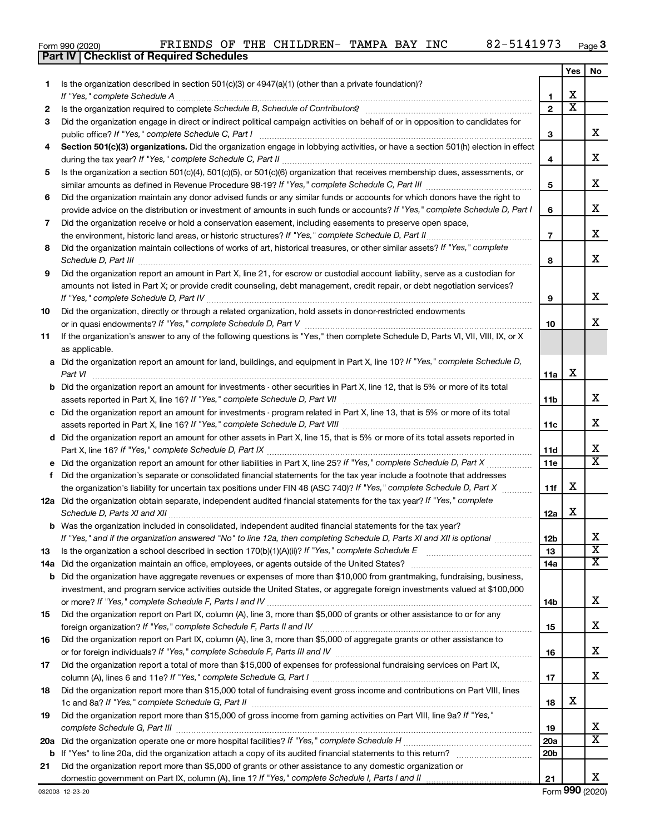| Form 990 (2020) | FRIENDS OF T                                     |  |
|-----------------|--------------------------------------------------|--|
|                 | <b>Part IV   Checklist of Required Schedules</b> |  |

|     |                                                                                                                                                         |                 | Yes | No                         |
|-----|---------------------------------------------------------------------------------------------------------------------------------------------------------|-----------------|-----|----------------------------|
| 1.  | Is the organization described in section $501(c)(3)$ or $4947(a)(1)$ (other than a private foundation)?                                                 |                 |     |                            |
|     | If "Yes," complete Schedule A                                                                                                                           | 1               | x   |                            |
| 2   |                                                                                                                                                         | $\mathbf{2}$    | х   |                            |
| 3   | Did the organization engage in direct or indirect political campaign activities on behalf of or in opposition to candidates for                         |                 |     |                            |
|     | public office? If "Yes," complete Schedule C, Part I                                                                                                    | з               |     | x                          |
| 4   | Section 501(c)(3) organizations. Did the organization engage in lobbying activities, or have a section 501(h) election in effect                        | 4               |     | x                          |
| 5   | Is the organization a section 501(c)(4), 501(c)(5), or 501(c)(6) organization that receives membership dues, assessments, or                            |                 |     |                            |
|     |                                                                                                                                                         | 5               |     | x                          |
| 6   | Did the organization maintain any donor advised funds or any similar funds or accounts for which donors have the right to                               |                 |     |                            |
|     | provide advice on the distribution or investment of amounts in such funds or accounts? If "Yes," complete Schedule D, Part I                            | 6               |     | x                          |
| 7   | Did the organization receive or hold a conservation easement, including easements to preserve open space,                                               |                 |     |                            |
|     | the environment, historic land areas, or historic structures? If "Yes," complete Schedule D, Part II                                                    | $\overline{7}$  |     | X.                         |
| 8   | Did the organization maintain collections of works of art, historical treasures, or other similar assets? If "Yes," complete                            | 8               |     | x                          |
| 9   | Did the organization report an amount in Part X, line 21, for escrow or custodial account liability, serve as a custodian for                           |                 |     |                            |
|     | amounts not listed in Part X; or provide credit counseling, debt management, credit repair, or debt negotiation services?                               |                 |     |                            |
|     |                                                                                                                                                         | 9               |     | x                          |
| 10  | Did the organization, directly or through a related organization, hold assets in donor-restricted endowments                                            |                 |     |                            |
|     |                                                                                                                                                         | 10              |     | x                          |
| 11  | If the organization's answer to any of the following questions is "Yes," then complete Schedule D, Parts VI, VII, VIII, IX, or X<br>as applicable.      |                 |     |                            |
|     | a Did the organization report an amount for land, buildings, and equipment in Part X, line 10? If "Yes," complete Schedule D,                           |                 |     |                            |
|     | Part VI                                                                                                                                                 | 11a             | x   |                            |
| b   | Did the organization report an amount for investments - other securities in Part X, line 12, that is 5% or more of its total                            |                 |     |                            |
|     |                                                                                                                                                         | 11b             |     | X.                         |
| c   | Did the organization report an amount for investments - program related in Part X, line 13, that is 5% or more of its total                             |                 |     |                            |
|     |                                                                                                                                                         | 11c             |     | X.                         |
|     | d Did the organization report an amount for other assets in Part X, line 15, that is 5% or more of its total assets reported in                         |                 |     |                            |
|     |                                                                                                                                                         | 11d             |     | х                          |
|     |                                                                                                                                                         | 11e             |     | X                          |
| f   | Did the organization's separate or consolidated financial statements for the tax year include a footnote that addresses                                 |                 | x   |                            |
|     | the organization's liability for uncertain tax positions under FIN 48 (ASC 740)? If "Yes," complete Schedule D, Part X                                  | 11f             |     |                            |
|     | 12a Did the organization obtain separate, independent audited financial statements for the tax year? If "Yes," complete<br>Schedule D, Parts XI and XII | 12a             | x   |                            |
|     | <b>b</b> Was the organization included in consolidated, independent audited financial statements for the tax year?                                      |                 |     |                            |
|     | If "Yes," and if the organization answered "No" to line 12a, then completing Schedule D, Parts XI and XII is optional <i>www</i> .                      | 12 <sub>b</sub> |     | х<br>$\overline{\text{x}}$ |
| 13  |                                                                                                                                                         | 13              |     | x                          |
| 14a | Did the organization maintain an office, employees, or agents outside of the United States?                                                             | 14a             |     |                            |
| b   | Did the organization have aggregate revenues or expenses of more than \$10,000 from grantmaking, fundraising, business,                                 |                 |     |                            |
|     | investment, and program service activities outside the United States, or aggregate foreign investments valued at \$100,000                              | 14b             |     | X.                         |
| 15  | Did the organization report on Part IX, column (A), line 3, more than \$5,000 of grants or other assistance to or for any                               |                 |     |                            |
|     |                                                                                                                                                         | 15              |     | x                          |
| 16  | Did the organization report on Part IX, column (A), line 3, more than \$5,000 of aggregate grants or other assistance to                                |                 |     |                            |
|     |                                                                                                                                                         | 16              |     | x                          |
| 17  | Did the organization report a total of more than \$15,000 of expenses for professional fundraising services on Part IX,                                 |                 |     |                            |
|     |                                                                                                                                                         | 17              |     | x                          |
| 18  | Did the organization report more than \$15,000 total of fundraising event gross income and contributions on Part VIII, lines                            |                 |     |                            |
|     |                                                                                                                                                         | 18              | x   |                            |
| 19  | Did the organization report more than \$15,000 of gross income from gaming activities on Part VIII, line 9a? If "Yes,"                                  |                 |     |                            |
|     |                                                                                                                                                         | 19              |     | X                          |
| 20a |                                                                                                                                                         | 20a             |     | x                          |
| b   |                                                                                                                                                         | 20 <sub>b</sub> |     |                            |
| 21  | Did the organization report more than \$5,000 of grants or other assistance to any domestic organization or                                             |                 |     |                            |
|     |                                                                                                                                                         | 21              |     | x                          |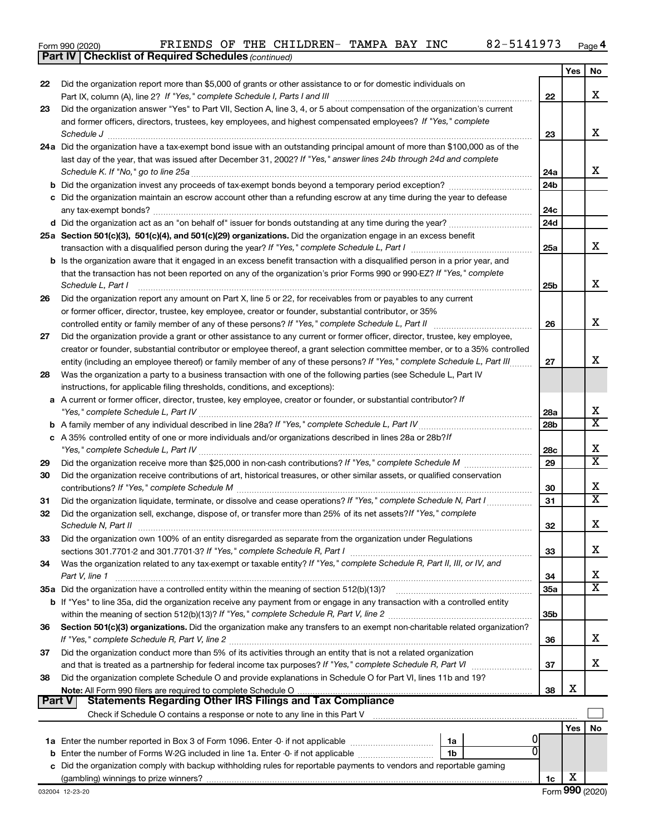|  | Form 990 (2020) |
|--|-----------------|
|  |                 |

*(continued)* **Part IV Checklist of Required Schedules**

|        |                                                                                                                                                                                                                                                            |                 | Yes | No                    |
|--------|------------------------------------------------------------------------------------------------------------------------------------------------------------------------------------------------------------------------------------------------------------|-----------------|-----|-----------------------|
| 22     | Did the organization report more than \$5,000 of grants or other assistance to or for domestic individuals on                                                                                                                                              |                 |     |                       |
|        |                                                                                                                                                                                                                                                            | 22              |     | X                     |
| 23     | Did the organization answer "Yes" to Part VII, Section A, line 3, 4, or 5 about compensation of the organization's current                                                                                                                                 |                 |     |                       |
|        | and former officers, directors, trustees, key employees, and highest compensated employees? If "Yes," complete                                                                                                                                             |                 |     |                       |
|        |                                                                                                                                                                                                                                                            | 23              |     | х                     |
|        | 24a Did the organization have a tax-exempt bond issue with an outstanding principal amount of more than \$100,000 as of the                                                                                                                                |                 |     |                       |
|        | last day of the year, that was issued after December 31, 2002? If "Yes," answer lines 24b through 24d and complete                                                                                                                                         |                 |     |                       |
|        |                                                                                                                                                                                                                                                            | 24a             |     | х                     |
|        |                                                                                                                                                                                                                                                            | 24 <sub>b</sub> |     |                       |
|        | c Did the organization maintain an escrow account other than a refunding escrow at any time during the year to defease                                                                                                                                     |                 |     |                       |
|        |                                                                                                                                                                                                                                                            | 24c             |     |                       |
|        |                                                                                                                                                                                                                                                            | 24d             |     |                       |
|        | 25a Section 501(c)(3), 501(c)(4), and 501(c)(29) organizations. Did the organization engage in an excess benefit                                                                                                                                           |                 |     |                       |
|        |                                                                                                                                                                                                                                                            | 25a             |     | х                     |
|        | <b>b</b> Is the organization aware that it engaged in an excess benefit transaction with a disqualified person in a prior year, and                                                                                                                        |                 |     |                       |
|        | that the transaction has not been reported on any of the organization's prior Forms 990 or 990-EZ? If "Yes," complete                                                                                                                                      |                 |     | х                     |
|        | Schedule L, Part I                                                                                                                                                                                                                                         | 25b             |     |                       |
| 26     | Did the organization report any amount on Part X, line 5 or 22, for receivables from or payables to any current                                                                                                                                            |                 |     |                       |
|        | or former officer, director, trustee, key employee, creator or founder, substantial contributor, or 35%                                                                                                                                                    |                 |     | х                     |
|        |                                                                                                                                                                                                                                                            | 26              |     |                       |
| 27     | Did the organization provide a grant or other assistance to any current or former officer, director, trustee, key employee,<br>creator or founder, substantial contributor or employee thereof, a grant selection committee member, or to a 35% controlled |                 |     |                       |
|        | entity (including an employee thereof) or family member of any of these persons? If "Yes," complete Schedule L, Part III                                                                                                                                   | 27              |     | х                     |
| 28     | Was the organization a party to a business transaction with one of the following parties (see Schedule L, Part IV                                                                                                                                          |                 |     |                       |
|        | instructions, for applicable filing thresholds, conditions, and exceptions):                                                                                                                                                                               |                 |     |                       |
| а      | A current or former officer, director, trustee, key employee, creator or founder, or substantial contributor? If                                                                                                                                           |                 |     |                       |
|        |                                                                                                                                                                                                                                                            | 28a             |     | х                     |
| b      |                                                                                                                                                                                                                                                            | 28 <sub>b</sub> |     | $\overline{\text{x}}$ |
|        | c A 35% controlled entity of one or more individuals and/or organizations described in lines 28a or 28b?If                                                                                                                                                 |                 |     |                       |
|        |                                                                                                                                                                                                                                                            | 28c             |     | X                     |
| 29     |                                                                                                                                                                                                                                                            | 29              |     | $\overline{\text{x}}$ |
| 30     | Did the organization receive contributions of art, historical treasures, or other similar assets, or qualified conservation                                                                                                                                |                 |     |                       |
|        |                                                                                                                                                                                                                                                            | 30              |     | х                     |
| 31     | Did the organization liquidate, terminate, or dissolve and cease operations? If "Yes," complete Schedule N, Part I                                                                                                                                         | 31              |     | X                     |
| 32     | Did the organization sell, exchange, dispose of, or transfer more than 25% of its net assets? If "Yes," complete                                                                                                                                           |                 |     |                       |
|        | Schedule N, Part II                                                                                                                                                                                                                                        | 32              |     | х                     |
| 33     | Did the organization own 100% of an entity disregarded as separate from the organization under Regulations                                                                                                                                                 |                 |     |                       |
|        |                                                                                                                                                                                                                                                            | 33              |     | х                     |
| 34     | Was the organization related to any tax-exempt or taxable entity? If "Yes," complete Schedule R, Part II, III, or IV, and                                                                                                                                  |                 |     |                       |
|        | Part V, line 1                                                                                                                                                                                                                                             | 34              |     | х                     |
|        |                                                                                                                                                                                                                                                            | 35a             |     | $\overline{\text{X}}$ |
|        | b If "Yes" to line 35a, did the organization receive any payment from or engage in any transaction with a controlled entity                                                                                                                                |                 |     |                       |
|        |                                                                                                                                                                                                                                                            | 35 <sub>b</sub> |     |                       |
| 36     | Section 501(c)(3) organizations. Did the organization make any transfers to an exempt non-charitable related organization?                                                                                                                                 |                 |     |                       |
|        |                                                                                                                                                                                                                                                            | 36              |     | х                     |
| 37     | Did the organization conduct more than 5% of its activities through an entity that is not a related organization                                                                                                                                           |                 |     |                       |
|        | and that is treated as a partnership for federal income tax purposes? If "Yes," complete Schedule R, Part VI                                                                                                                                               | 37              |     | х                     |
| 38     | Did the organization complete Schedule O and provide explanations in Schedule O for Part VI, lines 11b and 19?                                                                                                                                             |                 |     |                       |
| Part V | <b>Statements Regarding Other IRS Filings and Tax Compliance</b>                                                                                                                                                                                           | 38              | х   |                       |
|        |                                                                                                                                                                                                                                                            |                 |     |                       |
|        |                                                                                                                                                                                                                                                            |                 |     |                       |
|        |                                                                                                                                                                                                                                                            |                 | Yes | No                    |
|        | 1a<br>1b                                                                                                                                                                                                                                                   |                 |     |                       |
|        | c Did the organization comply with backup withholding rules for reportable payments to vendors and reportable gaming                                                                                                                                       |                 |     |                       |
|        |                                                                                                                                                                                                                                                            | 1c              | х   |                       |
|        |                                                                                                                                                                                                                                                            |                 |     |                       |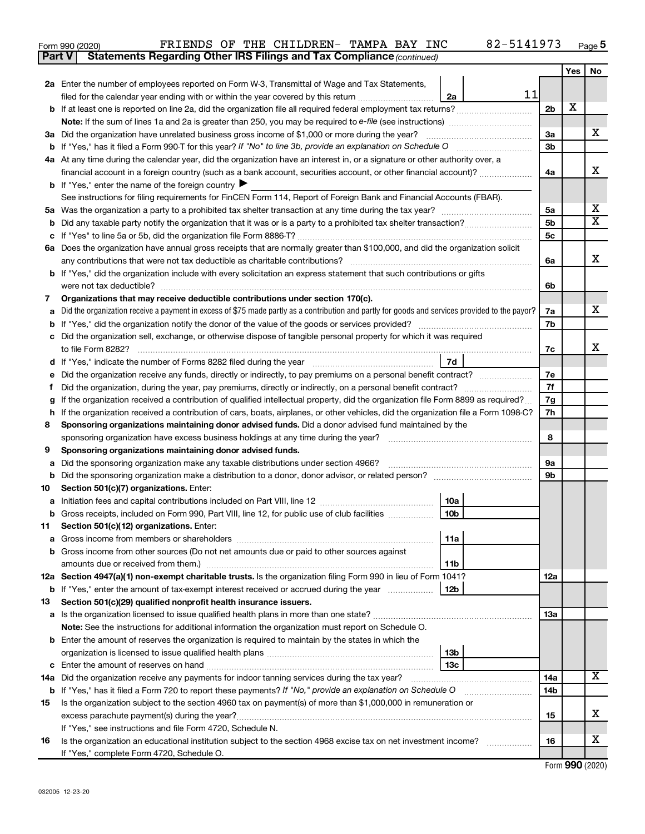| Form 990 (2020) |                                                                                     |  | FRIENDS OF THE CHILDREN- TAMPA BAY INC |  | 82-5141973 | Page |
|-----------------|-------------------------------------------------------------------------------------|--|----------------------------------------|--|------------|------|
|                 | <b>Part V</b> Statements Regarding Other IRS Filings and Tax Compliance (continued) |  |                                        |  |            |      |

|    |                                                                                                                                                              |                      | Yes | No                         |  |  |  |  |  |
|----|--------------------------------------------------------------------------------------------------------------------------------------------------------------|----------------------|-----|----------------------------|--|--|--|--|--|
|    | <b>2a</b> Enter the number of employees reported on Form W-3, Transmittal of Wage and Tax Statements,                                                        |                      |     |                            |  |  |  |  |  |
|    | 11<br>filed for the calendar year ending with or within the year covered by this return <i>[[[[[[[[[[[[[]]]]</i><br>2a                                       |                      | х   |                            |  |  |  |  |  |
|    | <b>b</b> If at least one is reported on line 2a, did the organization file all required federal employment tax returns?                                      |                      |     |                            |  |  |  |  |  |
|    |                                                                                                                                                              |                      |     |                            |  |  |  |  |  |
|    | 3a Did the organization have unrelated business gross income of \$1,000 or more during the year?                                                             |                      |     |                            |  |  |  |  |  |
|    |                                                                                                                                                              |                      |     |                            |  |  |  |  |  |
|    | 4a At any time during the calendar year, did the organization have an interest in, or a signature or other authority over, a                                 |                      |     |                            |  |  |  |  |  |
|    | financial account in a foreign country (such as a bank account, securities account, or other financial account)?                                             | 4a                   |     | х                          |  |  |  |  |  |
|    | <b>b</b> If "Yes," enter the name of the foreign country $\blacktriangleright$                                                                               |                      |     |                            |  |  |  |  |  |
|    | See instructions for filing requirements for FinCEN Form 114, Report of Foreign Bank and Financial Accounts (FBAR).                                          |                      |     |                            |  |  |  |  |  |
|    |                                                                                                                                                              | 5a<br>5 <sub>b</sub> |     | х<br>$\overline{\text{x}}$ |  |  |  |  |  |
| b  |                                                                                                                                                              | 5c                   |     |                            |  |  |  |  |  |
|    | 6a Does the organization have annual gross receipts that are normally greater than \$100,000, and did the organization solicit                               |                      |     |                            |  |  |  |  |  |
|    |                                                                                                                                                              | 6a                   |     | X                          |  |  |  |  |  |
|    | <b>b</b> If "Yes," did the organization include with every solicitation an express statement that such contributions or gifts                                |                      |     |                            |  |  |  |  |  |
|    | were not tax deductible?                                                                                                                                     | 6b                   |     |                            |  |  |  |  |  |
| 7  | Organizations that may receive deductible contributions under section 170(c).                                                                                |                      |     |                            |  |  |  |  |  |
| a  | Did the organization receive a payment in excess of \$75 made partly as a contribution and partly for goods and services provided to the payor?              | 7a                   |     | х                          |  |  |  |  |  |
| b  |                                                                                                                                                              | 7b                   |     |                            |  |  |  |  |  |
|    | c Did the organization sell, exchange, or otherwise dispose of tangible personal property for which it was required                                          |                      |     |                            |  |  |  |  |  |
|    |                                                                                                                                                              | 7с                   |     | x                          |  |  |  |  |  |
| d  | 7d                                                                                                                                                           |                      |     |                            |  |  |  |  |  |
| е  | Did the organization receive any funds, directly or indirectly, to pay premiums on a personal benefit contract?                                              |                      |     |                            |  |  |  |  |  |
| f  | Did the organization, during the year, pay premiums, directly or indirectly, on a personal benefit contract?                                                 |                      |     |                            |  |  |  |  |  |
| g  | If the organization received a contribution of qualified intellectual property, did the organization file Form 8899 as required?                             |                      |     |                            |  |  |  |  |  |
| h  | If the organization received a contribution of cars, boats, airplanes, or other vehicles, did the organization file a Form 1098-C?                           |                      |     |                            |  |  |  |  |  |
| 8  | Sponsoring organizations maintaining donor advised funds. Did a donor advised fund maintained by the                                                         |                      |     |                            |  |  |  |  |  |
|    |                                                                                                                                                              |                      |     |                            |  |  |  |  |  |
| 9  | Sponsoring organizations maintaining donor advised funds.                                                                                                    |                      |     |                            |  |  |  |  |  |
| а  | Did the sponsoring organization make any taxable distributions under section 4966?                                                                           | 9а                   |     |                            |  |  |  |  |  |
|    | b Did the sponsoring organization make a distribution to a donor, donor advisor, or related person? [111] [12]                                               | 9b                   |     |                            |  |  |  |  |  |
| 10 | Section 501(c)(7) organizations. Enter:                                                                                                                      |                      |     |                            |  |  |  |  |  |
| а  | 10a<br>10 <sub>b</sub><br>b Gross receipts, included on Form 990, Part VIII, line 12, for public use of club facilities                                      |                      |     |                            |  |  |  |  |  |
|    | 11 Section 501(c)(12) organizations. Enter:                                                                                                                  |                      |     |                            |  |  |  |  |  |
|    | 11a                                                                                                                                                          |                      |     |                            |  |  |  |  |  |
|    | <b>b</b> Gross income from other sources (Do not net amounts due or paid to other sources against                                                            |                      |     |                            |  |  |  |  |  |
|    | 11b                                                                                                                                                          |                      |     |                            |  |  |  |  |  |
|    | 12a Section 4947(a)(1) non-exempt charitable trusts. Is the organization filing Form 990 in lieu of Form 1041?                                               | 12a                  |     |                            |  |  |  |  |  |
|    | b If "Yes," enter the amount of tax-exempt interest received or accrued during the year<br>12b                                                               |                      |     |                            |  |  |  |  |  |
| 13 | Section 501(c)(29) qualified nonprofit health insurance issuers.                                                                                             |                      |     |                            |  |  |  |  |  |
|    |                                                                                                                                                              | 13a                  |     |                            |  |  |  |  |  |
|    | Note: See the instructions for additional information the organization must report on Schedule O.                                                            |                      |     |                            |  |  |  |  |  |
|    | <b>b</b> Enter the amount of reserves the organization is required to maintain by the states in which the                                                    |                      |     |                            |  |  |  |  |  |
|    | 13 <sub>b</sub>                                                                                                                                              |                      |     |                            |  |  |  |  |  |
|    | 13 <sub>c</sub>                                                                                                                                              |                      |     |                            |  |  |  |  |  |
|    | 14a Did the organization receive any payments for indoor tanning services during the tax year?                                                               | 14a                  |     | х                          |  |  |  |  |  |
|    | <b>b</b> If "Yes," has it filed a Form 720 to report these payments? If "No," provide an explanation on Schedule O                                           | 14b                  |     |                            |  |  |  |  |  |
| 15 | Is the organization subject to the section 4960 tax on payment(s) of more than \$1,000,000 in remuneration or                                                | 15                   |     | х                          |  |  |  |  |  |
|    | excess parachute payment(s) during the year?                                                                                                                 |                      |     |                            |  |  |  |  |  |
|    | If "Yes," see instructions and file Form 4720, Schedule N.                                                                                                   |                      |     | х                          |  |  |  |  |  |
| 16 | Is the organization an educational institution subject to the section 4968 excise tax on net investment income?<br>If "Yes," complete Form 4720, Schedule O. | 16                   |     |                            |  |  |  |  |  |
|    |                                                                                                                                                              |                      |     |                            |  |  |  |  |  |

Form (2020) **990**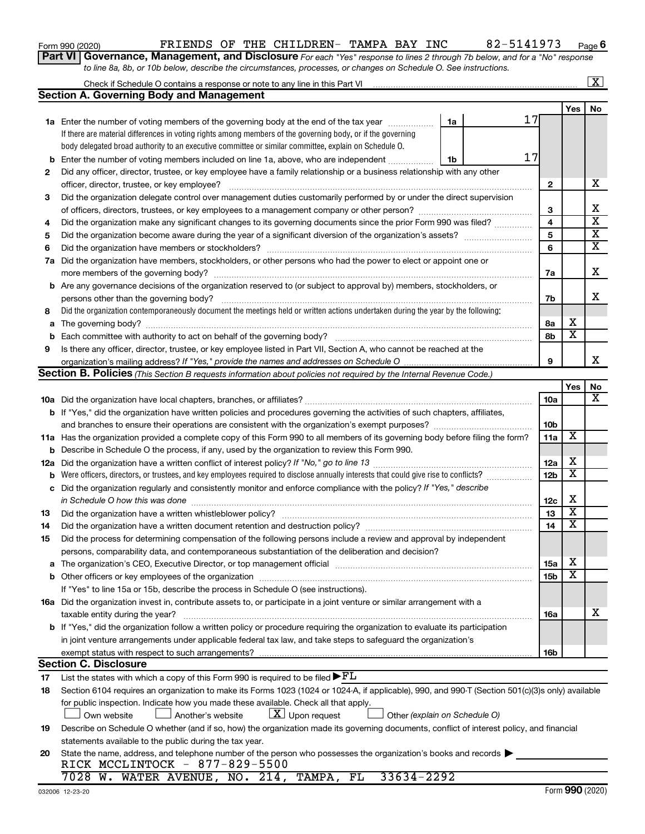## Form 990 (2020)  $\begin{array}{cccccccccccccc} \text{FT} & \text{F} & \text{F} & \text{F} & \text{F} & \text{F} & \text{F} & \text{F} & \text{F} & \text{F} & \text{F} & \text{F} & \text{F} & \text{F} & \text{F} & \text{F} & \text{F} & \text{F} & \text{F} & \text{F} & \text{F} & \text{F} & \text{F} & \text{F} & \text{F} & \text{F} & \text{F} & \text{F} & \text{F} & \text{F} & \text{F} & \text{F} & \text$

**6**

**Part VI** Governance, Management, and Disclosure For each "Yes" response to lines 2 through 7b below, and for a "No" response *to line 8a, 8b, or 10b below, describe the circumstances, processes, or changes on Schedule O. See instructions.*

|             | Check if Schedule O contains a response or note to any line in this Part VI                                                                                                                                                    |                 |                         | $\overline{\mathbf{x}}$ |
|-------------|--------------------------------------------------------------------------------------------------------------------------------------------------------------------------------------------------------------------------------|-----------------|-------------------------|-------------------------|
|             | <b>Section A. Governing Body and Management</b>                                                                                                                                                                                |                 |                         |                         |
|             |                                                                                                                                                                                                                                |                 | Yes                     | No                      |
|             | 17<br>1a Enter the number of voting members of the governing body at the end of the tax year<br>1a                                                                                                                             |                 |                         |                         |
|             | If there are material differences in voting rights among members of the governing body, or if the governing                                                                                                                    |                 |                         |                         |
|             | body delegated broad authority to an executive committee or similar committee, explain on Schedule O.                                                                                                                          |                 |                         |                         |
| b           | 17<br>Enter the number of voting members included on line 1a, above, who are independent<br>1b                                                                                                                                 |                 |                         |                         |
| 2           | Did any officer, director, trustee, or key employee have a family relationship or a business relationship with any other                                                                                                       |                 |                         |                         |
|             | officer, director, trustee, or key employee?                                                                                                                                                                                   | $\mathbf{2}$    |                         | х                       |
| 3           | Did the organization delegate control over management duties customarily performed by or under the direct supervision                                                                                                          |                 |                         |                         |
|             |                                                                                                                                                                                                                                | 3               |                         | х                       |
| 4           | Did the organization make any significant changes to its governing documents since the prior Form 990 was filed?                                                                                                               | 4               |                         | $\overline{\mathbf{x}}$ |
| 5           |                                                                                                                                                                                                                                | 5               |                         | $\overline{\mathbf{X}}$ |
| 6           |                                                                                                                                                                                                                                | 6               |                         | $\overline{\mathbf{x}}$ |
| 7a          | Did the organization have members, stockholders, or other persons who had the power to elect or appoint one or                                                                                                                 |                 |                         |                         |
|             |                                                                                                                                                                                                                                | 7a              |                         | X                       |
|             | <b>b</b> Are any governance decisions of the organization reserved to (or subject to approval by) members, stockholders, or                                                                                                    |                 |                         |                         |
|             | persons other than the governing body?                                                                                                                                                                                         | 7b              |                         | x                       |
| 8           | Did the organization contemporaneously document the meetings held or written actions undertaken during the year by the following:                                                                                              |                 |                         |                         |
| a           |                                                                                                                                                                                                                                | 8а              | х                       |                         |
| $\mathbf b$ |                                                                                                                                                                                                                                | 8b              | $\overline{\mathbf{x}}$ |                         |
| 9           | Is there any officer, director, trustee, or key employee listed in Part VII, Section A, who cannot be reached at the                                                                                                           |                 |                         |                         |
|             |                                                                                                                                                                                                                                | 9               |                         | x                       |
|             | Section B. Policies (This Section B requests information about policies not required by the Internal Revenue Code.)                                                                                                            |                 |                         |                         |
|             |                                                                                                                                                                                                                                |                 | Yes                     | No                      |
|             |                                                                                                                                                                                                                                | 10a             |                         | х                       |
|             | b If "Yes," did the organization have written policies and procedures governing the activities of such chapters, affiliates,                                                                                                   |                 |                         |                         |
|             |                                                                                                                                                                                                                                | 10 <sub>b</sub> |                         |                         |
|             | 11a Has the organization provided a complete copy of this Form 990 to all members of its governing body before filing the form?                                                                                                | 11a             | X                       |                         |
| b           | Describe in Schedule O the process, if any, used by the organization to review this Form 990.                                                                                                                                  |                 |                         |                         |
| 12a         |                                                                                                                                                                                                                                | 12a             | х                       |                         |
| b           | Were officers, directors, or trustees, and key employees required to disclose annually interests that could give rise to conflicts?                                                                                            | 12b             | $\overline{\textbf{x}}$ |                         |
| c           | Did the organization regularly and consistently monitor and enforce compliance with the policy? If "Yes," describe                                                                                                             |                 |                         |                         |
|             | in Schedule O how this was done                                                                                                                                                                                                | 12c             | х                       |                         |
| 13          | Did the organization have a written whistleblower policy?                                                                                                                                                                      | 13              | $\overline{\mathbf{X}}$ |                         |
| 14          |                                                                                                                                                                                                                                | 14              | $\overline{\textbf{x}}$ |                         |
| 15          | Did the process for determining compensation of the following persons include a review and approval by independent                                                                                                             |                 |                         |                         |
|             | persons, comparability data, and contemporaneous substantiation of the deliberation and decision?                                                                                                                              |                 |                         |                         |
|             | The organization's CEO, Executive Director, or top management official manufactured content of the organization's CEO, Executive Director, or top management official manufactured content of the state of the state of the st | 15a             | х                       |                         |
|             |                                                                                                                                                                                                                                | 15b             | X                       |                         |
|             | If "Yes" to line 15a or 15b, describe the process in Schedule O (see instructions).                                                                                                                                            |                 |                         |                         |
|             | 16a Did the organization invest in, contribute assets to, or participate in a joint venture or similar arrangement with a                                                                                                      |                 |                         |                         |
|             | taxable entity during the year?                                                                                                                                                                                                | 16a             |                         | x                       |
|             | <b>b</b> If "Yes," did the organization follow a written policy or procedure requiring the organization to evaluate its participation                                                                                          |                 |                         |                         |
|             | in joint venture arrangements under applicable federal tax law, and take steps to safeguard the organization's                                                                                                                 |                 |                         |                         |
|             | exempt status with respect to such arrangements?                                                                                                                                                                               | 16b             |                         |                         |
|             | <b>Section C. Disclosure</b>                                                                                                                                                                                                   |                 |                         |                         |
| 17          | List the states with which a copy of this Form 990 is required to be filed $\blacktriangleright$ FL                                                                                                                            |                 |                         |                         |
| 18          | Section 6104 requires an organization to make its Forms 1023 (1024 or 1024-A, if applicable), 990, and 990-T (Section 501(c)(3)s only) available                                                                               |                 |                         |                         |
|             | for public inspection. Indicate how you made these available. Check all that apply.                                                                                                                                            |                 |                         |                         |
|             | $\lfloor x \rfloor$ Upon request<br>Another's website<br>Other (explain on Schedule O)<br>Own website                                                                                                                          |                 |                         |                         |
| 19          | Describe on Schedule O whether (and if so, how) the organization made its governing documents, conflict of interest policy, and financial                                                                                      |                 |                         |                         |
|             | statements available to the public during the tax year.                                                                                                                                                                        |                 |                         |                         |
| 20          | State the name, address, and telephone number of the person who possesses the organization's books and records                                                                                                                 |                 |                         |                         |
|             | RICK MCCLINTOCK - 877-829-5500                                                                                                                                                                                                 |                 |                         |                         |
|             | $33634 - 2292$<br>7028 W. WATER AVENUE, NO. 214, TAMPA, FL                                                                                                                                                                     |                 |                         |                         |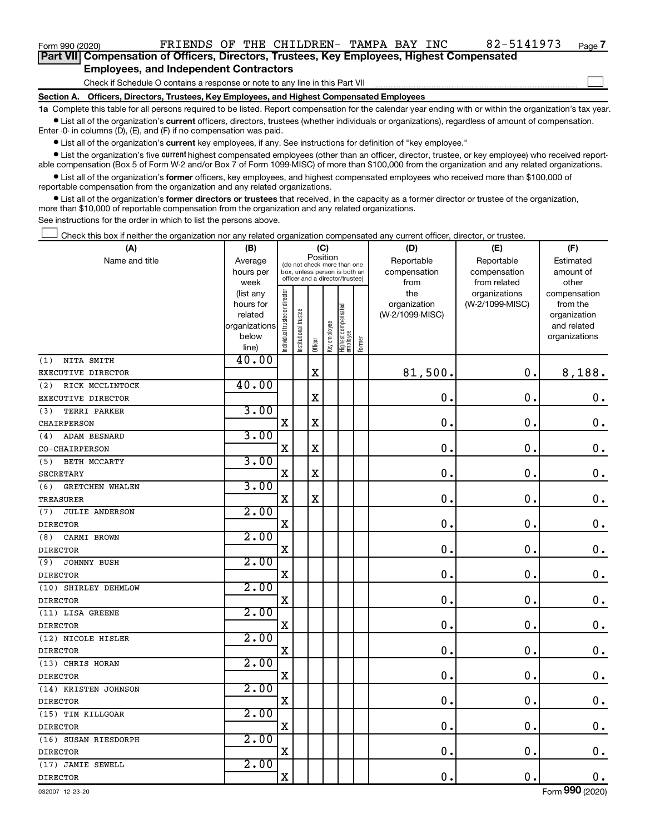Form 990 (2020)  $\begin{array}{cccccccccccccc} \text{FT} & \text{F} & \text{F} & \text{F} & \text{F} & \text{F} & \text{F} & \text{F} & \text{F} & \text{F} & \text{F} & \text{F} & \text{F} & \text{F} & \text{F} & \text{F} & \text{F} & \text{F} & \text{F} & \text{F} & \text{F} & \text{F} & \text{F} & \text{F} & \text{F} & \text{F} & \text{F} & \text{F} & \text{F} & \text{F} & \text{F} & \text{F} & \text$ 

 $\Box$ 

| Part VII Compensation of Officers, Directors, Trustees, Key Employees, Highest Compensated |  |
|--------------------------------------------------------------------------------------------|--|
| <b>Employees, and Independent Contractors</b>                                              |  |

Check if Schedule O contains a response or note to any line in this Part VII

**Section A. Officers, Directors, Trustees, Key Employees, and Highest Compensated Employees**

**1a**  Complete this table for all persons required to be listed. Report compensation for the calendar year ending with or within the organization's tax year.  $\bullet$  List all of the organization's current officers, directors, trustees (whether individuals or organizations), regardless of amount of compensation.

Enter -0- in columns (D), (E), and (F) if no compensation was paid.

**•** List all of the organization's current key employees, if any. See instructions for definition of "key employee."

• List the organization's five *current* highest compensated employees (other than an officer, director, trustee, or key employee) who received reportable compensation (Box 5 of Form W-2 and/or Box 7 of Form 1099-MISC) of more than \$100,000 from the organization and any related organizations.

 $\bullet$  List all of the organization's former officers, key employees, and highest compensated employees who received more than \$100,000 of reportable compensation from the organization and any related organizations.

**•** List all of the organization's former directors or trustees that received, in the capacity as a former director or trustee of the organization, more than \$10,000 of reportable compensation from the organization and any related organizations.

See instructions for the order in which to list the persons above.

Check this box if neither the organization nor any related organization compensated any current officer, director, or trustee.  $\Box$ 

| (A)                           | (B)                  |                                |                                                                  | (C)         |              |                                   |        | (D)                        | (E)                        | (F)                    |
|-------------------------------|----------------------|--------------------------------|------------------------------------------------------------------|-------------|--------------|-----------------------------------|--------|----------------------------|----------------------------|------------------------|
| Name and title                | Average<br>hours per |                                | Position<br>(do not check more than one                          |             |              |                                   |        | Reportable<br>compensation | Reportable<br>compensation | Estimated<br>amount of |
|                               | week                 |                                | box, unless person is both an<br>officer and a director/trustee) |             |              |                                   |        | from                       | from related               | other                  |
|                               | (list any            |                                |                                                                  |             |              |                                   |        | the                        | organizations              | compensation           |
|                               | hours for            |                                |                                                                  |             |              |                                   |        | organization               | (W-2/1099-MISC)            | from the               |
|                               | related              |                                | trustee                                                          |             |              |                                   |        | (W-2/1099-MISC)            |                            | organization           |
|                               | organizations        |                                |                                                                  |             |              |                                   |        |                            |                            | and related            |
|                               | below<br>line)       | Individual trustee or director | Institutional t                                                  | Officer     | Key employee | Highest compensated<br>  employee | Former |                            |                            | organizations          |
| (1)<br>NITA SMITH             | 40.00                |                                |                                                                  |             |              |                                   |        |                            |                            |                        |
| EXECUTIVE DIRECTOR            |                      |                                |                                                                  | $\mathbf X$ |              |                                   |        | 81,500.                    | 0.                         | 8,188.                 |
| (2)<br>RICK MCCLINTOCK        | 40.00                |                                |                                                                  |             |              |                                   |        |                            |                            |                        |
| EXECUTIVE DIRECTOR            |                      |                                |                                                                  | X           |              |                                   |        | $\mathbf 0$ .              | $\mathbf 0$ .              | $\mathbf 0$ .          |
| (3)<br>TERRI PARKER           | 3.00                 |                                |                                                                  |             |              |                                   |        |                            |                            |                        |
| <b>CHAIRPERSON</b>            |                      | $\mathbf X$                    |                                                                  | $\mathbf X$ |              |                                   |        | $\mathbf 0$ .              | $\mathbf 0$ .              | $\mathbf 0$ .          |
| <b>ADAM BESNARD</b><br>(4)    | 3.00                 |                                |                                                                  |             |              |                                   |        |                            |                            |                        |
| CO-CHAIRPERSON                |                      | $\mathbf X$                    |                                                                  | X           |              |                                   |        | $\mathbf 0$ .              | $\mathbf 0$ .              | $\mathbf 0$ .          |
| BETH MCCARTY<br>(5)           | 3.00                 |                                |                                                                  |             |              |                                   |        |                            |                            |                        |
| <b>SECRETARY</b>              |                      | $\mathbf X$                    |                                                                  | $\mathbf X$ |              |                                   |        | $\mathbf 0$ .              | $\mathbf 0$ .              | $\mathbf 0$ .          |
| (6)<br><b>GRETCHEN WHALEN</b> | 3.00                 |                                |                                                                  |             |              |                                   |        |                            |                            |                        |
| <b>TREASURER</b>              |                      | $\mathbf X$                    |                                                                  | X           |              |                                   |        | $\mathbf 0$ .              | $\mathbf 0$ .              | $0$ .                  |
| <b>JULIE ANDERSON</b><br>(7)  | 2.00                 |                                |                                                                  |             |              |                                   |        |                            |                            |                        |
| <b>DIRECTOR</b>               |                      | $\mathbf X$                    |                                                                  |             |              |                                   |        | $\mathbf 0$ .              | $\mathbf 0$ .              | $\mathbf 0$ .          |
| (8)<br>CARMI BROWN            | 2.00                 |                                |                                                                  |             |              |                                   |        |                            |                            |                        |
| <b>DIRECTOR</b>               |                      | $\overline{\mathbf{X}}$        |                                                                  |             |              |                                   |        | $\mathbf 0$ .              | $\mathbf 0$ .              | $\mathbf 0$ .          |
| JOHNNY BUSH<br>(9)            | 2.00                 |                                |                                                                  |             |              |                                   |        |                            |                            |                        |
| <b>DIRECTOR</b>               |                      | $\mathbf X$                    |                                                                  |             |              |                                   |        | $\mathbf 0$ .              | $\mathbf 0$ .              | $\mathbf 0$ .          |
| (10) SHIRLEY DEHMLOW          | 2.00                 |                                |                                                                  |             |              |                                   |        |                            |                            |                        |
| <b>DIRECTOR</b>               |                      | X                              |                                                                  |             |              |                                   |        | $\mathbf 0$                | $\mathbf 0$                | $\mathbf 0$ .          |
| (11) LISA GREENE              | 2.00                 |                                |                                                                  |             |              |                                   |        |                            |                            |                        |
| <b>DIRECTOR</b>               |                      | $\mathbf X$                    |                                                                  |             |              |                                   |        | 0.                         | 0.                         | $\mathbf 0$ .          |
| (12) NICOLE HISLER            | 2.00                 |                                |                                                                  |             |              |                                   |        |                            |                            |                        |
| <b>DIRECTOR</b>               |                      | $\mathbf X$                    |                                                                  |             |              |                                   |        | $\mathbf 0$ .              | $\mathbf 0$ .              | $\mathbf 0$ .          |
| (13) CHRIS HORAN              | 2.00                 |                                |                                                                  |             |              |                                   |        |                            |                            |                        |
| <b>DIRECTOR</b>               |                      | $\mathbf X$                    |                                                                  |             |              |                                   |        | $\mathbf 0$ .              | $\mathbf 0$ .              | $\mathbf 0$ .          |
| (14) KRISTEN JOHNSON          | 2.00                 |                                |                                                                  |             |              |                                   |        |                            |                            |                        |
| <b>DIRECTOR</b>               |                      | $\mathbf X$                    |                                                                  |             |              |                                   |        | $\mathbf 0$ .              | $\mathbf 0$ .              | $\mathbf 0$ .          |
| (15) TIM KILLGOAR             | 2.00                 |                                |                                                                  |             |              |                                   |        |                            |                            |                        |
| <b>DIRECTOR</b>               |                      | $\mathbf X$                    |                                                                  |             |              |                                   |        | $\mathbf 0$ .              | $\mathbf 0$ .              | 0.                     |
| (16) SUSAN RIESDORPH          | 2.00                 |                                |                                                                  |             |              |                                   |        |                            |                            |                        |
| <b>DIRECTOR</b>               |                      | $\mathbf X$                    |                                                                  |             |              |                                   |        | 0.                         | $\mathbf 0$ .              | $\mathbf 0$ .          |
| (17) JAMIE SEWELL             | 2.00                 |                                |                                                                  |             |              |                                   |        | 0.                         | $\mathbf 0$ .              |                        |
| <b>DIRECTOR</b>               |                      | $\mathbf X$                    |                                                                  |             |              |                                   |        |                            |                            | $\mathbf 0$ .          |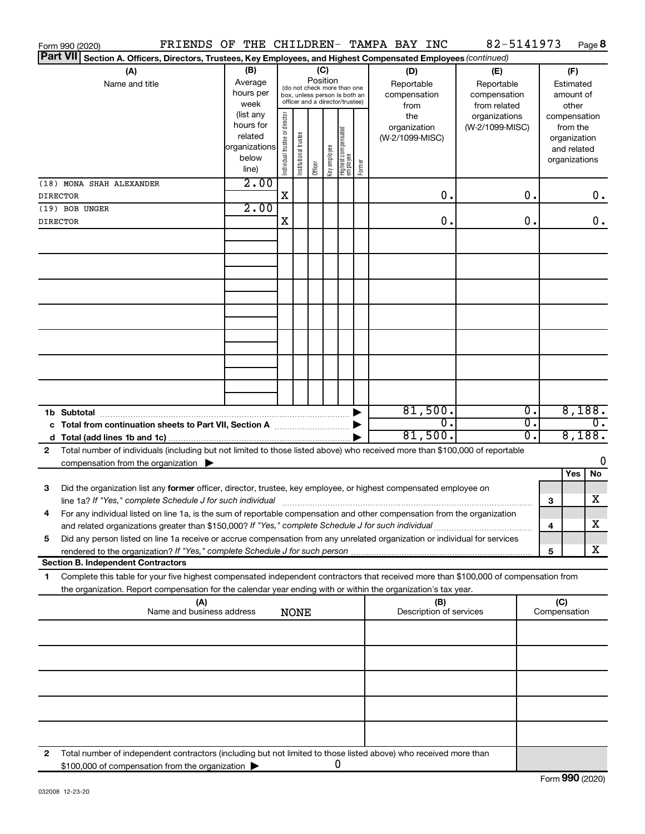| Form 990 (2020)                                                                                                                           |                        |                                |                                                                  |          |              |                                   |        | FRIENDS OF THE CHILDREN- TAMPA BAY INC | 82-5141973      |    |               |                          | Page 8 |
|-------------------------------------------------------------------------------------------------------------------------------------------|------------------------|--------------------------------|------------------------------------------------------------------|----------|--------------|-----------------------------------|--------|----------------------------------------|-----------------|----|---------------|--------------------------|--------|
| <b>Part VII</b><br>Section A. Officers, Directors, Trustees, Key Employees, and Highest Compensated Employees (continued)                 |                        |                                |                                                                  |          |              |                                   |        |                                        |                 |    |               |                          |        |
| (A)                                                                                                                                       | (B)                    |                                |                                                                  | (C)      |              |                                   |        | (D)                                    | (E)             |    |               | (F)                      |        |
| Name and title                                                                                                                            | Average                |                                | (do not check more than one                                      | Position |              |                                   |        | Reportable                             | Reportable      |    |               | Estimated                |        |
|                                                                                                                                           | hours per              |                                | box, unless person is both an<br>officer and a director/trustee) |          |              |                                   |        | compensation                           | compensation    |    |               | amount of                |        |
|                                                                                                                                           | week                   |                                |                                                                  |          |              |                                   |        | from                                   | from related    |    |               | other                    |        |
|                                                                                                                                           | (list any<br>hours for |                                |                                                                  |          |              |                                   |        | the                                    | organizations   |    | compensation  |                          |        |
|                                                                                                                                           | related                |                                |                                                                  |          |              |                                   |        | organization<br>(W-2/1099-MISC)        | (W-2/1099-MISC) |    |               | from the<br>organization |        |
|                                                                                                                                           | organizations          |                                |                                                                  |          |              |                                   |        |                                        |                 |    |               | and related              |        |
|                                                                                                                                           | below                  | Individual trustee or director | Institutional trustee                                            |          | Key employee |                                   |        |                                        |                 |    | organizations |                          |        |
|                                                                                                                                           | line)                  |                                |                                                                  | Officer  |              | Highest compensated<br>  employee | Former |                                        |                 |    |               |                          |        |
| (18) MONA SHAH ALEXANDER                                                                                                                  | 2.00                   |                                |                                                                  |          |              |                                   |        |                                        |                 |    |               |                          |        |
| <b>DIRECTOR</b>                                                                                                                           |                        | X                              |                                                                  |          |              |                                   |        | 0.                                     |                 | О. |               |                          | $0$ .  |
| (19) BOB UNGER                                                                                                                            | 2.00                   |                                |                                                                  |          |              |                                   |        |                                        |                 |    |               |                          |        |
| <b>DIRECTOR</b>                                                                                                                           |                        | X                              |                                                                  |          |              |                                   |        | 0.                                     |                 | О. |               |                          | $0$ .  |
|                                                                                                                                           |                        |                                |                                                                  |          |              |                                   |        |                                        |                 |    |               |                          |        |
|                                                                                                                                           |                        |                                |                                                                  |          |              |                                   |        |                                        |                 |    |               |                          |        |
|                                                                                                                                           |                        |                                |                                                                  |          |              |                                   |        |                                        |                 |    |               |                          |        |
|                                                                                                                                           |                        |                                |                                                                  |          |              |                                   |        |                                        |                 |    |               |                          |        |
|                                                                                                                                           |                        |                                |                                                                  |          |              |                                   |        |                                        |                 |    |               |                          |        |
|                                                                                                                                           |                        |                                |                                                                  |          |              |                                   |        |                                        |                 |    |               |                          |        |
|                                                                                                                                           |                        |                                |                                                                  |          |              |                                   |        |                                        |                 |    |               |                          |        |
|                                                                                                                                           |                        |                                |                                                                  |          |              |                                   |        |                                        |                 |    |               |                          |        |
|                                                                                                                                           |                        |                                |                                                                  |          |              |                                   |        |                                        |                 |    |               |                          |        |
|                                                                                                                                           |                        |                                |                                                                  |          |              |                                   |        |                                        |                 |    |               |                          |        |
|                                                                                                                                           |                        |                                |                                                                  |          |              |                                   |        |                                        |                 |    |               |                          |        |
|                                                                                                                                           |                        |                                |                                                                  |          |              |                                   |        |                                        |                 |    |               |                          |        |
|                                                                                                                                           |                        |                                |                                                                  |          |              |                                   |        |                                        |                 |    |               |                          |        |
|                                                                                                                                           |                        |                                |                                                                  |          |              |                                   |        | 81,500.                                |                 | 0. |               | 8,188.                   |        |
| 1b Subtotal<br>c Total from continuation sheets to Part VII, Section A [111] [12] [13] Doction A                                          |                        |                                |                                                                  |          |              |                                   |        | 0.                                     |                 | σ. |               |                          | 0.     |
|                                                                                                                                           |                        |                                |                                                                  |          |              |                                   |        | 81,500.                                |                 | о. |               | 8,188.                   |        |
| Total number of individuals (including but not limited to those listed above) who received more than \$100,000 of reportable<br>2         |                        |                                |                                                                  |          |              |                                   |        |                                        |                 |    |               |                          |        |
| compensation from the organization $\blacktriangleright$                                                                                  |                        |                                |                                                                  |          |              |                                   |        |                                        |                 |    |               |                          | 0      |
|                                                                                                                                           |                        |                                |                                                                  |          |              |                                   |        |                                        |                 |    |               | Yes                      | No     |
| Did the organization list any former officer, director, trustee, key employee, or highest compensated employee on<br>3                    |                        |                                |                                                                  |          |              |                                   |        |                                        |                 |    |               |                          |        |
|                                                                                                                                           |                        |                                |                                                                  |          |              |                                   |        |                                        |                 |    | 3             |                          | x      |
| For any individual listed on line 1a, is the sum of reportable compensation and other compensation from the organization                  |                        |                                |                                                                  |          |              |                                   |        |                                        |                 |    |               |                          |        |
| and related organizations greater than \$150,000? If "Yes," complete Schedule J for such individual                                       |                        |                                |                                                                  |          |              |                                   |        |                                        |                 |    | 4             |                          | х      |
| Did any person listed on line 1a receive or accrue compensation from any unrelated organization or individual for services<br>5           |                        |                                |                                                                  |          |              |                                   |        |                                        |                 |    |               |                          |        |
|                                                                                                                                           |                        |                                |                                                                  |          |              |                                   |        |                                        |                 |    | 5             |                          | х      |
| <b>Section B. Independent Contractors</b>                                                                                                 |                        |                                |                                                                  |          |              |                                   |        |                                        |                 |    |               |                          |        |
| Complete this table for your five highest compensated independent contractors that received more than \$100,000 of compensation from<br>1 |                        |                                |                                                                  |          |              |                                   |        |                                        |                 |    |               |                          |        |
| the organization. Report compensation for the calendar year ending with or within the organization's tax year.                            |                        |                                |                                                                  |          |              |                                   |        |                                        |                 |    |               |                          |        |
| (A)                                                                                                                                       |                        |                                |                                                                  |          |              |                                   |        | (B)                                    |                 |    | (C)           |                          |        |
| Name and business address                                                                                                                 |                        |                                | <b>NONE</b>                                                      |          |              |                                   |        | Description of services                |                 |    | Compensation  |                          |        |
|                                                                                                                                           |                        |                                |                                                                  |          |              |                                   |        |                                        |                 |    |               |                          |        |
|                                                                                                                                           |                        |                                |                                                                  |          |              |                                   |        |                                        |                 |    |               |                          |        |
|                                                                                                                                           |                        |                                |                                                                  |          |              |                                   |        |                                        |                 |    |               |                          |        |
|                                                                                                                                           |                        |                                |                                                                  |          |              |                                   |        |                                        |                 |    |               |                          |        |
|                                                                                                                                           |                        |                                |                                                                  |          |              |                                   |        |                                        |                 |    |               |                          |        |
|                                                                                                                                           |                        |                                |                                                                  |          |              |                                   |        |                                        |                 |    |               |                          |        |
|                                                                                                                                           |                        |                                |                                                                  |          |              |                                   |        |                                        |                 |    |               |                          |        |
|                                                                                                                                           |                        |                                |                                                                  |          |              |                                   |        |                                        |                 |    |               |                          |        |
|                                                                                                                                           |                        |                                |                                                                  |          |              |                                   |        |                                        |                 |    |               |                          |        |
| Total number of independent contractors (including but not limited to those listed above) who received more than<br>2                     |                        |                                |                                                                  |          |              |                                   |        |                                        |                 |    |               |                          |        |
|                                                                                                                                           |                        |                                |                                                                  |          | 0            |                                   |        |                                        |                 |    |               |                          |        |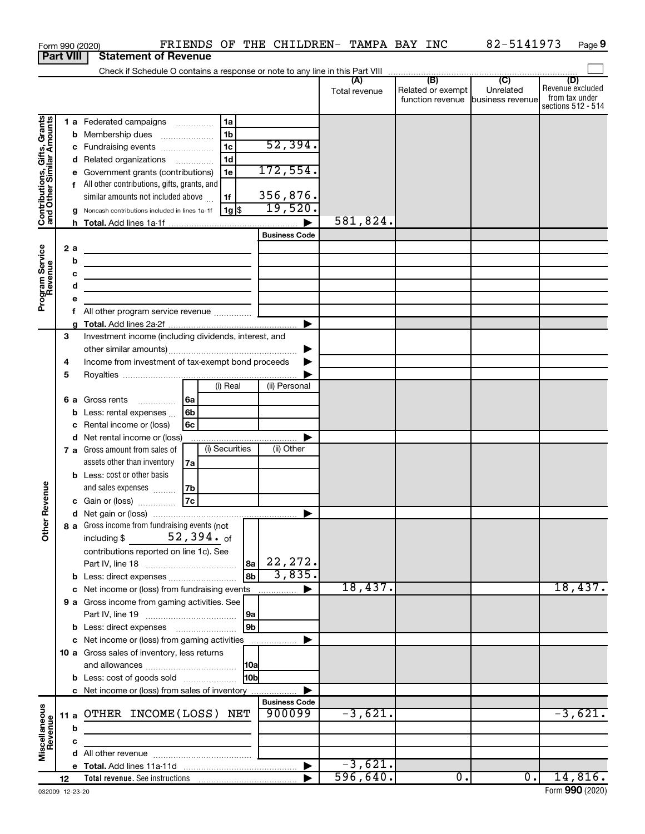|                                                           | Form 990 (2020)  |                                                                                                                      |                                      |                |                      | FRIENDS OF THE CHILDREN- TAMPA BAY INC |                                              | 82-5141973                                      | Page 9                                                          |
|-----------------------------------------------------------|------------------|----------------------------------------------------------------------------------------------------------------------|--------------------------------------|----------------|----------------------|----------------------------------------|----------------------------------------------|-------------------------------------------------|-----------------------------------------------------------------|
|                                                           | <b>Part VIII</b> | <b>Statement of Revenue</b>                                                                                          |                                      |                |                      |                                        |                                              |                                                 |                                                                 |
|                                                           |                  |                                                                                                                      |                                      |                |                      |                                        |                                              |                                                 |                                                                 |
|                                                           |                  |                                                                                                                      |                                      |                |                      | (A)<br>Total revenue                   | (B)<br>Related or exempt<br>function revenue | $\overline{C}$<br>Unrelated<br>business revenue | (D)<br>Revenue excluded<br>from tax under<br>sections 512 - 514 |
|                                                           |                  | 1 a Federated campaigns                                                                                              |                                      | 1a             |                      |                                        |                                              |                                                 |                                                                 |
| Contributions, Gifts, Grants<br>and Other Similar Amounts | b                | Membership dues                                                                                                      | $\ldots \ldots \ldots \ldots \ldots$ | 1b             |                      |                                        |                                              |                                                 |                                                                 |
|                                                           |                  | Fundraising events                                                                                                   |                                      | 1 <sub>c</sub> | 52,394.              |                                        |                                              |                                                 |                                                                 |
|                                                           | с<br>d           | Related organizations                                                                                                |                                      | 1 <sub>d</sub> |                      |                                        |                                              |                                                 |                                                                 |
|                                                           |                  | Government grants (contributions)                                                                                    |                                      | 1e             | 172,554.             |                                        |                                              |                                                 |                                                                 |
|                                                           | е                | All other contributions, gifts, grants, and                                                                          |                                      |                |                      |                                        |                                              |                                                 |                                                                 |
|                                                           | f.               | similar amounts not included above                                                                                   |                                      | 1f             | 356,876.             |                                        |                                              |                                                 |                                                                 |
|                                                           |                  |                                                                                                                      |                                      | 1g   \$        | 19,520.              |                                        |                                              |                                                 |                                                                 |
|                                                           |                  | Noncash contributions included in lines 1a-1f                                                                        |                                      |                |                      | 581,824.                               |                                              |                                                 |                                                                 |
|                                                           |                  |                                                                                                                      |                                      |                | <b>Business Code</b> |                                        |                                              |                                                 |                                                                 |
|                                                           |                  |                                                                                                                      |                                      |                |                      |                                        |                                              |                                                 |                                                                 |
| Program Service<br>Revenue                                | 2a               | <u> 1989 - Johann Barn, fransk politik (d. 1989)</u>                                                                 |                                      |                |                      |                                        |                                              |                                                 |                                                                 |
|                                                           | b                | <u> 1989 - Johann Stoff, amerikansk politiker (</u>                                                                  |                                      |                |                      |                                        |                                              |                                                 |                                                                 |
|                                                           | с                | <u> 1989 - Johann Barn, mars ann an t-Amhain Aonaich an t-Aonaich an t-Aonaich ann an t-Aonaich ann an t-Aonaich</u> |                                      |                |                      |                                        |                                              |                                                 |                                                                 |
|                                                           | d                | the contract of the contract of the contract of                                                                      |                                      |                |                      |                                        |                                              |                                                 |                                                                 |
|                                                           | е                |                                                                                                                      |                                      |                |                      |                                        |                                              |                                                 |                                                                 |
|                                                           | f                |                                                                                                                      |                                      |                |                      |                                        |                                              |                                                 |                                                                 |
|                                                           |                  |                                                                                                                      |                                      |                | ▶                    |                                        |                                              |                                                 |                                                                 |
|                                                           | 3                | Investment income (including dividends, interest, and                                                                |                                      |                |                      |                                        |                                              |                                                 |                                                                 |
|                                                           |                  |                                                                                                                      |                                      |                |                      |                                        |                                              |                                                 |                                                                 |
|                                                           | 4                | Income from investment of tax-exempt bond proceeds                                                                   |                                      |                |                      |                                        |                                              |                                                 |                                                                 |
|                                                           | 5                |                                                                                                                      |                                      |                |                      |                                        |                                              |                                                 |                                                                 |
|                                                           |                  |                                                                                                                      |                                      | (i) Real       | (ii) Personal        |                                        |                                              |                                                 |                                                                 |
|                                                           | 6а               | Gross rents<br>.                                                                                                     | l 6a                                 |                |                      |                                        |                                              |                                                 |                                                                 |
|                                                           | b                | Less: rental expenses                                                                                                | 6 <sub>b</sub>                       |                |                      |                                        |                                              |                                                 |                                                                 |
|                                                           | с                | Rental income or (loss)                                                                                              | 6c                                   |                |                      |                                        |                                              |                                                 |                                                                 |
|                                                           | d                | Net rental income or (loss)                                                                                          |                                      |                |                      |                                        |                                              |                                                 |                                                                 |
|                                                           |                  | 7 a Gross amount from sales of                                                                                       |                                      | (i) Securities | (ii) Other           |                                        |                                              |                                                 |                                                                 |
|                                                           |                  | assets other than inventory                                                                                          | 7a                                   |                |                      |                                        |                                              |                                                 |                                                                 |
|                                                           |                  | <b>b</b> Less: cost or other basis                                                                                   |                                      |                |                      |                                        |                                              |                                                 |                                                                 |
|                                                           |                  | and sales expenses                                                                                                   | 7b                                   |                |                      |                                        |                                              |                                                 |                                                                 |
| evenue                                                    |                  | c Gain or (loss)                                                                                                     | 7c                                   |                |                      |                                        |                                              |                                                 |                                                                 |
|                                                           |                  |                                                                                                                      |                                      |                |                      |                                        |                                              |                                                 |                                                                 |
| Other <sub>R</sub>                                        |                  | 8 a Gross income from fundraising events (not                                                                        |                                      |                |                      |                                        |                                              |                                                 |                                                                 |
|                                                           |                  | including \$ $52,394.$ of                                                                                            |                                      |                |                      |                                        |                                              |                                                 |                                                                 |
|                                                           |                  | contributions reported on line 1c). See                                                                              |                                      |                |                      |                                        |                                              |                                                 |                                                                 |
|                                                           |                  |                                                                                                                      |                                      | 8a             | 22,272.              |                                        |                                              |                                                 |                                                                 |
|                                                           |                  | <b>b</b> Less: direct expenses                                                                                       |                                      | l 8b           | 3,835.               |                                        |                                              |                                                 |                                                                 |
|                                                           | c                | Net income or (loss) from fundraising events                                                                         |                                      |                | ▶                    | 18,437.                                |                                              |                                                 | 18,437.                                                         |
|                                                           |                  | 9 a Gross income from gaming activities. See                                                                         |                                      |                |                      |                                        |                                              |                                                 |                                                                 |
|                                                           |                  |                                                                                                                      |                                      | 9a             |                      |                                        |                                              |                                                 |                                                                 |
|                                                           |                  |                                                                                                                      |                                      | 9b             |                      |                                        |                                              |                                                 |                                                                 |
|                                                           |                  | c Net income or (loss) from gaming activities                                                                        |                                      |                |                      |                                        |                                              |                                                 |                                                                 |
|                                                           |                  | 10 a Gross sales of inventory, less returns                                                                          |                                      |                |                      |                                        |                                              |                                                 |                                                                 |
|                                                           |                  |                                                                                                                      |                                      |                |                      |                                        |                                              |                                                 |                                                                 |
|                                                           |                  | <b>b</b> Less: cost of goods sold                                                                                    |                                      | 10bl           |                      |                                        |                                              |                                                 |                                                                 |
|                                                           |                  | c Net income or (loss) from sales of inventory                                                                       |                                      |                |                      |                                        |                                              |                                                 |                                                                 |
|                                                           |                  |                                                                                                                      |                                      |                | <b>Business Code</b> |                                        |                                              |                                                 |                                                                 |
| Miscellaneous<br>Revenue                                  | 11 a             | OTHER INCOME(LOSS) NET                                                                                               |                                      |                | 900099               | $-3,621.$                              |                                              |                                                 | $-3,621.$                                                       |
|                                                           | b                |                                                                                                                      |                                      |                |                      |                                        |                                              |                                                 |                                                                 |
|                                                           | c                |                                                                                                                      |                                      |                |                      |                                        |                                              |                                                 |                                                                 |
|                                                           |                  |                                                                                                                      |                                      |                |                      |                                        |                                              |                                                 |                                                                 |
|                                                           |                  |                                                                                                                      |                                      |                |                      | $-3,621.$                              |                                              |                                                 |                                                                 |
|                                                           | 12               |                                                                                                                      |                                      |                |                      | 596,640.                               | $\overline{0}$ .                             | $\overline{0}$ .                                | 14,816.                                                         |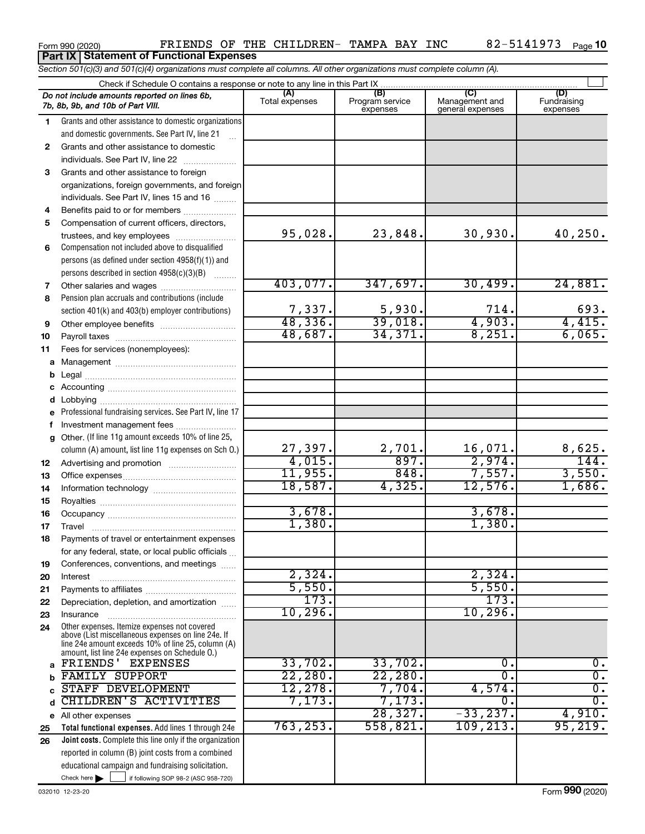|              | <b>Part IX Statement of Functional Expenses</b>                                                                                                                                                            |                        |                                    |                                           |                                |
|--------------|------------------------------------------------------------------------------------------------------------------------------------------------------------------------------------------------------------|------------------------|------------------------------------|-------------------------------------------|--------------------------------|
|              | Section 501(c)(3) and 501(c)(4) organizations must complete all columns. All other organizations must complete column (A).                                                                                 |                        |                                    |                                           |                                |
|              | Check if Schedule O contains a response or note to any line in this Part IX                                                                                                                                |                        |                                    |                                           |                                |
|              | Do not include amounts reported on lines 6b,<br>7b, 8b, 9b, and 10b of Part VIII.                                                                                                                          | (A)<br>Total expenses  | (B)<br>Program service<br>expenses | (C)<br>Management and<br>general expenses | (D)<br>Fundraising<br>expenses |
| 1.           | Grants and other assistance to domestic organizations                                                                                                                                                      |                        |                                    |                                           |                                |
|              | and domestic governments. See Part IV, line 21                                                                                                                                                             |                        |                                    |                                           |                                |
| $\mathbf{2}$ | Grants and other assistance to domestic                                                                                                                                                                    |                        |                                    |                                           |                                |
|              | individuals. See Part IV, line 22                                                                                                                                                                          |                        |                                    |                                           |                                |
| 3            | Grants and other assistance to foreign                                                                                                                                                                     |                        |                                    |                                           |                                |
|              | organizations, foreign governments, and foreign                                                                                                                                                            |                        |                                    |                                           |                                |
|              | individuals. See Part IV, lines 15 and 16                                                                                                                                                                  |                        |                                    |                                           |                                |
| 4            | Benefits paid to or for members                                                                                                                                                                            |                        |                                    |                                           |                                |
| 5            | Compensation of current officers, directors,                                                                                                                                                               |                        |                                    |                                           |                                |
|              |                                                                                                                                                                                                            | 95,028.                | 23,848.                            | 30,930.                                   | 40,250.                        |
| 6            | Compensation not included above to disqualified                                                                                                                                                            |                        |                                    |                                           |                                |
|              | persons (as defined under section 4958(f)(1)) and                                                                                                                                                          |                        |                                    |                                           |                                |
|              | persons described in section 4958(c)(3)(B)                                                                                                                                                                 |                        |                                    |                                           |                                |
| 7            | Other salaries and wages                                                                                                                                                                                   | 403,077.               | 347,697.                           | 30,499.                                   | 24,881.                        |
| 8            | Pension plan accruals and contributions (include                                                                                                                                                           |                        |                                    |                                           |                                |
|              | section 401(k) and 403(b) employer contributions)                                                                                                                                                          | $\frac{7,337}{48,336}$ | 5,930.                             | 714.<br>4,903.                            | 693.                           |
| 9            |                                                                                                                                                                                                            |                        | 39,018.                            |                                           | 4,415.                         |
| 10           |                                                                                                                                                                                                            | 48,687.                | 34,371.                            | 8,251.                                    | 6,065.                         |
| 11           | Fees for services (nonemployees):                                                                                                                                                                          |                        |                                    |                                           |                                |
| a            |                                                                                                                                                                                                            |                        |                                    |                                           |                                |
| $\mathbf b$  |                                                                                                                                                                                                            |                        |                                    |                                           |                                |
| c            |                                                                                                                                                                                                            |                        |                                    |                                           |                                |
| d            | Lobbying                                                                                                                                                                                                   |                        |                                    |                                           |                                |
| e            | Professional fundraising services. See Part IV, line 17                                                                                                                                                    |                        |                                    |                                           |                                |
| f            | Investment management fees<br>Other. (If line 11g amount exceeds 10% of line 25,                                                                                                                           |                        |                                    |                                           |                                |
| g            |                                                                                                                                                                                                            | 27,397.                | 2,701.                             | 16,071.                                   | 8,625.                         |
|              | column (A) amount, list line 11g expenses on Sch 0.)                                                                                                                                                       | 4,015.                 | 897.                               | 2,974.                                    | 144.                           |
| 12           |                                                                                                                                                                                                            | 11,955.                | 848.                               | 7,557.                                    | 3,550.                         |
| 13<br>14     |                                                                                                                                                                                                            | 18,587.                | 4,325.                             | 12,576.                                   | 1,686.                         |
| 15           |                                                                                                                                                                                                            |                        |                                    |                                           |                                |
| 16           |                                                                                                                                                                                                            | 3,678.                 |                                    | 3,678.                                    |                                |
| 17           | Travel                                                                                                                                                                                                     | 1,380.                 |                                    | 1,380.                                    |                                |
| 18           | Payments of travel or entertainment expenses                                                                                                                                                               |                        |                                    |                                           |                                |
|              | for any federal, state, or local public officials                                                                                                                                                          |                        |                                    |                                           |                                |
| 19           | Conferences, conventions, and meetings                                                                                                                                                                     |                        |                                    |                                           |                                |
| 20           | Interest                                                                                                                                                                                                   | 2,324.                 |                                    | 2,324.                                    |                                |
| 21           |                                                                                                                                                                                                            | 5,550.                 |                                    | 5,550.                                    |                                |
| 22           | Depreciation, depletion, and amortization                                                                                                                                                                  | 173.                   |                                    | 173.                                      |                                |
| 23           | Insurance                                                                                                                                                                                                  | 10, 296.               |                                    | 10, 296.                                  |                                |
| 24           | Other expenses. Itemize expenses not covered<br>above (List miscellaneous expenses on line 24e. If<br>line 24e amount exceeds 10% of line 25, column (A)<br>amount, list line 24e expenses on Schedule O.) |                        |                                    |                                           |                                |
| a            | FRIENDS' EXPENSES                                                                                                                                                                                          | 33,702.                | 33,702.                            | 0.                                        | 0.                             |
| b            | FAMILY SUPPORT                                                                                                                                                                                             | 22,280.                | 22, 280.                           | $\overline{0}$                            | σ.                             |
| C            | STAFF DEVELOPMENT<br>CHILDREN'S ACTIVITIES                                                                                                                                                                 | 12,278.<br>7,173.      | 7,704.<br>7,173.                   | 4,574.                                    | σ.<br>$\overline{0}$ .         |
| d            |                                                                                                                                                                                                            |                        | 28, 327.                           | 0.<br>$-33,237.$                          | 4,910.                         |
| е            | All other expenses<br>Total functional expenses. Add lines 1 through 24e                                                                                                                                   | 763, 253.              | 558,821.                           | 109, 213.                                 | 95,219.                        |
| 25<br>26     | Joint costs. Complete this line only if the organization                                                                                                                                                   |                        |                                    |                                           |                                |
|              | reported in column (B) joint costs from a combined                                                                                                                                                         |                        |                                    |                                           |                                |
|              | educational campaign and fundraising solicitation.                                                                                                                                                         |                        |                                    |                                           |                                |
|              | Check here $\blacktriangleright$<br>if following SOP 98-2 (ASC 958-720)                                                                                                                                    |                        |                                    |                                           |                                |

Form 990 (2020) **PRIENDS OF THE CHILDREN- TAMPA BAY INC**  $82-5141973$  Page

82-5141973 Page 10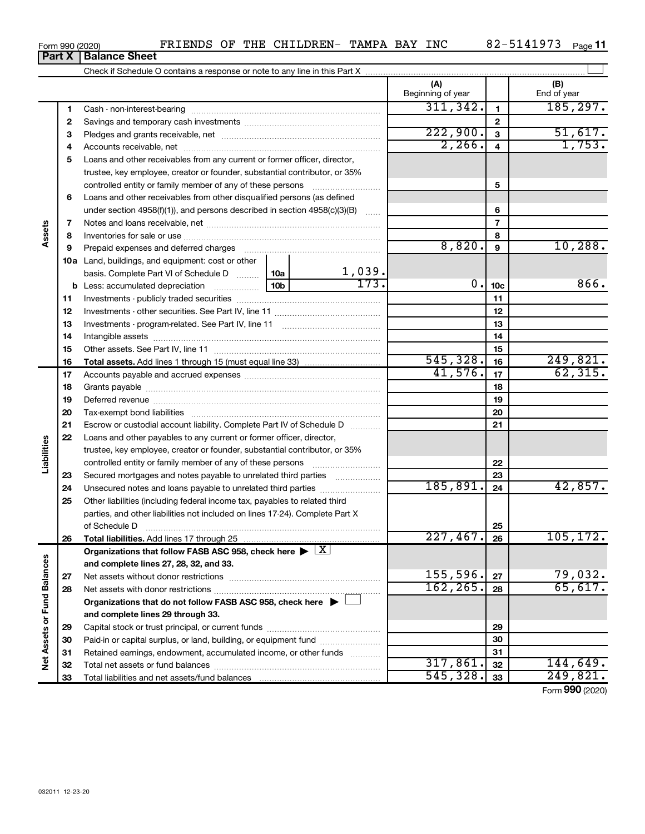| <b>FRIENDS</b><br>Form 990 (2020) | ΟF | THE | CHILDREN- | TAMPA | BAY | <b>INC</b> | 077<br>$\sim$<br>. .<br>$\Lambda$ | Page |
|-----------------------------------|----|-----|-----------|-------|-----|------------|-----------------------------------|------|
|-----------------------------------|----|-----|-----------|-------|-----|------------|-----------------------------------|------|

|                             |          | <b>Part X   Balance Sheet</b>                                                                                                                                                                                                  |     |                     |                          |                |                          |
|-----------------------------|----------|--------------------------------------------------------------------------------------------------------------------------------------------------------------------------------------------------------------------------------|-----|---------------------|--------------------------|----------------|--------------------------|
|                             |          |                                                                                                                                                                                                                                |     |                     |                          |                |                          |
|                             |          |                                                                                                                                                                                                                                |     |                     | (A)<br>Beginning of year |                | (B)<br>End of year       |
|                             | 1        |                                                                                                                                                                                                                                |     |                     | 311,342.                 | 1              | 185, 297.                |
|                             | 2        |                                                                                                                                                                                                                                |     |                     |                          | 2              |                          |
|                             | З        |                                                                                                                                                                                                                                |     |                     | 222,900.                 | 3              | $\frac{51,617.}{1,753.}$ |
|                             | 4        |                                                                                                                                                                                                                                |     |                     | 2, 266.                  | 4              |                          |
|                             | 5        | Loans and other receivables from any current or former officer, director,                                                                                                                                                      |     |                     |                          |                |                          |
|                             |          | trustee, key employee, creator or founder, substantial contributor, or 35%                                                                                                                                                     |     |                     |                          |                |                          |
|                             |          | controlled entity or family member of any of these persons                                                                                                                                                                     |     |                     |                          | 5              |                          |
|                             | 6        | Loans and other receivables from other disqualified persons (as defined                                                                                                                                                        |     |                     |                          |                |                          |
|                             |          | under section 4958(f)(1)), and persons described in section 4958(c)(3)(B)                                                                                                                                                      |     |                     |                          | 6              |                          |
|                             | 7        |                                                                                                                                                                                                                                |     |                     |                          | $\overline{7}$ |                          |
| Assets                      | 8        |                                                                                                                                                                                                                                |     | 8                   |                          |                |                          |
|                             | 9        | Prepaid expenses and deferred charges [11] matter continuum matter and referred charges [11] matter continuum matter continuum matter and continuum matter continuum matter continuum matter continuum matter continuum matter |     |                     | 8,820.                   | 9              | 10, 288.                 |
|                             |          | <b>10a</b> Land, buildings, and equipment: cost or other                                                                                                                                                                       |     |                     |                          |                |                          |
|                             |          | basis. Complete Part VI of Schedule D                                                                                                                                                                                          | 10a | $\frac{1,039}{173}$ |                          |                |                          |
|                             |          |                                                                                                                                                                                                                                | 0.  | 10 <sub>c</sub>     | 866.                     |                |                          |
|                             | 11       |                                                                                                                                                                                                                                |     |                     | 11                       |                |                          |
|                             | 12       |                                                                                                                                                                                                                                |     | 12                  |                          |                |                          |
|                             | 13       |                                                                                                                                                                                                                                |     |                     |                          | 13             |                          |
|                             | 14       |                                                                                                                                                                                                                                |     |                     |                          | 14             |                          |
|                             | 15       |                                                                                                                                                                                                                                |     |                     |                          | 15             |                          |
|                             | 16       |                                                                                                                                                                                                                                |     |                     | 545, 328.<br>41,576.     | 16             | 249,821.<br>62, 315.     |
|                             | 17       |                                                                                                                                                                                                                                |     |                     |                          | 17             |                          |
|                             | 18       |                                                                                                                                                                                                                                |     | 18                  |                          |                |                          |
|                             | 19       |                                                                                                                                                                                                                                |     |                     | 19                       |                |                          |
|                             | 20       |                                                                                                                                                                                                                                |     |                     |                          | 20             |                          |
|                             | 21<br>22 | Escrow or custodial account liability. Complete Part IV of Schedule D                                                                                                                                                          |     |                     |                          | 21             |                          |
| Liabilities                 |          | Loans and other payables to any current or former officer, director,<br>trustee, key employee, creator or founder, substantial contributor, or 35%                                                                             |     |                     |                          |                |                          |
|                             |          | controlled entity or family member of any of these persons                                                                                                                                                                     |     |                     |                          | 22             |                          |
|                             | 23       | Secured mortgages and notes payable to unrelated third parties                                                                                                                                                                 |     |                     |                          | 23             |                          |
|                             | 24       | Unsecured notes and loans payable to unrelated third parties                                                                                                                                                                   |     |                     | 185, 891.                | 24             | 42,857.                  |
|                             | 25       | Other liabilities (including federal income tax, payables to related third                                                                                                                                                     |     |                     |                          |                |                          |
|                             |          | parties, and other liabilities not included on lines 17-24). Complete Part X                                                                                                                                                   |     |                     |                          |                |                          |
|                             |          | of Schedule D                                                                                                                                                                                                                  |     |                     |                          | 25             |                          |
|                             | 26       | Total liabilities. Add lines 17 through 25                                                                                                                                                                                     |     |                     | 227,467.                 | 26             | 105, 172.                |
|                             |          | Organizations that follow FASB ASC 958, check here $\blacktriangleright \lfloor \underline{X} \rfloor$                                                                                                                         |     |                     |                          |                |                          |
|                             |          | and complete lines 27, 28, 32, and 33.                                                                                                                                                                                         |     |                     |                          |                |                          |
|                             | 27       |                                                                                                                                                                                                                                |     |                     | 155,596.                 | 27             | 79,032.                  |
|                             | 28       |                                                                                                                                                                                                                                |     |                     | 162, 265.                | 28             | 65,617.                  |
|                             |          | Organizations that do not follow FASB ASC 958, check here $\blacktriangleright$                                                                                                                                                |     |                     |                          |                |                          |
|                             |          | and complete lines 29 through 33.                                                                                                                                                                                              |     |                     |                          |                |                          |
|                             | 29       |                                                                                                                                                                                                                                |     |                     |                          | 29             |                          |
|                             | 30       | Paid-in or capital surplus, or land, building, or equipment fund                                                                                                                                                               |     |                     |                          | 30             |                          |
| Net Assets or Fund Balances | 31       | Retained earnings, endowment, accumulated income, or other funds                                                                                                                                                               |     |                     |                          | 31             |                          |
|                             | 32       |                                                                                                                                                                                                                                |     |                     | 317,861.                 | 32             | 144,649.                 |
|                             | 33       |                                                                                                                                                                                                                                |     |                     | 545, 328.                | 33             | 249,821.                 |
|                             |          |                                                                                                                                                                                                                                |     |                     |                          |                | Form 990 (2020)          |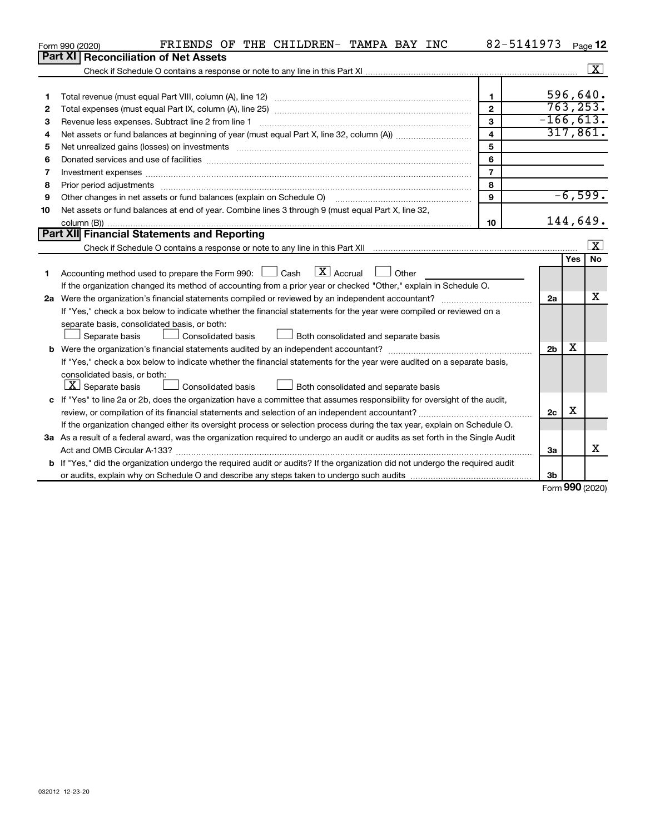|    | FRIENDS OF THE CHILDREN- TAMPA BAY INC<br>Form 990 (2020)                                                                       | 82-5141973              |                |            | Page 12                 |
|----|---------------------------------------------------------------------------------------------------------------------------------|-------------------------|----------------|------------|-------------------------|
|    | Part XI   Reconciliation of Net Assets                                                                                          |                         |                |            |                         |
|    |                                                                                                                                 |                         |                |            | $\boxed{\text{X}}$      |
|    |                                                                                                                                 |                         |                |            |                         |
| 1  |                                                                                                                                 | $\mathbf{1}$            |                | 596,640.   |                         |
| 2  |                                                                                                                                 | $\overline{2}$          |                | 763, 253.  |                         |
| з  | Revenue less expenses. Subtract line 2 from line 1                                                                              | $\mathbf{3}$            | $-166, 613.$   |            |                         |
| 4  |                                                                                                                                 | $\overline{\mathbf{4}}$ |                | 317,861.   |                         |
| 5  |                                                                                                                                 | 5                       |                |            |                         |
| 6  |                                                                                                                                 | 6                       |                |            |                         |
| 7  |                                                                                                                                 | $\overline{7}$          |                |            |                         |
| 8  | Prior period adjustments manufactured and content and content and all the manufactured adjustments manufacture                  | 8                       |                |            |                         |
| 9  |                                                                                                                                 | $\mathbf{9}$            |                | $-6,599.$  |                         |
| 10 | Net assets or fund balances at end of year. Combine lines 3 through 9 (must equal Part X, line 32,                              |                         |                |            |                         |
|    |                                                                                                                                 | 10 <sup>10</sup>        |                | 144,649.   |                         |
|    | <b>Part XII Financial Statements and Reporting</b>                                                                              |                         |                |            |                         |
|    |                                                                                                                                 |                         |                |            | $\overline{\mathbf{x}}$ |
|    |                                                                                                                                 |                         |                | <b>Yes</b> | <b>No</b>               |
| 1  | $\boxed{\mathbf{X}}$ Accrual<br>Accounting method used to prepare the Form 990: $\Box$ Cash<br>Other                            |                         |                |            |                         |
|    | If the organization changed its method of accounting from a prior year or checked "Other," explain in Schedule O.               |                         |                |            |                         |
|    |                                                                                                                                 |                         | 2a             |            | х                       |
|    | If "Yes," check a box below to indicate whether the financial statements for the year were compiled or reviewed on a            |                         |                |            |                         |
|    | separate basis, consolidated basis, or both:                                                                                    |                         |                |            |                         |
|    | Separate basis<br>Consolidated basis<br>Both consolidated and separate basis                                                    |                         |                |            |                         |
| b  |                                                                                                                                 |                         | 2 <sub>b</sub> | х          |                         |
|    | If "Yes," check a box below to indicate whether the financial statements for the year were audited on a separate basis,         |                         |                |            |                         |
|    | consolidated basis, or both:                                                                                                    |                         |                |            |                         |
|    | $ \mathbf{X} $ Separate basis<br><b>Consolidated basis</b><br>Both consolidated and separate basis                              |                         |                |            |                         |
|    | c If "Yes" to line 2a or 2b, does the organization have a committee that assumes responsibility for oversight of the audit,     |                         |                |            |                         |
|    |                                                                                                                                 |                         | 2c             | X          |                         |
|    | If the organization changed either its oversight process or selection process during the tax year, explain on Schedule O.       |                         |                |            |                         |
|    | 3a As a result of a federal award, was the organization required to undergo an audit or audits as set forth in the Single Audit |                         |                |            |                         |
|    |                                                                                                                                 |                         | За             |            | X                       |
|    | b If "Yes," did the organization undergo the required audit or audits? If the organization did not undergo the required audit   |                         |                |            |                         |
|    |                                                                                                                                 |                         | 3 <sub>b</sub> |            |                         |

Form (2020) **990**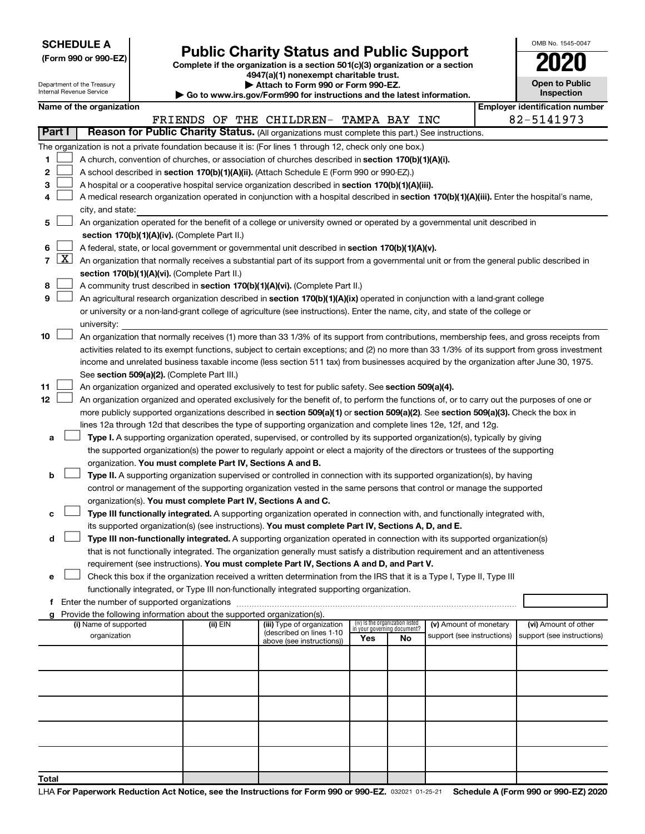| <b>SCHEDULE A</b> |  |
|-------------------|--|
|-------------------|--|

Department of the Treasury Internal Revenue Service

|  |  | (Form 990 or 990-EZ) |  |
|--|--|----------------------|--|
|  |  |                      |  |

Form 990 or 990-EZ) **Public Charity Status and Public Support**<br>
Complete if the organization is a section 501(c)(3) organization or a section<br> **2020 4947(a)(1) nonexempt charitable trust.**

**| Attach to Form 990 or Form 990-EZ.** 

**| Go to www.irs.gov/Form990 for instructions and the latest information.**

| OMB No 1545-0047                    |
|-------------------------------------|
| 020                                 |
| <b>Open to Public</b><br>Inspection |
|                                     |

|                     |                                                                                                                | Name of the organization                                                                                                                                                                                                         |          |                                                        |                                                                |    |                            |  | <b>Employer identification number</b> |  |  |  |  |
|---------------------|----------------------------------------------------------------------------------------------------------------|----------------------------------------------------------------------------------------------------------------------------------------------------------------------------------------------------------------------------------|----------|--------------------------------------------------------|----------------------------------------------------------------|----|----------------------------|--|---------------------------------------|--|--|--|--|
|                     |                                                                                                                |                                                                                                                                                                                                                                  |          | FRIENDS OF THE CHILDREN- TAMPA BAY                     |                                                                |    | INC                        |  | 82-5141973                            |  |  |  |  |
| Part I              |                                                                                                                | Reason for Public Charity Status. (All organizations must complete this part.) See instructions.                                                                                                                                 |          |                                                        |                                                                |    |                            |  |                                       |  |  |  |  |
|                     |                                                                                                                | The organization is not a private foundation because it is: (For lines 1 through 12, check only one box.)                                                                                                                        |          |                                                        |                                                                |    |                            |  |                                       |  |  |  |  |
| 1                   |                                                                                                                | A church, convention of churches, or association of churches described in section 170(b)(1)(A)(i).                                                                                                                               |          |                                                        |                                                                |    |                            |  |                                       |  |  |  |  |
| 2                   |                                                                                                                | A school described in section 170(b)(1)(A)(ii). (Attach Schedule E (Form 990 or 990-EZ).)                                                                                                                                        |          |                                                        |                                                                |    |                            |  |                                       |  |  |  |  |
| 3                   |                                                                                                                | A hospital or a cooperative hospital service organization described in section 170(b)(1)(A)(iii).                                                                                                                                |          |                                                        |                                                                |    |                            |  |                                       |  |  |  |  |
|                     |                                                                                                                | A medical research organization operated in conjunction with a hospital described in section 170(b)(1)(A)(iii). Enter the hospital's name,                                                                                       |          |                                                        |                                                                |    |                            |  |                                       |  |  |  |  |
|                     |                                                                                                                | city, and state:                                                                                                                                                                                                                 |          |                                                        |                                                                |    |                            |  |                                       |  |  |  |  |
| 5                   |                                                                                                                | An organization operated for the benefit of a college or university owned or operated by a governmental unit described in                                                                                                        |          |                                                        |                                                                |    |                            |  |                                       |  |  |  |  |
|                     |                                                                                                                | section 170(b)(1)(A)(iv). (Complete Part II.)                                                                                                                                                                                    |          |                                                        |                                                                |    |                            |  |                                       |  |  |  |  |
| 6<br>$\overline{7}$ | $\lfloor x \rfloor$                                                                                            | A federal, state, or local government or governmental unit described in section 170(b)(1)(A)(v).                                                                                                                                 |          |                                                        |                                                                |    |                            |  |                                       |  |  |  |  |
|                     |                                                                                                                | An organization that normally receives a substantial part of its support from a governmental unit or from the general public described in<br>section 170(b)(1)(A)(vi). (Complete Part II.)                                       |          |                                                        |                                                                |    |                            |  |                                       |  |  |  |  |
| 8                   |                                                                                                                | A community trust described in section 170(b)(1)(A)(vi). (Complete Part II.)                                                                                                                                                     |          |                                                        |                                                                |    |                            |  |                                       |  |  |  |  |
| 9                   |                                                                                                                | An agricultural research organization described in section 170(b)(1)(A)(ix) operated in conjunction with a land-grant college                                                                                                    |          |                                                        |                                                                |    |                            |  |                                       |  |  |  |  |
|                     |                                                                                                                | or university or a non-land-grant college of agriculture (see instructions). Enter the name, city, and state of the college or                                                                                                   |          |                                                        |                                                                |    |                            |  |                                       |  |  |  |  |
|                     |                                                                                                                | university:                                                                                                                                                                                                                      |          |                                                        |                                                                |    |                            |  |                                       |  |  |  |  |
| 10                  |                                                                                                                | An organization that normally receives (1) more than 33 1/3% of its support from contributions, membership fees, and gross receipts from                                                                                         |          |                                                        |                                                                |    |                            |  |                                       |  |  |  |  |
|                     |                                                                                                                | activities related to its exempt functions, subject to certain exceptions; and (2) no more than 33 1/3% of its support from gross investment                                                                                     |          |                                                        |                                                                |    |                            |  |                                       |  |  |  |  |
|                     |                                                                                                                | income and unrelated business taxable income (less section 511 tax) from businesses acquired by the organization after June 30, 1975.                                                                                            |          |                                                        |                                                                |    |                            |  |                                       |  |  |  |  |
|                     |                                                                                                                | See section 509(a)(2). (Complete Part III.)                                                                                                                                                                                      |          |                                                        |                                                                |    |                            |  |                                       |  |  |  |  |
| 11                  |                                                                                                                | An organization organized and operated exclusively to test for public safety. See section 509(a)(4).                                                                                                                             |          |                                                        |                                                                |    |                            |  |                                       |  |  |  |  |
| 12                  |                                                                                                                | An organization organized and operated exclusively for the benefit of, to perform the functions of, or to carry out the purposes of one or                                                                                       |          |                                                        |                                                                |    |                            |  |                                       |  |  |  |  |
|                     |                                                                                                                | more publicly supported organizations described in section 509(a)(1) or section 509(a)(2). See section 509(a)(3). Check the box in                                                                                               |          |                                                        |                                                                |    |                            |  |                                       |  |  |  |  |
|                     | lines 12a through 12d that describes the type of supporting organization and complete lines 12e, 12f, and 12g. |                                                                                                                                                                                                                                  |          |                                                        |                                                                |    |                            |  |                                       |  |  |  |  |
| а                   |                                                                                                                | Type I. A supporting organization operated, supervised, or controlled by its supported organization(s), typically by giving                                                                                                      |          |                                                        |                                                                |    |                            |  |                                       |  |  |  |  |
|                     |                                                                                                                | the supported organization(s) the power to regularly appoint or elect a majority of the directors or trustees of the supporting                                                                                                  |          |                                                        |                                                                |    |                            |  |                                       |  |  |  |  |
|                     |                                                                                                                | organization. You must complete Part IV, Sections A and B.                                                                                                                                                                       |          |                                                        |                                                                |    |                            |  |                                       |  |  |  |  |
| b                   |                                                                                                                | Type II. A supporting organization supervised or controlled in connection with its supported organization(s), by having                                                                                                          |          |                                                        |                                                                |    |                            |  |                                       |  |  |  |  |
|                     |                                                                                                                | control or management of the supporting organization vested in the same persons that control or manage the supported                                                                                                             |          |                                                        |                                                                |    |                            |  |                                       |  |  |  |  |
|                     |                                                                                                                | organization(s). You must complete Part IV, Sections A and C.                                                                                                                                                                    |          |                                                        |                                                                |    |                            |  |                                       |  |  |  |  |
| с                   |                                                                                                                | Type III functionally integrated. A supporting organization operated in connection with, and functionally integrated with,<br>its supported organization(s) (see instructions). You must complete Part IV, Sections A, D, and E. |          |                                                        |                                                                |    |                            |  |                                       |  |  |  |  |
| d                   |                                                                                                                | Type III non-functionally integrated. A supporting organization operated in connection with its supported organization(s)                                                                                                        |          |                                                        |                                                                |    |                            |  |                                       |  |  |  |  |
|                     |                                                                                                                | that is not functionally integrated. The organization generally must satisfy a distribution requirement and an attentiveness                                                                                                     |          |                                                        |                                                                |    |                            |  |                                       |  |  |  |  |
|                     |                                                                                                                | requirement (see instructions). You must complete Part IV, Sections A and D, and Part V.                                                                                                                                         |          |                                                        |                                                                |    |                            |  |                                       |  |  |  |  |
| е                   |                                                                                                                | Check this box if the organization received a written determination from the IRS that it is a Type I, Type II, Type III                                                                                                          |          |                                                        |                                                                |    |                            |  |                                       |  |  |  |  |
|                     |                                                                                                                | functionally integrated, or Type III non-functionally integrated supporting organization.                                                                                                                                        |          |                                                        |                                                                |    |                            |  |                                       |  |  |  |  |
|                     |                                                                                                                | f Enter the number of supported organizations                                                                                                                                                                                    |          |                                                        |                                                                |    |                            |  |                                       |  |  |  |  |
|                     |                                                                                                                | Provide the following information about the supported organization(s).                                                                                                                                                           |          |                                                        |                                                                |    |                            |  |                                       |  |  |  |  |
|                     |                                                                                                                | (i) Name of supported                                                                                                                                                                                                            | (ii) EIN | (iii) Type of organization<br>(described on lines 1-10 | (iv) Is the organization listed<br>in your governing document? |    | (v) Amount of monetary     |  | (vi) Amount of other                  |  |  |  |  |
|                     |                                                                                                                | organization                                                                                                                                                                                                                     |          | above (see instructions))                              | Yes                                                            | No | support (see instructions) |  | support (see instructions)            |  |  |  |  |
|                     |                                                                                                                |                                                                                                                                                                                                                                  |          |                                                        |                                                                |    |                            |  |                                       |  |  |  |  |
|                     |                                                                                                                |                                                                                                                                                                                                                                  |          |                                                        |                                                                |    |                            |  |                                       |  |  |  |  |
|                     |                                                                                                                |                                                                                                                                                                                                                                  |          |                                                        |                                                                |    |                            |  |                                       |  |  |  |  |
|                     |                                                                                                                |                                                                                                                                                                                                                                  |          |                                                        |                                                                |    |                            |  |                                       |  |  |  |  |
|                     |                                                                                                                |                                                                                                                                                                                                                                  |          |                                                        |                                                                |    |                            |  |                                       |  |  |  |  |
|                     |                                                                                                                |                                                                                                                                                                                                                                  |          |                                                        |                                                                |    |                            |  |                                       |  |  |  |  |
|                     |                                                                                                                |                                                                                                                                                                                                                                  |          |                                                        |                                                                |    |                            |  |                                       |  |  |  |  |
|                     |                                                                                                                |                                                                                                                                                                                                                                  |          |                                                        |                                                                |    |                            |  |                                       |  |  |  |  |
|                     |                                                                                                                |                                                                                                                                                                                                                                  |          |                                                        |                                                                |    |                            |  |                                       |  |  |  |  |
| <b>Total</b>        |                                                                                                                |                                                                                                                                                                                                                                  |          |                                                        |                                                                |    |                            |  |                                       |  |  |  |  |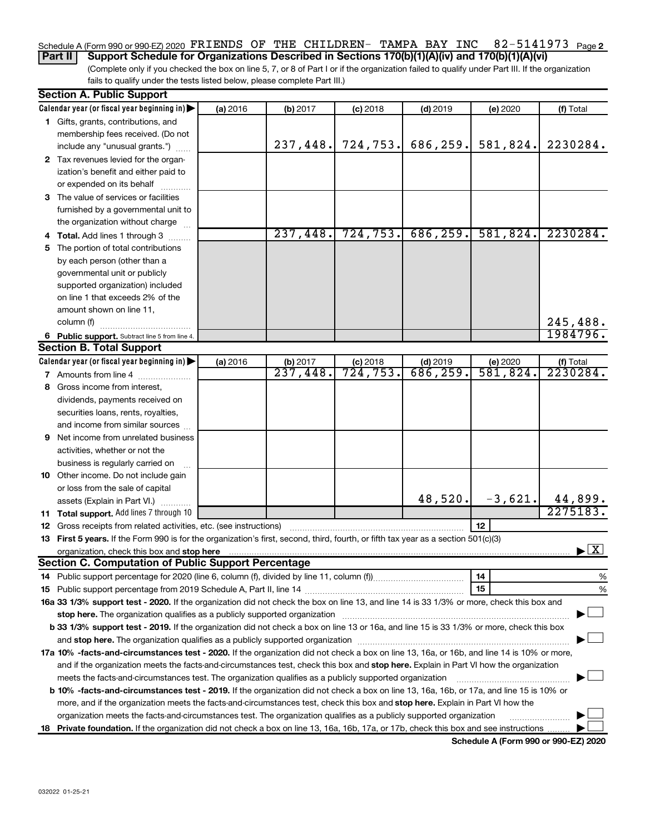#### 82-5141973 Page 2 Schedule A (Form 990 or 990-EZ) 2020  $\texttt{FRIENDS}$  OF THE CHILDREN- TAMPA BAY INC  $82\texttt{-}5141973$  Page

(Complete only if you checked the box on line 5, 7, or 8 of Part I or if the organization failed to qualify under Part III. If the organization **Part II Support Schedule for Organizations Described in Sections 170(b)(1)(A)(iv) and 170(b)(1)(A)(vi)**

fails to qualify under the tests listed below, please complete Part III.)

| <b>Section A. Public Support</b>                                                                                                           |          |          |            |            |          |                                                                          |
|--------------------------------------------------------------------------------------------------------------------------------------------|----------|----------|------------|------------|----------|--------------------------------------------------------------------------|
| Calendar year (or fiscal year beginning in)                                                                                                | (a) 2016 | (b) 2017 | $(c)$ 2018 | $(d)$ 2019 | (e) 2020 | (f) Total                                                                |
| 1 Gifts, grants, contributions, and                                                                                                        |          |          |            |            |          |                                                                          |
| membership fees received. (Do not                                                                                                          |          |          |            |            |          |                                                                          |
| include any "unusual grants.")                                                                                                             |          | 237,448. | 724,753.   | 686,259.   | 581,824. | 2230284.                                                                 |
| 2 Tax revenues levied for the organ-                                                                                                       |          |          |            |            |          |                                                                          |
| ization's benefit and either paid to                                                                                                       |          |          |            |            |          |                                                                          |
| or expended on its behalf                                                                                                                  |          |          |            |            |          |                                                                          |
| 3 The value of services or facilities                                                                                                      |          |          |            |            |          |                                                                          |
| furnished by a governmental unit to                                                                                                        |          |          |            |            |          |                                                                          |
| the organization without charge                                                                                                            |          |          |            |            |          |                                                                          |
| 4 Total. Add lines 1 through 3                                                                                                             |          | 237,448. | 724, 753.  | 686, 259.  | 581,824. | 2230284.                                                                 |
| 5 The portion of total contributions                                                                                                       |          |          |            |            |          |                                                                          |
| by each person (other than a                                                                                                               |          |          |            |            |          |                                                                          |
| governmental unit or publicly                                                                                                              |          |          |            |            |          |                                                                          |
| supported organization) included                                                                                                           |          |          |            |            |          |                                                                          |
| on line 1 that exceeds 2% of the                                                                                                           |          |          |            |            |          |                                                                          |
| amount shown on line 11,                                                                                                                   |          |          |            |            |          |                                                                          |
| column (f)                                                                                                                                 |          |          |            |            |          | 245,488.                                                                 |
| 6 Public support. Subtract line 5 from line 4.                                                                                             |          |          |            |            |          | 1984796.                                                                 |
| <b>Section B. Total Support</b>                                                                                                            |          |          |            |            |          |                                                                          |
| Calendar year (or fiscal year beginning in)                                                                                                | (a) 2016 | (b) 2017 | $(c)$ 2018 | $(d)$ 2019 | (e) 2020 | (f) Total                                                                |
| 7 Amounts from line 4                                                                                                                      |          | 237,448. | 724, 753.  | 686, 259.  | 581,824. | 2230284.                                                                 |
| 8 Gross income from interest,                                                                                                              |          |          |            |            |          |                                                                          |
| dividends, payments received on                                                                                                            |          |          |            |            |          |                                                                          |
| securities loans, rents, royalties,                                                                                                        |          |          |            |            |          |                                                                          |
| and income from similar sources                                                                                                            |          |          |            |            |          |                                                                          |
| 9 Net income from unrelated business                                                                                                       |          |          |            |            |          |                                                                          |
| activities, whether or not the                                                                                                             |          |          |            |            |          |                                                                          |
| business is regularly carried on                                                                                                           |          |          |            |            |          |                                                                          |
| 10 Other income. Do not include gain                                                                                                       |          |          |            |            |          |                                                                          |
| or loss from the sale of capital                                                                                                           |          |          |            |            |          |                                                                          |
| assets (Explain in Part VI.)                                                                                                               |          |          |            | 48,520.    |          | $\begin{array}{c c c c} -3,621 & 44,899 \\ \hline & 2275183 \end{array}$ |
| 11 Total support. Add lines 7 through 10                                                                                                   |          |          |            |            |          |                                                                          |
| <b>12</b> Gross receipts from related activities, etc. (see instructions)                                                                  |          |          |            |            | 12       |                                                                          |
| 13 First 5 years. If the Form 990 is for the organization's first, second, third, fourth, or fifth tax year as a section 501(c)(3)         |          |          |            |            |          |                                                                          |
|                                                                                                                                            |          |          |            |            |          | $\blacktriangleright$ $\boxed{\text{X}}$                                 |
| <b>Section C. Computation of Public Support Percentage</b>                                                                                 |          |          |            |            |          |                                                                          |
|                                                                                                                                            |          |          |            |            | 14       | %                                                                        |
|                                                                                                                                            |          |          |            |            | 15       | %                                                                        |
| 16a 33 1/3% support test - 2020. If the organization did not check the box on line 13, and line 14 is 33 1/3% or more, check this box and  |          |          |            |            |          |                                                                          |
|                                                                                                                                            |          |          |            |            |          |                                                                          |
| b 33 1/3% support test - 2019. If the organization did not check a box on line 13 or 16a, and line 15 is 33 1/3% or more, check this box   |          |          |            |            |          |                                                                          |
|                                                                                                                                            |          |          |            |            |          |                                                                          |
| 17a 10% -facts-and-circumstances test - 2020. If the organization did not check a box on line 13, 16a, or 16b, and line 14 is 10% or more, |          |          |            |            |          |                                                                          |
| and if the organization meets the facts-and-circumstances test, check this box and stop here. Explain in Part VI how the organization      |          |          |            |            |          |                                                                          |
| meets the facts-and-circumstances test. The organization qualifies as a publicly supported organization                                    |          |          |            |            |          |                                                                          |
| b 10% -facts-and-circumstances test - 2019. If the organization did not check a box on line 13, 16a, 16b, or 17a, and line 15 is 10% or    |          |          |            |            |          |                                                                          |
| more, and if the organization meets the facts-and-circumstances test, check this box and stop here. Explain in Part VI how the             |          |          |            |            |          |                                                                          |
| organization meets the facts-and-circumstances test. The organization qualifies as a publicly supported organization                       |          |          |            |            |          |                                                                          |
| 18 Private foundation. If the organization did not check a box on line 13, 16a, 16b, 17a, or 17b, check this box and see instructions      |          |          |            |            |          |                                                                          |

**Schedule A (Form 990 or 990-EZ) 2020**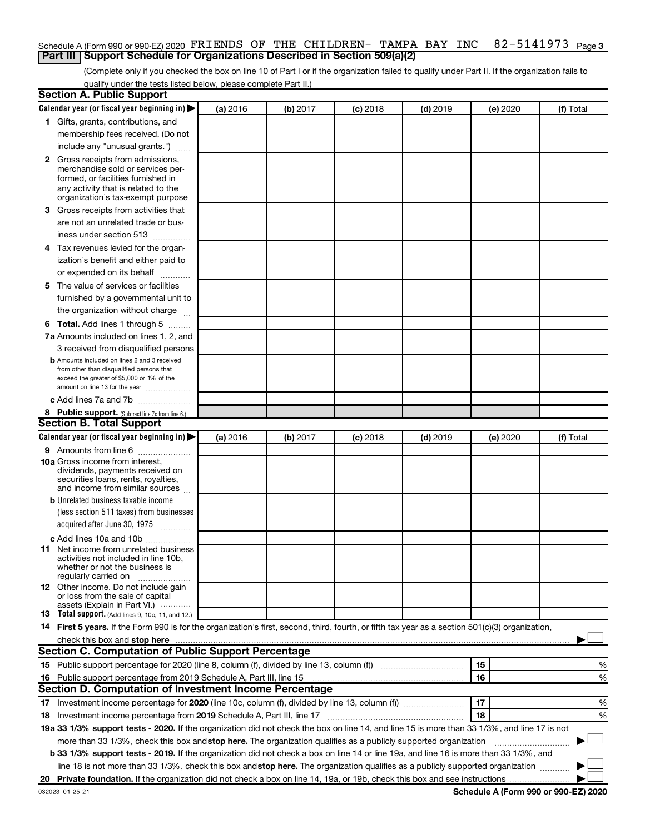### 82-5141973 Page 3 Schedule A (Form 990 or 990-EZ) 2020  $\texttt{FRIENDS}$  OF THE CHILDREN- TAMPA BAY INC  $82\texttt{-}5141973$  Page **Part III Support Schedule for Organizations Described in Section 509(a)(2)**

(Complete only if you checked the box on line 10 of Part I or if the organization failed to qualify under Part II. If the organization fails to qualify under the tests listed below, please complete Part II.)

| <b>Section A. Public Support</b>                                                                                                                 |          |          |            |            |          |           |
|--------------------------------------------------------------------------------------------------------------------------------------------------|----------|----------|------------|------------|----------|-----------|
| Calendar year (or fiscal year beginning in)                                                                                                      | (a) 2016 | (b) 2017 | $(c)$ 2018 | $(d)$ 2019 | (e) 2020 | (f) Total |
| 1 Gifts, grants, contributions, and                                                                                                              |          |          |            |            |          |           |
| membership fees received. (Do not                                                                                                                |          |          |            |            |          |           |
| include any "unusual grants.")                                                                                                                   |          |          |            |            |          |           |
| 2 Gross receipts from admissions,                                                                                                                |          |          |            |            |          |           |
| merchandise sold or services per-                                                                                                                |          |          |            |            |          |           |
| formed, or facilities furnished in                                                                                                               |          |          |            |            |          |           |
| any activity that is related to the<br>organization's tax-exempt purpose                                                                         |          |          |            |            |          |           |
| <b>3</b> Gross receipts from activities that                                                                                                     |          |          |            |            |          |           |
| are not an unrelated trade or bus-                                                                                                               |          |          |            |            |          |           |
| iness under section 513                                                                                                                          |          |          |            |            |          |           |
| 4 Tax revenues levied for the organ-                                                                                                             |          |          |            |            |          |           |
| ization's benefit and either paid to                                                                                                             |          |          |            |            |          |           |
| or expended on its behalf                                                                                                                        |          |          |            |            |          |           |
| 5 The value of services or facilities                                                                                                            |          |          |            |            |          |           |
| furnished by a governmental unit to                                                                                                              |          |          |            |            |          |           |
| the organization without charge                                                                                                                  |          |          |            |            |          |           |
| <b>6 Total.</b> Add lines 1 through 5                                                                                                            |          |          |            |            |          |           |
| 7a Amounts included on lines 1, 2, and                                                                                                           |          |          |            |            |          |           |
| 3 received from disqualified persons                                                                                                             |          |          |            |            |          |           |
| <b>b</b> Amounts included on lines 2 and 3 received                                                                                              |          |          |            |            |          |           |
| from other than disqualified persons that                                                                                                        |          |          |            |            |          |           |
| exceed the greater of \$5,000 or 1% of the<br>amount on line 13 for the year                                                                     |          |          |            |            |          |           |
| c Add lines 7a and 7b                                                                                                                            |          |          |            |            |          |           |
| 8 Public support. (Subtract line 7c from line 6.)                                                                                                |          |          |            |            |          |           |
| <b>Section B. Total Support</b>                                                                                                                  |          |          |            |            |          |           |
| Calendar year (or fiscal year beginning in)                                                                                                      | (a) 2016 | (b) 2017 | $(c)$ 2018 | $(d)$ 2019 | (e) 2020 | (f) Total |
| 9 Amounts from line 6                                                                                                                            |          |          |            |            |          |           |
| <b>10a</b> Gross income from interest,                                                                                                           |          |          |            |            |          |           |
| dividends, payments received on                                                                                                                  |          |          |            |            |          |           |
| securities loans, rents, royalties,                                                                                                              |          |          |            |            |          |           |
| and income from similar sources<br><b>b</b> Unrelated business taxable income                                                                    |          |          |            |            |          |           |
| (less section 511 taxes) from businesses                                                                                                         |          |          |            |            |          |           |
| acquired after June 30, 1975                                                                                                                     |          |          |            |            |          |           |
|                                                                                                                                                  |          |          |            |            |          |           |
| c Add lines 10a and 10b<br><b>11</b> Net income from unrelated business                                                                          |          |          |            |            |          |           |
| activities not included in line 10b.                                                                                                             |          |          |            |            |          |           |
| whether or not the business is                                                                                                                   |          |          |            |            |          |           |
| regularly carried on<br>12 Other income. Do not include gain                                                                                     |          |          |            |            |          |           |
| or loss from the sale of capital                                                                                                                 |          |          |            |            |          |           |
| assets (Explain in Part VI.)                                                                                                                     |          |          |            |            |          |           |
| <b>13</b> Total support. (Add lines 9, 10c, 11, and 12.)                                                                                         |          |          |            |            |          |           |
| 14 First 5 years. If the Form 990 is for the organization's first, second, third, fourth, or fifth tax year as a section 501(c)(3) organization, |          |          |            |            |          |           |
| check this box and stop here                                                                                                                     |          |          |            |            |          |           |
| <b>Section C. Computation of Public Support Percentage</b>                                                                                       |          |          |            |            |          |           |
| 15 Public support percentage for 2020 (line 8, column (f), divided by line 13, column (f) <i></i>                                                |          |          |            |            | 15       | %         |
| 16 Public support percentage from 2019 Schedule A, Part III, line 15                                                                             |          |          |            |            | 16       | %         |
| Section D. Computation of Investment Income Percentage                                                                                           |          |          |            |            |          |           |
|                                                                                                                                                  |          |          |            |            | 17       | %         |
| 18 Investment income percentage from 2019 Schedule A, Part III, line 17                                                                          |          |          |            |            | 18       | %         |
| 19a 33 1/3% support tests - 2020. If the organization did not check the box on line 14, and line 15 is more than 33 1/3%, and line 17 is not     |          |          |            |            |          |           |
| more than 33 1/3%, check this box and stop here. The organization qualifies as a publicly supported organization                                 |          |          |            |            |          |           |
| b 33 1/3% support tests - 2019. If the organization did not check a box on line 14 or line 19a, and line 16 is more than 33 1/3%, and            |          |          |            |            |          |           |
| line 18 is not more than 33 1/3%, check this box and stop here. The organization qualifies as a publicly supported organization                  |          |          |            |            |          |           |
|                                                                                                                                                  |          |          |            |            |          |           |

**Schedule A (Form 990 or 990-EZ) 2020**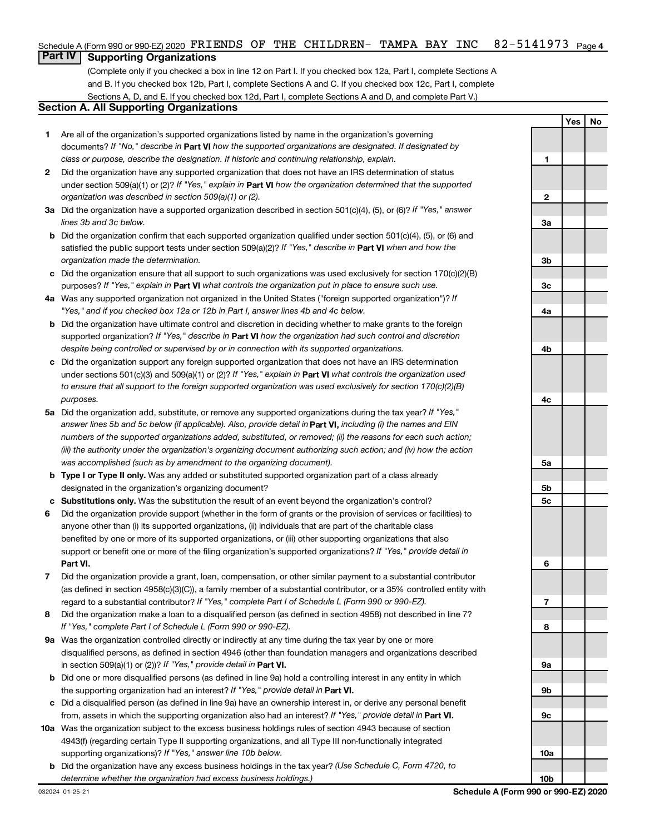#### 82-5141973 <sub>Page 4</sub> Schedule A (Form 990 or 990-EZ) 2020  $\texttt{FRIENDS}$  OF THE CHILDREN- TAMPA BAY INC  $82\texttt{-}5141973$  Page

## **Part IV Supporting Organizations**

(Complete only if you checked a box in line 12 on Part I. If you checked box 12a, Part I, complete Sections A and B. If you checked box 12b, Part I, complete Sections A and C. If you checked box 12c, Part I, complete Sections A, D, and E. If you checked box 12d, Part I, complete Sections A and D, and complete Part V.)

## **Section A. All Supporting Organizations**

- **1** Are all of the organization's supported organizations listed by name in the organization's governing documents? If "No," describe in Part VI how the supported organizations are designated. If designated by *class or purpose, describe the designation. If historic and continuing relationship, explain.*
- **2** Did the organization have any supported organization that does not have an IRS determination of status under section 509(a)(1) or (2)? If "Yes," explain in Part **VI** how the organization determined that the supported *organization was described in section 509(a)(1) or (2).*
- **3a** Did the organization have a supported organization described in section 501(c)(4), (5), or (6)? If "Yes," answer *lines 3b and 3c below.*
- **b** Did the organization confirm that each supported organization qualified under section 501(c)(4), (5), or (6) and satisfied the public support tests under section 509(a)(2)? If "Yes," describe in Part VI when and how the *organization made the determination.*
- **c** Did the organization ensure that all support to such organizations was used exclusively for section 170(c)(2)(B) purposes? If "Yes," explain in Part VI what controls the organization put in place to ensure such use.
- **4 a** *If* Was any supported organization not organized in the United States ("foreign supported organization")? *"Yes," and if you checked box 12a or 12b in Part I, answer lines 4b and 4c below.*
- **b** Did the organization have ultimate control and discretion in deciding whether to make grants to the foreign supported organization? If "Yes," describe in Part VI how the organization had such control and discretion *despite being controlled or supervised by or in connection with its supported organizations.*
- **c** Did the organization support any foreign supported organization that does not have an IRS determination under sections 501(c)(3) and 509(a)(1) or (2)? If "Yes," explain in Part VI what controls the organization used *to ensure that all support to the foreign supported organization was used exclusively for section 170(c)(2)(B) purposes.*
- **5a** Did the organization add, substitute, or remove any supported organizations during the tax year? If "Yes," answer lines 5b and 5c below (if applicable). Also, provide detail in **Part VI,** including (i) the names and EIN *numbers of the supported organizations added, substituted, or removed; (ii) the reasons for each such action; (iii) the authority under the organization's organizing document authorizing such action; and (iv) how the action was accomplished (such as by amendment to the organizing document).*
- **b Type I or Type II only.** Was any added or substituted supported organization part of a class already designated in the organization's organizing document?
- **c Substitutions only.**  Was the substitution the result of an event beyond the organization's control?
- **6** Did the organization provide support (whether in the form of grants or the provision of services or facilities) to **Part VI.** support or benefit one or more of the filing organization's supported organizations? If "Yes," provide detail in anyone other than (i) its supported organizations, (ii) individuals that are part of the charitable class benefited by one or more of its supported organizations, or (iii) other supporting organizations that also
- **7** Did the organization provide a grant, loan, compensation, or other similar payment to a substantial contributor regard to a substantial contributor? If "Yes," complete Part I of Schedule L (Form 990 or 990-EZ). (as defined in section 4958(c)(3)(C)), a family member of a substantial contributor, or a 35% controlled entity with
- **8** Did the organization make a loan to a disqualified person (as defined in section 4958) not described in line 7? *If "Yes," complete Part I of Schedule L (Form 990 or 990-EZ).*
- **9 a** Was the organization controlled directly or indirectly at any time during the tax year by one or more in section 509(a)(1) or (2))? If "Yes," provide detail in **Part VI.** disqualified persons, as defined in section 4946 (other than foundation managers and organizations described
- **b** Did one or more disqualified persons (as defined in line 9a) hold a controlling interest in any entity in which the supporting organization had an interest? If "Yes," provide detail in Part VI.
- **c** Did a disqualified person (as defined in line 9a) have an ownership interest in, or derive any personal benefit from, assets in which the supporting organization also had an interest? If "Yes," provide detail in Part VI.
- **10 a** Was the organization subject to the excess business holdings rules of section 4943 because of section supporting organizations)? If "Yes," answer line 10b below. 4943(f) (regarding certain Type II supporting organizations, and all Type III non-functionally integrated
	- **b** Did the organization have any excess business holdings in the tax year? (Use Schedule C, Form 4720, to *determine whether the organization had excess business holdings.)*

**Yes No**

**10b**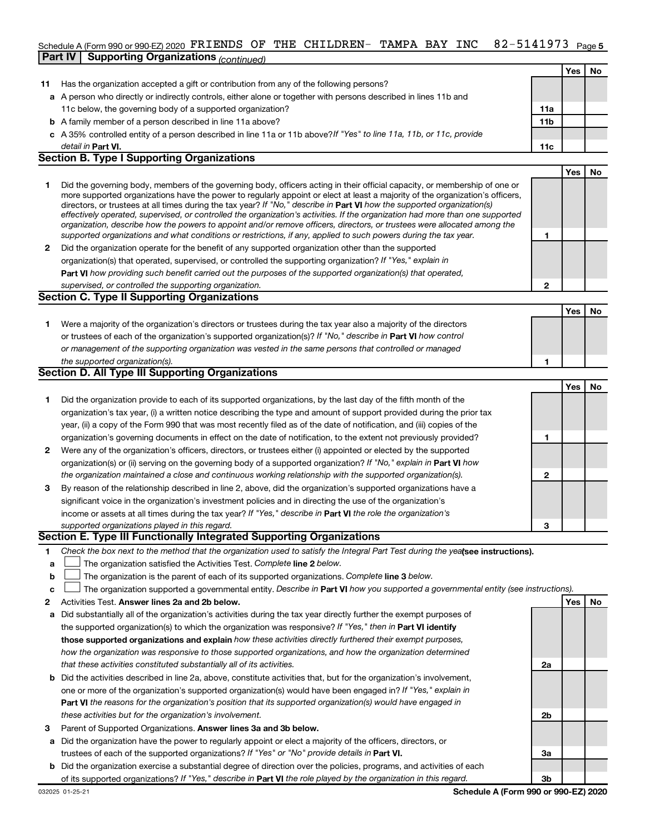#### 82-5141973 <sub>Page 5</sub> Schedule A (Form 990 or 990-EZ) 2020  $\texttt{FRIENDS}$  OF THE CHILDREN- TAMPA BAY INC  $82\texttt{-}5141973$  Page **Part IV** Supporting Organizations *(contin*uent)

|              |                                                                                                                                                                                                                                                                                                                                                                                                                                                                                                                                                                                                                                                      |                 | Yes | No        |
|--------------|------------------------------------------------------------------------------------------------------------------------------------------------------------------------------------------------------------------------------------------------------------------------------------------------------------------------------------------------------------------------------------------------------------------------------------------------------------------------------------------------------------------------------------------------------------------------------------------------------------------------------------------------------|-----------------|-----|-----------|
| 11           | Has the organization accepted a gift or contribution from any of the following persons?                                                                                                                                                                                                                                                                                                                                                                                                                                                                                                                                                              |                 |     |           |
|              | a A person who directly or indirectly controls, either alone or together with persons described in lines 11b and                                                                                                                                                                                                                                                                                                                                                                                                                                                                                                                                     |                 |     |           |
|              | 11c below, the governing body of a supported organization?                                                                                                                                                                                                                                                                                                                                                                                                                                                                                                                                                                                           | 11a             |     |           |
|              | <b>b</b> A family member of a person described in line 11a above?                                                                                                                                                                                                                                                                                                                                                                                                                                                                                                                                                                                    | 11 <sub>b</sub> |     |           |
|              | c A 35% controlled entity of a person described in line 11a or 11b above? If "Yes" to line 11a, 11b, or 11c, provide                                                                                                                                                                                                                                                                                                                                                                                                                                                                                                                                 |                 |     |           |
|              | detail in Part VI.                                                                                                                                                                                                                                                                                                                                                                                                                                                                                                                                                                                                                                   | 11c             |     |           |
|              | <b>Section B. Type I Supporting Organizations</b>                                                                                                                                                                                                                                                                                                                                                                                                                                                                                                                                                                                                    |                 |     |           |
|              |                                                                                                                                                                                                                                                                                                                                                                                                                                                                                                                                                                                                                                                      |                 | Yes | No        |
| 1            | Did the governing body, members of the governing body, officers acting in their official capacity, or membership of one or<br>more supported organizations have the power to regularly appoint or elect at least a majority of the organization's officers,<br>directors, or trustees at all times during the tax year? If "No," describe in Part VI how the supported organization(s)<br>effectively operated, supervised, or controlled the organization's activities. If the organization had more than one supported<br>organization, describe how the powers to appoint and/or remove officers, directors, or trustees were allocated among the |                 |     |           |
|              | supported organizations and what conditions or restrictions, if any, applied to such powers during the tax year.                                                                                                                                                                                                                                                                                                                                                                                                                                                                                                                                     | 1               |     |           |
| $\mathbf{2}$ | Did the organization operate for the benefit of any supported organization other than the supported                                                                                                                                                                                                                                                                                                                                                                                                                                                                                                                                                  |                 |     |           |
|              | organization(s) that operated, supervised, or controlled the supporting organization? If "Yes," explain in                                                                                                                                                                                                                                                                                                                                                                                                                                                                                                                                           |                 |     |           |
|              | <b>Part VI</b> how providing such benefit carried out the purposes of the supported organization(s) that operated,                                                                                                                                                                                                                                                                                                                                                                                                                                                                                                                                   |                 |     |           |
|              | supervised, or controlled the supporting organization.                                                                                                                                                                                                                                                                                                                                                                                                                                                                                                                                                                                               | $\mathbf{2}$    |     |           |
|              | <b>Section C. Type II Supporting Organizations</b>                                                                                                                                                                                                                                                                                                                                                                                                                                                                                                                                                                                                   |                 |     |           |
|              |                                                                                                                                                                                                                                                                                                                                                                                                                                                                                                                                                                                                                                                      |                 | Yes | No        |
| 1.           | Were a majority of the organization's directors or trustees during the tax year also a majority of the directors                                                                                                                                                                                                                                                                                                                                                                                                                                                                                                                                     |                 |     |           |
|              | or trustees of each of the organization's supported organization(s)? If "No," describe in Part VI how control                                                                                                                                                                                                                                                                                                                                                                                                                                                                                                                                        |                 |     |           |
|              | or management of the supporting organization was vested in the same persons that controlled or managed                                                                                                                                                                                                                                                                                                                                                                                                                                                                                                                                               |                 |     |           |
|              | the supported organization(s).                                                                                                                                                                                                                                                                                                                                                                                                                                                                                                                                                                                                                       | 1               |     |           |
|              | <b>Section D. All Type III Supporting Organizations</b>                                                                                                                                                                                                                                                                                                                                                                                                                                                                                                                                                                                              |                 |     |           |
|              |                                                                                                                                                                                                                                                                                                                                                                                                                                                                                                                                                                                                                                                      |                 | Yes | <b>No</b> |
| 1            | Did the organization provide to each of its supported organizations, by the last day of the fifth month of the                                                                                                                                                                                                                                                                                                                                                                                                                                                                                                                                       |                 |     |           |
|              | organization's tax year, (i) a written notice describing the type and amount of support provided during the prior tax                                                                                                                                                                                                                                                                                                                                                                                                                                                                                                                                |                 |     |           |
|              | year, (ii) a copy of the Form 990 that was most recently filed as of the date of notification, and (iii) copies of the                                                                                                                                                                                                                                                                                                                                                                                                                                                                                                                               |                 |     |           |
|              | organization's governing documents in effect on the date of notification, to the extent not previously provided?                                                                                                                                                                                                                                                                                                                                                                                                                                                                                                                                     | 1               |     |           |
| 2            | Were any of the organization's officers, directors, or trustees either (i) appointed or elected by the supported                                                                                                                                                                                                                                                                                                                                                                                                                                                                                                                                     |                 |     |           |
|              | organization(s) or (ii) serving on the governing body of a supported organization? If "No," explain in Part VI how                                                                                                                                                                                                                                                                                                                                                                                                                                                                                                                                   |                 |     |           |
|              | the organization maintained a close and continuous working relationship with the supported organization(s).                                                                                                                                                                                                                                                                                                                                                                                                                                                                                                                                          | $\mathbf{2}$    |     |           |
| 3            | By reason of the relationship described in line 2, above, did the organization's supported organizations have a                                                                                                                                                                                                                                                                                                                                                                                                                                                                                                                                      |                 |     |           |
|              | significant voice in the organization's investment policies and in directing the use of the organization's                                                                                                                                                                                                                                                                                                                                                                                                                                                                                                                                           |                 |     |           |
|              | income or assets at all times during the tax year? If "Yes," describe in Part VI the role the organization's                                                                                                                                                                                                                                                                                                                                                                                                                                                                                                                                         |                 |     |           |
|              | supported organizations played in this regard.                                                                                                                                                                                                                                                                                                                                                                                                                                                                                                                                                                                                       | 3               |     |           |
|              | Section E. Type III Functionally Integrated Supporting Organizations                                                                                                                                                                                                                                                                                                                                                                                                                                                                                                                                                                                 |                 |     |           |
| 1            | Check the box next to the method that the organization used to satisfy the Integral Part Test during the yealsee instructions).                                                                                                                                                                                                                                                                                                                                                                                                                                                                                                                      |                 |     |           |
|              |                                                                                                                                                                                                                                                                                                                                                                                                                                                                                                                                                                                                                                                      |                 |     |           |

- **a The organization satisfied the Activities Test. Complete line 2 below.**
- **b** The organization is the parent of each of its supported organizations. Complete line 3 below.  $\Box$
- **c** The organization supported a governmental entity. Describe in Part VI how you supported a governmental entity (see instructions).  $\Box$
- **2 Answer lines 2a and 2b below. Yes No** Activities Test.
- **a** Did substantially all of the organization's activities during the tax year directly further the exempt purposes of the supported organization(s) to which the organization was responsive? If "Yes," then in Part VI identify **those supported organizations and explain**  *how these activities directly furthered their exempt purposes, how the organization was responsive to those supported organizations, and how the organization determined that these activities constituted substantially all of its activities.*
- **b** Did the activities described in line 2a, above, constitute activities that, but for the organization's involvement, **Part VI**  *the reasons for the organization's position that its supported organization(s) would have engaged in* one or more of the organization's supported organization(s) would have been engaged in? If "Yes," explain in *these activities but for the organization's involvement.*
- **3** Parent of Supported Organizations. Answer lines 3a and 3b below.
- **a** Did the organization have the power to regularly appoint or elect a majority of the officers, directors, or trustees of each of the supported organizations? If "Yes" or "No" provide details in Part VI.
- **b** Did the organization exercise a substantial degree of direction over the policies, programs, and activities of each of its supported organizations? If "Yes," describe in Part VI the role played by the organization in this regard.

**2a**

**2b**

**3a**

**3b**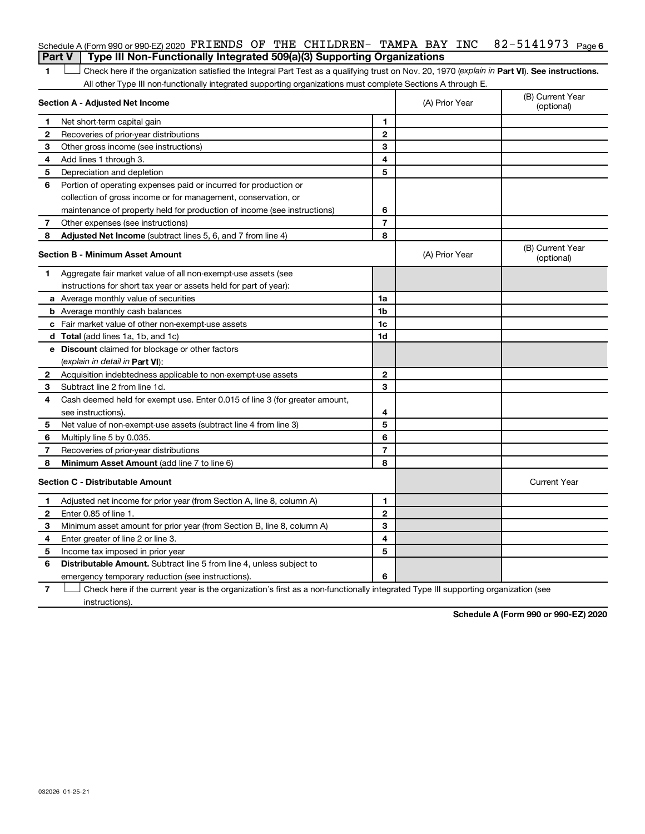## 82-5141973 Page 6 Schedule A (Form 990 or 990-EZ) 2020  $\texttt{FRIENDS}$  OF THE CHILDREN- TAMPA BAY INC  $82\texttt{-}5141973$  Page **Part V Type III Non-Functionally Integrated 509(a)(3) Supporting Organizations**

1 **Letter See instructions.** Check here if the organization satisfied the Integral Part Test as a qualifying trust on Nov. 20, 1970 (*explain in* Part **VI**). See instructions. All other Type III non-functionally integrated supporting organizations must complete Sections A through E.

| 1<br>Net short-term capital gain<br>1<br>$\mathbf{2}$<br>2<br>Recoveries of prior-year distributions<br>3<br>З<br>Other gross income (see instructions)<br>4<br>Add lines 1 through 3.<br>4<br>5<br>5<br>Depreciation and depletion<br>Portion of operating expenses paid or incurred for production or<br>6<br>collection of gross income or for management, conservation, or<br>6<br>maintenance of property held for production of income (see instructions)<br>$\overline{7}$<br>Other expenses (see instructions)<br>7<br>8<br>Adjusted Net Income (subtract lines 5, 6, and 7 from line 4)<br>8<br><b>Section B - Minimum Asset Amount</b><br>(A) Prior Year<br>Aggregate fair market value of all non-exempt-use assets (see<br>1.<br>instructions for short tax year or assets held for part of year):<br>a Average monthly value of securities<br>1a<br>1 <sub>b</sub><br><b>b</b> Average monthly cash balances<br>1c<br><b>c</b> Fair market value of other non-exempt-use assets<br>1d<br>d Total (add lines 1a, 1b, and 1c) |                                |
|------------------------------------------------------------------------------------------------------------------------------------------------------------------------------------------------------------------------------------------------------------------------------------------------------------------------------------------------------------------------------------------------------------------------------------------------------------------------------------------------------------------------------------------------------------------------------------------------------------------------------------------------------------------------------------------------------------------------------------------------------------------------------------------------------------------------------------------------------------------------------------------------------------------------------------------------------------------------------------------------------------------------------------------|--------------------------------|
|                                                                                                                                                                                                                                                                                                                                                                                                                                                                                                                                                                                                                                                                                                                                                                                                                                                                                                                                                                                                                                          |                                |
|                                                                                                                                                                                                                                                                                                                                                                                                                                                                                                                                                                                                                                                                                                                                                                                                                                                                                                                                                                                                                                          |                                |
|                                                                                                                                                                                                                                                                                                                                                                                                                                                                                                                                                                                                                                                                                                                                                                                                                                                                                                                                                                                                                                          |                                |
|                                                                                                                                                                                                                                                                                                                                                                                                                                                                                                                                                                                                                                                                                                                                                                                                                                                                                                                                                                                                                                          |                                |
|                                                                                                                                                                                                                                                                                                                                                                                                                                                                                                                                                                                                                                                                                                                                                                                                                                                                                                                                                                                                                                          |                                |
|                                                                                                                                                                                                                                                                                                                                                                                                                                                                                                                                                                                                                                                                                                                                                                                                                                                                                                                                                                                                                                          |                                |
|                                                                                                                                                                                                                                                                                                                                                                                                                                                                                                                                                                                                                                                                                                                                                                                                                                                                                                                                                                                                                                          |                                |
|                                                                                                                                                                                                                                                                                                                                                                                                                                                                                                                                                                                                                                                                                                                                                                                                                                                                                                                                                                                                                                          |                                |
|                                                                                                                                                                                                                                                                                                                                                                                                                                                                                                                                                                                                                                                                                                                                                                                                                                                                                                                                                                                                                                          |                                |
|                                                                                                                                                                                                                                                                                                                                                                                                                                                                                                                                                                                                                                                                                                                                                                                                                                                                                                                                                                                                                                          |                                |
|                                                                                                                                                                                                                                                                                                                                                                                                                                                                                                                                                                                                                                                                                                                                                                                                                                                                                                                                                                                                                                          | (B) Current Year<br>(optional) |
|                                                                                                                                                                                                                                                                                                                                                                                                                                                                                                                                                                                                                                                                                                                                                                                                                                                                                                                                                                                                                                          |                                |
|                                                                                                                                                                                                                                                                                                                                                                                                                                                                                                                                                                                                                                                                                                                                                                                                                                                                                                                                                                                                                                          |                                |
|                                                                                                                                                                                                                                                                                                                                                                                                                                                                                                                                                                                                                                                                                                                                                                                                                                                                                                                                                                                                                                          |                                |
|                                                                                                                                                                                                                                                                                                                                                                                                                                                                                                                                                                                                                                                                                                                                                                                                                                                                                                                                                                                                                                          |                                |
|                                                                                                                                                                                                                                                                                                                                                                                                                                                                                                                                                                                                                                                                                                                                                                                                                                                                                                                                                                                                                                          |                                |
|                                                                                                                                                                                                                                                                                                                                                                                                                                                                                                                                                                                                                                                                                                                                                                                                                                                                                                                                                                                                                                          |                                |
| e Discount claimed for blockage or other factors                                                                                                                                                                                                                                                                                                                                                                                                                                                                                                                                                                                                                                                                                                                                                                                                                                                                                                                                                                                         |                                |
| (explain in detail in Part VI):                                                                                                                                                                                                                                                                                                                                                                                                                                                                                                                                                                                                                                                                                                                                                                                                                                                                                                                                                                                                          |                                |
| $\mathbf{2}$<br>Acquisition indebtedness applicable to non-exempt-use assets<br>2                                                                                                                                                                                                                                                                                                                                                                                                                                                                                                                                                                                                                                                                                                                                                                                                                                                                                                                                                        |                                |
| 3<br>Subtract line 2 from line 1d.<br>3                                                                                                                                                                                                                                                                                                                                                                                                                                                                                                                                                                                                                                                                                                                                                                                                                                                                                                                                                                                                  |                                |
| Cash deemed held for exempt use. Enter 0.015 of line 3 (for greater amount,<br>4                                                                                                                                                                                                                                                                                                                                                                                                                                                                                                                                                                                                                                                                                                                                                                                                                                                                                                                                                         |                                |
| 4<br>see instructions).                                                                                                                                                                                                                                                                                                                                                                                                                                                                                                                                                                                                                                                                                                                                                                                                                                                                                                                                                                                                                  |                                |
| 5<br>Net value of non-exempt-use assets (subtract line 4 from line 3)<br>5                                                                                                                                                                                                                                                                                                                                                                                                                                                                                                                                                                                                                                                                                                                                                                                                                                                                                                                                                               |                                |
| 6<br>Multiply line 5 by 0.035<br>6                                                                                                                                                                                                                                                                                                                                                                                                                                                                                                                                                                                                                                                                                                                                                                                                                                                                                                                                                                                                       |                                |
| $\overline{7}$<br>$\overline{7}$<br>Recoveries of prior-year distributions                                                                                                                                                                                                                                                                                                                                                                                                                                                                                                                                                                                                                                                                                                                                                                                                                                                                                                                                                               |                                |
| 8<br><b>Minimum Asset Amount (add line 7 to line 6)</b><br>8                                                                                                                                                                                                                                                                                                                                                                                                                                                                                                                                                                                                                                                                                                                                                                                                                                                                                                                                                                             |                                |
| <b>Section C - Distributable Amount</b>                                                                                                                                                                                                                                                                                                                                                                                                                                                                                                                                                                                                                                                                                                                                                                                                                                                                                                                                                                                                  | <b>Current Year</b>            |
| Adjusted net income for prior year (from Section A, line 8, column A)<br>1<br>1                                                                                                                                                                                                                                                                                                                                                                                                                                                                                                                                                                                                                                                                                                                                                                                                                                                                                                                                                          |                                |
| $\mathbf{2}$<br>2<br>Enter 0.85 of line 1.                                                                                                                                                                                                                                                                                                                                                                                                                                                                                                                                                                                                                                                                                                                                                                                                                                                                                                                                                                                               |                                |
| 3<br>З<br>Minimum asset amount for prior year (from Section B, line 8, column A)                                                                                                                                                                                                                                                                                                                                                                                                                                                                                                                                                                                                                                                                                                                                                                                                                                                                                                                                                         |                                |
| 4<br>Enter greater of line 2 or line 3.<br>4                                                                                                                                                                                                                                                                                                                                                                                                                                                                                                                                                                                                                                                                                                                                                                                                                                                                                                                                                                                             |                                |
| 5<br>5<br>Income tax imposed in prior year                                                                                                                                                                                                                                                                                                                                                                                                                                                                                                                                                                                                                                                                                                                                                                                                                                                                                                                                                                                               |                                |
| 6<br>Distributable Amount. Subtract line 5 from line 4, unless subject to                                                                                                                                                                                                                                                                                                                                                                                                                                                                                                                                                                                                                                                                                                                                                                                                                                                                                                                                                                |                                |
| 6<br>emergency temporary reduction (see instructions).                                                                                                                                                                                                                                                                                                                                                                                                                                                                                                                                                                                                                                                                                                                                                                                                                                                                                                                                                                                   |                                |

**7** Let Check here if the current year is the organization's first as a non-functionally integrated Type III supporting organization (see instructions).

**Schedule A (Form 990 or 990-EZ) 2020**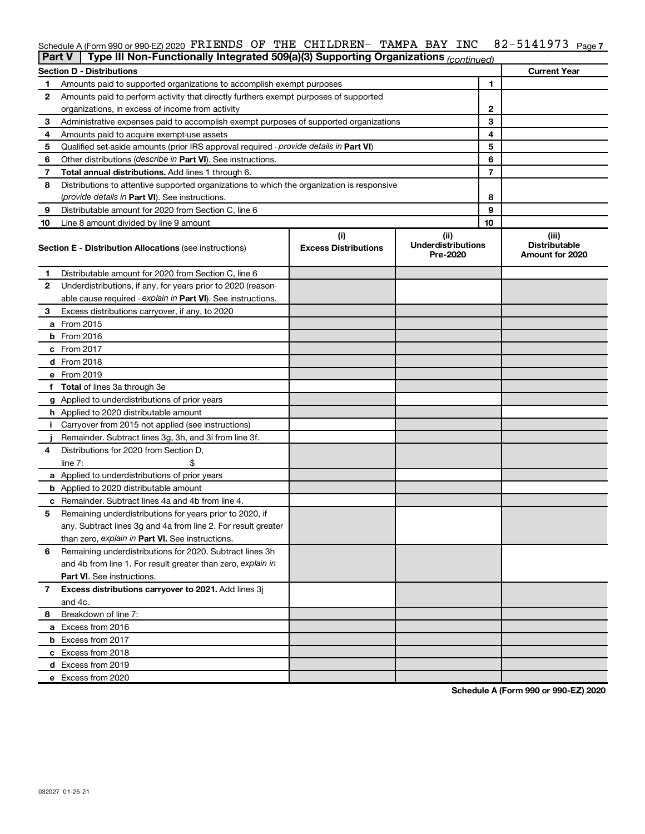#### 82-5141973 Page 7 Schedule A (Form 990 or 990-EZ) 2020  $\texttt{FRIENDS}$  OF THE CHILDREN- TAMPA BAY INC  $82\texttt{-}5141973$  Page

| <b>Part V</b> | Type III Non-Functionally Integrated 509(a)(3) Supporting Organizations (continued)        |                             |                                       |    |                                         |
|---------------|--------------------------------------------------------------------------------------------|-----------------------------|---------------------------------------|----|-----------------------------------------|
|               | <b>Section D - Distributions</b>                                                           |                             |                                       |    | <b>Current Year</b>                     |
| 1             | Amounts paid to supported organizations to accomplish exempt purposes                      |                             |                                       | 1  |                                         |
| 2             | Amounts paid to perform activity that directly furthers exempt purposes of supported       |                             |                                       |    |                                         |
|               | organizations, in excess of income from activity                                           |                             | 2                                     |    |                                         |
| 3             | Administrative expenses paid to accomplish exempt purposes of supported organizations      |                             | 3                                     |    |                                         |
| 4             | Amounts paid to acquire exempt-use assets                                                  |                             |                                       | 4  |                                         |
| 5             | Qualified set-aside amounts (prior IRS approval required - provide details in Part VI)     |                             |                                       | 5  |                                         |
| 6             | Other distributions (describe in Part VI). See instructions.                               |                             |                                       | 6  |                                         |
| 7             | Total annual distributions. Add lines 1 through 6.                                         |                             |                                       | 7  |                                         |
| 8             | Distributions to attentive supported organizations to which the organization is responsive |                             |                                       |    |                                         |
|               | <i>(provide details in Part VI). See instructions.</i>                                     |                             |                                       | 8  |                                         |
| 9             | Distributable amount for 2020 from Section C, line 6                                       |                             |                                       | 9  |                                         |
| 10            | Line 8 amount divided by line 9 amount                                                     |                             |                                       | 10 |                                         |
|               |                                                                                            | (i)                         | (ii)                                  |    | (iii)                                   |
|               | <b>Section E - Distribution Allocations (see instructions)</b>                             | <b>Excess Distributions</b> | <b>Underdistributions</b><br>Pre-2020 |    | <b>Distributable</b><br>Amount for 2020 |
| 1             | Distributable amount for 2020 from Section C, line 6                                       |                             |                                       |    |                                         |
| 2             | Underdistributions, if any, for years prior to 2020 (reason-                               |                             |                                       |    |                                         |
|               | able cause required - explain in Part VI). See instructions.                               |                             |                                       |    |                                         |
| 3             | Excess distributions carryover, if any, to 2020                                            |                             |                                       |    |                                         |
|               | a From 2015                                                                                |                             |                                       |    |                                         |
|               | <b>b</b> From 2016                                                                         |                             |                                       |    |                                         |
|               | c From 2017                                                                                |                             |                                       |    |                                         |
|               | d From 2018                                                                                |                             |                                       |    |                                         |
|               | e From 2019                                                                                |                             |                                       |    |                                         |
|               | f Total of lines 3a through 3e                                                             |                             |                                       |    |                                         |
|               | g Applied to underdistributions of prior years                                             |                             |                                       |    |                                         |
|               | <b>h</b> Applied to 2020 distributable amount                                              |                             |                                       |    |                                         |
| Ť.            | Carryover from 2015 not applied (see instructions)                                         |                             |                                       |    |                                         |
|               | Remainder. Subtract lines 3g, 3h, and 3i from line 3f.                                     |                             |                                       |    |                                         |
| 4             | Distributions for 2020 from Section D,                                                     |                             |                                       |    |                                         |
|               | line $7:$                                                                                  |                             |                                       |    |                                         |
|               | a Applied to underdistributions of prior years                                             |                             |                                       |    |                                         |
|               | <b>b</b> Applied to 2020 distributable amount                                              |                             |                                       |    |                                         |
|               | c Remainder. Subtract lines 4a and 4b from line 4.                                         |                             |                                       |    |                                         |
| 5             | Remaining underdistributions for years prior to 2020, if                                   |                             |                                       |    |                                         |
|               | any. Subtract lines 3g and 4a from line 2. For result greater                              |                             |                                       |    |                                         |
|               | than zero, explain in Part VI. See instructions.                                           |                             |                                       |    |                                         |
| 6             | Remaining underdistributions for 2020. Subtract lines 3h                                   |                             |                                       |    |                                         |
|               | and 4b from line 1. For result greater than zero, explain in                               |                             |                                       |    |                                         |
|               | <b>Part VI.</b> See instructions.                                                          |                             |                                       |    |                                         |
| 7             | Excess distributions carryover to 2021. Add lines 3j                                       |                             |                                       |    |                                         |
|               | and 4c.                                                                                    |                             |                                       |    |                                         |
| 8             | Breakdown of line 7:                                                                       |                             |                                       |    |                                         |
|               | a Excess from 2016                                                                         |                             |                                       |    |                                         |
|               | <b>b</b> Excess from 2017                                                                  |                             |                                       |    |                                         |
|               | c Excess from 2018                                                                         |                             |                                       |    |                                         |
|               | d Excess from 2019                                                                         |                             |                                       |    |                                         |
|               | e Excess from 2020                                                                         |                             |                                       |    |                                         |
|               |                                                                                            |                             |                                       |    |                                         |

**Schedule A (Form 990 or 990-EZ) 2020**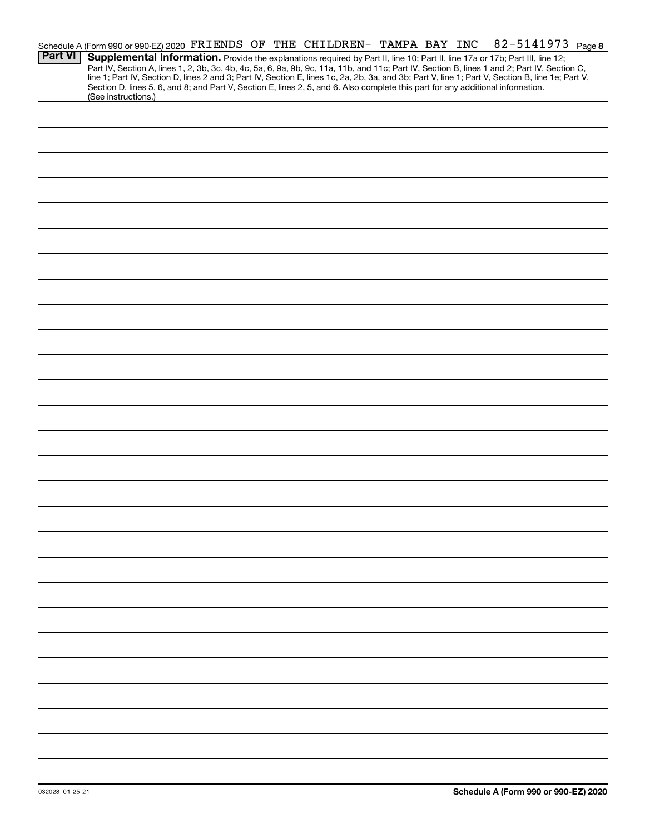|                | Schedule A (Form 990 or 990-EZ) 2020 FRIENDS OF THE CHILDREN- TAMPA BAY INC                                                                                                                                                      |  |  |  |  |  | 82-5141973 Page 8 |  |
|----------------|----------------------------------------------------------------------------------------------------------------------------------------------------------------------------------------------------------------------------------|--|--|--|--|--|-------------------|--|
| <b>Part VI</b> | Supplemental Information. Provide the explanations required by Part II, line 10; Part II, line 17a or 17b; Part III, line 12;                                                                                                    |  |  |  |  |  |                   |  |
|                | Part IV, Section A, lines 1, 2, 3b, 3c, 4b, 4c, 5a, 6, 9a, 9b, 9c, 11a, 11b, and 11c; Part IV, Section B, lines 1 and 2; Part IV, Section C,<br>line 1; Part IV, Section D, lines 2 and 3; Part IV, Section E, lines 1c, 2a, 2b, |  |  |  |  |  |                   |  |
|                | Section D, lines 5, 6, and 8; and Part V, Section E, lines 2, 5, and 6. Also complete this part for any additional information.<br>(See instructions.)                                                                           |  |  |  |  |  |                   |  |
|                |                                                                                                                                                                                                                                  |  |  |  |  |  |                   |  |
|                |                                                                                                                                                                                                                                  |  |  |  |  |  |                   |  |
|                |                                                                                                                                                                                                                                  |  |  |  |  |  |                   |  |
|                |                                                                                                                                                                                                                                  |  |  |  |  |  |                   |  |
|                |                                                                                                                                                                                                                                  |  |  |  |  |  |                   |  |
|                |                                                                                                                                                                                                                                  |  |  |  |  |  |                   |  |
|                |                                                                                                                                                                                                                                  |  |  |  |  |  |                   |  |
|                |                                                                                                                                                                                                                                  |  |  |  |  |  |                   |  |
|                |                                                                                                                                                                                                                                  |  |  |  |  |  |                   |  |
|                |                                                                                                                                                                                                                                  |  |  |  |  |  |                   |  |
|                |                                                                                                                                                                                                                                  |  |  |  |  |  |                   |  |
|                |                                                                                                                                                                                                                                  |  |  |  |  |  |                   |  |
|                |                                                                                                                                                                                                                                  |  |  |  |  |  |                   |  |
|                |                                                                                                                                                                                                                                  |  |  |  |  |  |                   |  |
|                |                                                                                                                                                                                                                                  |  |  |  |  |  |                   |  |
|                |                                                                                                                                                                                                                                  |  |  |  |  |  |                   |  |
|                |                                                                                                                                                                                                                                  |  |  |  |  |  |                   |  |
|                |                                                                                                                                                                                                                                  |  |  |  |  |  |                   |  |
|                |                                                                                                                                                                                                                                  |  |  |  |  |  |                   |  |
|                |                                                                                                                                                                                                                                  |  |  |  |  |  |                   |  |
|                |                                                                                                                                                                                                                                  |  |  |  |  |  |                   |  |
|                |                                                                                                                                                                                                                                  |  |  |  |  |  |                   |  |
|                |                                                                                                                                                                                                                                  |  |  |  |  |  |                   |  |
|                |                                                                                                                                                                                                                                  |  |  |  |  |  |                   |  |
|                |                                                                                                                                                                                                                                  |  |  |  |  |  |                   |  |
|                |                                                                                                                                                                                                                                  |  |  |  |  |  |                   |  |
|                |                                                                                                                                                                                                                                  |  |  |  |  |  |                   |  |
|                |                                                                                                                                                                                                                                  |  |  |  |  |  |                   |  |
|                |                                                                                                                                                                                                                                  |  |  |  |  |  |                   |  |
|                |                                                                                                                                                                                                                                  |  |  |  |  |  |                   |  |
|                |                                                                                                                                                                                                                                  |  |  |  |  |  |                   |  |
|                |                                                                                                                                                                                                                                  |  |  |  |  |  |                   |  |
|                |                                                                                                                                                                                                                                  |  |  |  |  |  |                   |  |
|                |                                                                                                                                                                                                                                  |  |  |  |  |  |                   |  |
|                |                                                                                                                                                                                                                                  |  |  |  |  |  |                   |  |
|                |                                                                                                                                                                                                                                  |  |  |  |  |  |                   |  |
|                |                                                                                                                                                                                                                                  |  |  |  |  |  |                   |  |
|                |                                                                                                                                                                                                                                  |  |  |  |  |  |                   |  |
|                |                                                                                                                                                                                                                                  |  |  |  |  |  |                   |  |
|                |                                                                                                                                                                                                                                  |  |  |  |  |  |                   |  |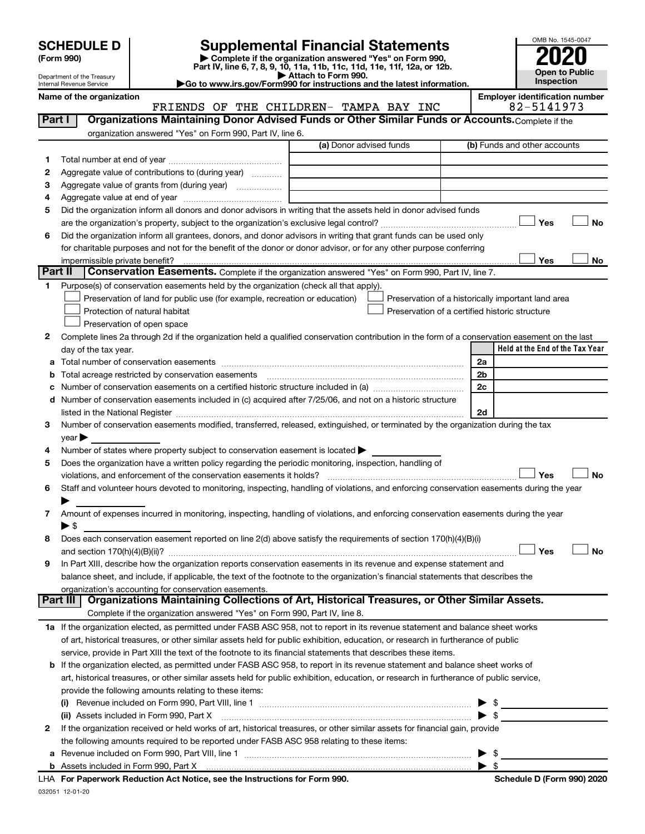| (Form 990) |  |
|------------|--|
|------------|--|

# **SCHEDULE D Supplemental Financial Statements**<br> **Form 990 2020**<br> **Part IV** line 6.7.8.9.10, 11a, 11b, 11d, 11d, 11d, 11d, 11d, 12a, 0r, 12b

**(Form 990) | Complete if the organization answered "Yes" on Form 990, Part IV, line 6, 7, 8, 9, 10, 11a, 11b, 11c, 11d, 11e, 11f, 12a, or 12b.**

**| Attach to Form 990. |Go to www.irs.gov/Form990 for instructions and the latest information.**



Department of the Treasury Internal Revenue Service

Name of the organization<br>**ERIENDS OF THE CHILDREN- TAMPA BAY INC** 82-5141973 FRIENDS OF THE CHILDREN- TAMPA BAY INC

|         | Organizations Maintaining Donor Advised Funds or Other Similar Funds or Accounts. Complete if the<br>Part I                                                                                                                   |                         |                                                    |  |  |  |  |  |  |
|---------|-------------------------------------------------------------------------------------------------------------------------------------------------------------------------------------------------------------------------------|-------------------------|----------------------------------------------------|--|--|--|--|--|--|
|         | organization answered "Yes" on Form 990, Part IV, line 6.                                                                                                                                                                     |                         |                                                    |  |  |  |  |  |  |
|         |                                                                                                                                                                                                                               | (a) Donor advised funds | (b) Funds and other accounts                       |  |  |  |  |  |  |
| 1.      |                                                                                                                                                                                                                               |                         |                                                    |  |  |  |  |  |  |
| 2       | Aggregate value of contributions to (during year)                                                                                                                                                                             |                         |                                                    |  |  |  |  |  |  |
| з       | Aggregate value of grants from (during year)                                                                                                                                                                                  |                         |                                                    |  |  |  |  |  |  |
| 4       |                                                                                                                                                                                                                               |                         |                                                    |  |  |  |  |  |  |
| 5       | Did the organization inform all donors and donor advisors in writing that the assets held in donor advised funds                                                                                                              |                         |                                                    |  |  |  |  |  |  |
|         |                                                                                                                                                                                                                               |                         | Yes<br>No                                          |  |  |  |  |  |  |
| 6       | Did the organization inform all grantees, donors, and donor advisors in writing that grant funds can be used only                                                                                                             |                         |                                                    |  |  |  |  |  |  |
|         | for charitable purposes and not for the benefit of the donor or donor advisor, or for any other purpose conferring                                                                                                            |                         |                                                    |  |  |  |  |  |  |
|         | Yes<br>No<br>impermissible private benefit?                                                                                                                                                                                   |                         |                                                    |  |  |  |  |  |  |
| Part II | <b>Conservation Easements.</b> Complete if the organization answered "Yes" on Form 990, Part IV, line 7.                                                                                                                      |                         |                                                    |  |  |  |  |  |  |
| 1.      | Purpose(s) of conservation easements held by the organization (check all that apply).                                                                                                                                         |                         |                                                    |  |  |  |  |  |  |
|         | Preservation of land for public use (for example, recreation or education)                                                                                                                                                    |                         | Preservation of a historically important land area |  |  |  |  |  |  |
|         | Protection of natural habitat                                                                                                                                                                                                 |                         | Preservation of a certified historic structure     |  |  |  |  |  |  |
|         | Preservation of open space                                                                                                                                                                                                    |                         |                                                    |  |  |  |  |  |  |
| 2       | Complete lines 2a through 2d if the organization held a qualified conservation contribution in the form of a conservation easement on the last                                                                                |                         |                                                    |  |  |  |  |  |  |
|         | day of the tax year.                                                                                                                                                                                                          |                         | Held at the End of the Tax Year                    |  |  |  |  |  |  |
|         |                                                                                                                                                                                                                               |                         | 2a                                                 |  |  |  |  |  |  |
|         | <b>b</b> Total acreage restricted by conservation easements                                                                                                                                                                   |                         | 2b                                                 |  |  |  |  |  |  |
| с       | Number of conservation easements on a certified historic structure included in (a) manufacture included in (a)                                                                                                                |                         | 2c                                                 |  |  |  |  |  |  |
|         | d Number of conservation easements included in (c) acquired after 7/25/06, and not on a historic structure                                                                                                                    |                         |                                                    |  |  |  |  |  |  |
|         | listed in the National Register [111] in the National Register [11] in the National Assembly District Press, and District Press, and District Press, and District Press, and District Press, and District Press, and District |                         | 2d                                                 |  |  |  |  |  |  |
| 3       | Number of conservation easements modified, transferred, released, extinguished, or terminated by the organization during the tax                                                                                              |                         |                                                    |  |  |  |  |  |  |
|         | year<br>Number of states where property subject to conservation easement is located >                                                                                                                                         |                         |                                                    |  |  |  |  |  |  |
| 4<br>5  | Does the organization have a written policy regarding the periodic monitoring, inspection, handling of                                                                                                                        |                         |                                                    |  |  |  |  |  |  |
|         | violations, and enforcement of the conservation easements it holds?                                                                                                                                                           |                         | Yes<br>No                                          |  |  |  |  |  |  |
| 6       | Staff and volunteer hours devoted to monitoring, inspecting, handling of violations, and enforcing conservation easements during the year                                                                                     |                         |                                                    |  |  |  |  |  |  |
|         |                                                                                                                                                                                                                               |                         |                                                    |  |  |  |  |  |  |
| 7       | Amount of expenses incurred in monitoring, inspecting, handling of violations, and enforcing conservation easements during the year                                                                                           |                         |                                                    |  |  |  |  |  |  |
|         | ▶ \$                                                                                                                                                                                                                          |                         |                                                    |  |  |  |  |  |  |
| 8       | Does each conservation easement reported on line 2(d) above satisfy the requirements of section 170(h)(4)(B)(i)                                                                                                               |                         |                                                    |  |  |  |  |  |  |
|         |                                                                                                                                                                                                                               |                         | Yes<br>No                                          |  |  |  |  |  |  |
| 9       | In Part XIII, describe how the organization reports conservation easements in its revenue and expense statement and                                                                                                           |                         |                                                    |  |  |  |  |  |  |
|         | balance sheet, and include, if applicable, the text of the footnote to the organization's financial statements that describes the                                                                                             |                         |                                                    |  |  |  |  |  |  |
|         | organization's accounting for conservation easements.                                                                                                                                                                         |                         |                                                    |  |  |  |  |  |  |
|         | Organizations Maintaining Collections of Art, Historical Treasures, or Other Similar Assets.<br><b>Part III</b>                                                                                                               |                         |                                                    |  |  |  |  |  |  |
|         | Complete if the organization answered "Yes" on Form 990, Part IV, line 8.                                                                                                                                                     |                         |                                                    |  |  |  |  |  |  |
|         | 1a If the organization elected, as permitted under FASB ASC 958, not to report in its revenue statement and balance sheet works                                                                                               |                         |                                                    |  |  |  |  |  |  |
|         | of art, historical treasures, or other similar assets held for public exhibition, education, or research in furtherance of public                                                                                             |                         |                                                    |  |  |  |  |  |  |
|         | service, provide in Part XIII the text of the footnote to its financial statements that describes these items.                                                                                                                |                         |                                                    |  |  |  |  |  |  |
|         | <b>b</b> If the organization elected, as permitted under FASB ASC 958, to report in its revenue statement and balance sheet works of                                                                                          |                         |                                                    |  |  |  |  |  |  |
|         | art, historical treasures, or other similar assets held for public exhibition, education, or research in furtherance of public service,                                                                                       |                         |                                                    |  |  |  |  |  |  |
|         | provide the following amounts relating to these items:                                                                                                                                                                        |                         |                                                    |  |  |  |  |  |  |
|         |                                                                                                                                                                                                                               |                         |                                                    |  |  |  |  |  |  |
|         | (ii) Assets included in Form 990, Part X                                                                                                                                                                                      |                         | $\blacktriangleright$ \$                           |  |  |  |  |  |  |
| 2       | If the organization received or held works of art, historical treasures, or other similar assets for financial gain, provide                                                                                                  |                         |                                                    |  |  |  |  |  |  |
|         | the following amounts required to be reported under FASB ASC 958 relating to these items:                                                                                                                                     |                         |                                                    |  |  |  |  |  |  |
| а       |                                                                                                                                                                                                                               |                         | \$                                                 |  |  |  |  |  |  |
|         |                                                                                                                                                                                                                               | $\sim$                  | $\blacktriangleright$ \$                           |  |  |  |  |  |  |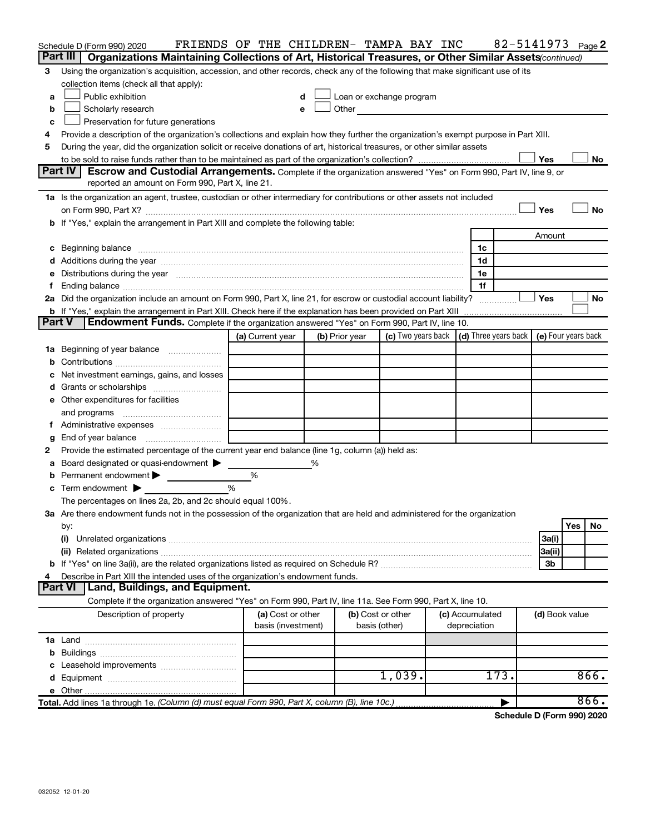|        | Schedule D (Form 990) 2020                                                                                                                                                                                                     | FRIENDS OF THE CHILDREN- TAMPA BAY INC  |                |                                                                                                                                                                                                                               |                                 |      |                | 82-5141973 Page 2 |
|--------|--------------------------------------------------------------------------------------------------------------------------------------------------------------------------------------------------------------------------------|-----------------------------------------|----------------|-------------------------------------------------------------------------------------------------------------------------------------------------------------------------------------------------------------------------------|---------------------------------|------|----------------|-------------------|
|        | Part III   Organizations Maintaining Collections of Art, Historical Treasures, or Other Similar Assets (continued)                                                                                                             |                                         |                |                                                                                                                                                                                                                               |                                 |      |                |                   |
| 3      | Using the organization's acquisition, accession, and other records, check any of the following that make significant use of its                                                                                                |                                         |                |                                                                                                                                                                                                                               |                                 |      |                |                   |
|        | collection items (check all that apply):                                                                                                                                                                                       |                                         |                |                                                                                                                                                                                                                               |                                 |      |                |                   |
| a      | Public exhibition                                                                                                                                                                                                              | d                                       |                | Loan or exchange program                                                                                                                                                                                                      |                                 |      |                |                   |
| b      | Scholarly research                                                                                                                                                                                                             | e                                       |                | Other and the contract of the contract of the contract of the contract of the contract of the contract of the contract of the contract of the contract of the contract of the contract of the contract of the contract of the |                                 |      |                |                   |
| с      | Preservation for future generations                                                                                                                                                                                            |                                         |                |                                                                                                                                                                                                                               |                                 |      |                |                   |
|        | Provide a description of the organization's collections and explain how they further the organization's exempt purpose in Part XIII.                                                                                           |                                         |                |                                                                                                                                                                                                                               |                                 |      |                |                   |
| 5      | During the year, did the organization solicit or receive donations of art, historical treasures, or other similar assets                                                                                                       |                                         |                |                                                                                                                                                                                                                               |                                 |      |                |                   |
|        |                                                                                                                                                                                                                                |                                         |                |                                                                                                                                                                                                                               |                                 |      | Yes            | No                |
|        | <b>Part IV</b><br><b>Escrow and Custodial Arrangements.</b> Complete if the organization answered "Yes" on Form 990, Part IV, line 9, or                                                                                       |                                         |                |                                                                                                                                                                                                                               |                                 |      |                |                   |
|        | reported an amount on Form 990, Part X, line 21.                                                                                                                                                                               |                                         |                |                                                                                                                                                                                                                               |                                 |      |                |                   |
|        | 1a Is the organization an agent, trustee, custodian or other intermediary for contributions or other assets not included                                                                                                       |                                         |                |                                                                                                                                                                                                                               |                                 |      |                |                   |
|        |                                                                                                                                                                                                                                |                                         |                |                                                                                                                                                                                                                               |                                 |      | Yes            | No                |
|        | b If "Yes," explain the arrangement in Part XIII and complete the following table:                                                                                                                                             |                                         |                |                                                                                                                                                                                                                               |                                 |      |                |                   |
|        |                                                                                                                                                                                                                                |                                         |                |                                                                                                                                                                                                                               |                                 |      | Amount         |                   |
|        |                                                                                                                                                                                                                                |                                         |                |                                                                                                                                                                                                                               | 1c                              |      |                |                   |
|        |                                                                                                                                                                                                                                |                                         |                |                                                                                                                                                                                                                               | 1d                              |      |                |                   |
|        | e Distributions during the year manufactured and continuum control of the control of the control of the state of the state of the control of the control of the control of the control of the control of the control of the co |                                         |                |                                                                                                                                                                                                                               | 1e                              |      |                |                   |
|        | 2a Did the organization include an amount on Form 990, Part X, line 21, for escrow or custodial account liability?                                                                                                             |                                         |                |                                                                                                                                                                                                                               | 1f                              |      | ∣ Yes          | No                |
|        | <b>b</b> If "Yes," explain the arrangement in Part XIII. Check here if the explanation has been provided on Part XIII                                                                                                          |                                         |                |                                                                                                                                                                                                                               |                                 | .    |                |                   |
| Part V | Endowment Funds. Complete if the organization answered "Yes" on Form 990, Part IV, line 10.                                                                                                                                    |                                         |                |                                                                                                                                                                                                                               |                                 |      |                |                   |
|        |                                                                                                                                                                                                                                | (a) Current year                        | (b) Prior year | (c) Two years back $\vert$ (d) Three years back $\vert$ (e) Four years back                                                                                                                                                   |                                 |      |                |                   |
| 1а     | Beginning of year balance                                                                                                                                                                                                      |                                         |                |                                                                                                                                                                                                                               |                                 |      |                |                   |
|        |                                                                                                                                                                                                                                |                                         |                |                                                                                                                                                                                                                               |                                 |      |                |                   |
|        | Net investment earnings, gains, and losses                                                                                                                                                                                     |                                         |                |                                                                                                                                                                                                                               |                                 |      |                |                   |
|        |                                                                                                                                                                                                                                |                                         |                |                                                                                                                                                                                                                               |                                 |      |                |                   |
|        | e Other expenditures for facilities                                                                                                                                                                                            |                                         |                |                                                                                                                                                                                                                               |                                 |      |                |                   |
|        |                                                                                                                                                                                                                                |                                         |                |                                                                                                                                                                                                                               |                                 |      |                |                   |
|        |                                                                                                                                                                                                                                |                                         |                |                                                                                                                                                                                                                               |                                 |      |                |                   |
| g      |                                                                                                                                                                                                                                |                                         |                |                                                                                                                                                                                                                               |                                 |      |                |                   |
| 2      | Provide the estimated percentage of the current year end balance (line 1g, column (a)) held as:                                                                                                                                |                                         |                |                                                                                                                                                                                                                               |                                 |      |                |                   |
| а      | Board designated or quasi-endowment                                                                                                                                                                                            |                                         | %              |                                                                                                                                                                                                                               |                                 |      |                |                   |
|        | Permanent endowment                                                                                                                                                                                                            | %                                       |                |                                                                                                                                                                                                                               |                                 |      |                |                   |
|        | Term endowment $\blacktriangleright$                                                                                                                                                                                           | $\frac{0}{0}$                           |                |                                                                                                                                                                                                                               |                                 |      |                |                   |
|        | The percentages on lines 2a, 2b, and 2c should equal 100%.                                                                                                                                                                     |                                         |                |                                                                                                                                                                                                                               |                                 |      |                |                   |
|        | 3a Are there endowment funds not in the possession of the organization that are held and administered for the organization                                                                                                     |                                         |                |                                                                                                                                                                                                                               |                                 |      |                |                   |
|        | by:                                                                                                                                                                                                                            |                                         |                |                                                                                                                                                                                                                               |                                 |      |                | Yes<br>No.        |
|        | (i)                                                                                                                                                                                                                            |                                         |                |                                                                                                                                                                                                                               |                                 |      | 3a(i)          |                   |
|        |                                                                                                                                                                                                                                |                                         |                |                                                                                                                                                                                                                               |                                 |      | 3a(ii)         |                   |
|        |                                                                                                                                                                                                                                |                                         |                |                                                                                                                                                                                                                               |                                 |      | 3b             |                   |
|        | Describe in Part XIII the intended uses of the organization's endowment funds.                                                                                                                                                 |                                         |                |                                                                                                                                                                                                                               |                                 |      |                |                   |
|        | <b>Land, Buildings, and Equipment.</b><br><b>Part VI</b>                                                                                                                                                                       |                                         |                |                                                                                                                                                                                                                               |                                 |      |                |                   |
|        | Complete if the organization answered "Yes" on Form 990, Part IV, line 11a. See Form 990, Part X, line 10.                                                                                                                     |                                         |                |                                                                                                                                                                                                                               |                                 |      |                |                   |
|        | Description of property                                                                                                                                                                                                        | (a) Cost or other<br>basis (investment) |                | (b) Cost or other<br>basis (other)                                                                                                                                                                                            | (c) Accumulated<br>depreciation |      | (d) Book value |                   |
|        |                                                                                                                                                                                                                                |                                         |                |                                                                                                                                                                                                                               |                                 |      |                |                   |
|        |                                                                                                                                                                                                                                |                                         |                |                                                                                                                                                                                                                               |                                 |      |                |                   |
|        |                                                                                                                                                                                                                                |                                         |                |                                                                                                                                                                                                                               |                                 |      |                |                   |
|        |                                                                                                                                                                                                                                |                                         |                | 1,039.                                                                                                                                                                                                                        |                                 | 173. |                | 866.              |
|        |                                                                                                                                                                                                                                |                                         |                |                                                                                                                                                                                                                               |                                 |      |                |                   |
|        | Total. Add lines 1a through 1e. (Column (d) must equal Form 990, Part X, column (B), line 10c.)                                                                                                                                |                                         |                |                                                                                                                                                                                                                               |                                 |      |                | 866.              |

**Schedule D (Form 990) 2020**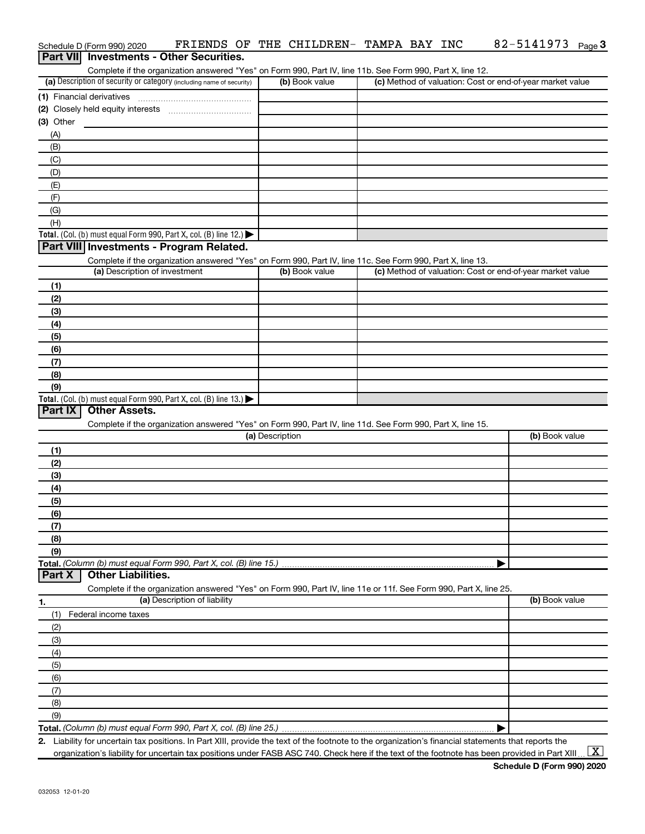|                | Schedule D (Form 990) 2020    | FRIENDS OF THE CHILDREN- TAMPA BAY INC                                                                                                               |                 |                |  | 82-5141973                                                | Page 3 |
|----------------|-------------------------------|------------------------------------------------------------------------------------------------------------------------------------------------------|-----------------|----------------|--|-----------------------------------------------------------|--------|
|                |                               | <b>Part VII</b> Investments - Other Securities.                                                                                                      |                 |                |  |                                                           |        |
|                |                               | Complete if the organization answered "Yes" on Form 990, Part IV, line 11b. See Form 990, Part X, line 12.                                           |                 |                |  |                                                           |        |
|                |                               | (a) Description of security or category (including name of security)                                                                                 |                 | (b) Book value |  | (c) Method of valuation: Cost or end-of-year market value |        |
|                |                               |                                                                                                                                                      |                 |                |  |                                                           |        |
|                |                               |                                                                                                                                                      |                 |                |  |                                                           |        |
| $(3)$ Other    |                               |                                                                                                                                                      |                 |                |  |                                                           |        |
| (A)            |                               |                                                                                                                                                      |                 |                |  |                                                           |        |
| (B)            |                               |                                                                                                                                                      |                 |                |  |                                                           |        |
|                |                               |                                                                                                                                                      |                 |                |  |                                                           |        |
| (C)            |                               |                                                                                                                                                      |                 |                |  |                                                           |        |
| (D)            |                               |                                                                                                                                                      |                 |                |  |                                                           |        |
| (E)            |                               |                                                                                                                                                      |                 |                |  |                                                           |        |
| (F)            |                               |                                                                                                                                                      |                 |                |  |                                                           |        |
| (G)            |                               |                                                                                                                                                      |                 |                |  |                                                           |        |
| (H)            |                               |                                                                                                                                                      |                 |                |  |                                                           |        |
|                |                               | Total. (Col. (b) must equal Form 990, Part X, col. (B) line 12.)                                                                                     |                 |                |  |                                                           |        |
|                |                               | Part VIII Investments - Program Related.                                                                                                             |                 |                |  |                                                           |        |
|                |                               | Complete if the organization answered "Yes" on Form 990, Part IV, line 11c. See Form 990, Part X, line 13.                                           |                 |                |  |                                                           |        |
|                | (a) Description of investment |                                                                                                                                                      |                 | (b) Book value |  | (c) Method of valuation: Cost or end-of-year market value |        |
| (1)            |                               |                                                                                                                                                      |                 |                |  |                                                           |        |
| (2)            |                               |                                                                                                                                                      |                 |                |  |                                                           |        |
| (3)            |                               |                                                                                                                                                      |                 |                |  |                                                           |        |
| (4)            |                               |                                                                                                                                                      |                 |                |  |                                                           |        |
| (5)            |                               |                                                                                                                                                      |                 |                |  |                                                           |        |
| (6)            |                               |                                                                                                                                                      |                 |                |  |                                                           |        |
| (7)            |                               |                                                                                                                                                      |                 |                |  |                                                           |        |
| (8)            |                               |                                                                                                                                                      |                 |                |  |                                                           |        |
| (9)            |                               |                                                                                                                                                      |                 |                |  |                                                           |        |
|                |                               | Total. (Col. (b) must equal Form 990, Part X, col. (B) line 13.)                                                                                     |                 |                |  |                                                           |        |
| <b>Part IX</b> | <b>Other Assets.</b>          |                                                                                                                                                      |                 |                |  |                                                           |        |
|                |                               | Complete if the organization answered "Yes" on Form 990, Part IV, line 11d. See Form 990, Part X, line 15.                                           |                 |                |  |                                                           |        |
|                |                               |                                                                                                                                                      | (a) Description |                |  | (b) Book value                                            |        |
| (1)            |                               |                                                                                                                                                      |                 |                |  |                                                           |        |
| (2)            |                               |                                                                                                                                                      |                 |                |  |                                                           |        |
| (3)            |                               |                                                                                                                                                      |                 |                |  |                                                           |        |
| (4)            |                               |                                                                                                                                                      |                 |                |  |                                                           |        |
| (5)            |                               |                                                                                                                                                      |                 |                |  |                                                           |        |
| (6)            |                               |                                                                                                                                                      |                 |                |  |                                                           |        |
| (7)            |                               |                                                                                                                                                      |                 |                |  |                                                           |        |
| (8)            |                               |                                                                                                                                                      |                 |                |  |                                                           |        |
| (9)            |                               |                                                                                                                                                      |                 |                |  |                                                           |        |
|                |                               | Total. (Column (b) must equal Form 990, Part X, col. (B) line 15.)                                                                                   |                 |                |  |                                                           |        |
| <b>Part X</b>  | <b>Other Liabilities.</b>     |                                                                                                                                                      |                 |                |  |                                                           |        |
|                |                               | Complete if the organization answered "Yes" on Form 990, Part IV, line 11e or 11f. See Form 990, Part X, line 25.                                    |                 |                |  |                                                           |        |
| 1.             |                               | (a) Description of liability                                                                                                                         |                 |                |  | (b) Book value                                            |        |
| (1)            | Federal income taxes          |                                                                                                                                                      |                 |                |  |                                                           |        |
|                |                               |                                                                                                                                                      |                 |                |  |                                                           |        |
| (2)            |                               |                                                                                                                                                      |                 |                |  |                                                           |        |
| (3)            |                               |                                                                                                                                                      |                 |                |  |                                                           |        |
| (4)            |                               |                                                                                                                                                      |                 |                |  |                                                           |        |
| (5)            |                               |                                                                                                                                                      |                 |                |  |                                                           |        |
| (6)            |                               |                                                                                                                                                      |                 |                |  |                                                           |        |
| (7)            |                               |                                                                                                                                                      |                 |                |  |                                                           |        |
| (8)            |                               |                                                                                                                                                      |                 |                |  |                                                           |        |
| (9)            |                               |                                                                                                                                                      |                 |                |  |                                                           |        |
|                |                               |                                                                                                                                                      |                 |                |  |                                                           |        |
|                |                               | 2. Liability for uncertain tax positions. In Part XIII, provide the text of the footnote to the organization's financial statements that reports the |                 |                |  |                                                           |        |

organization's liability for uncertain tax positions under FASB ASC 740. Check here if the text of the footnote has been provided in Part XIII ...  $\fbox{\bf X}$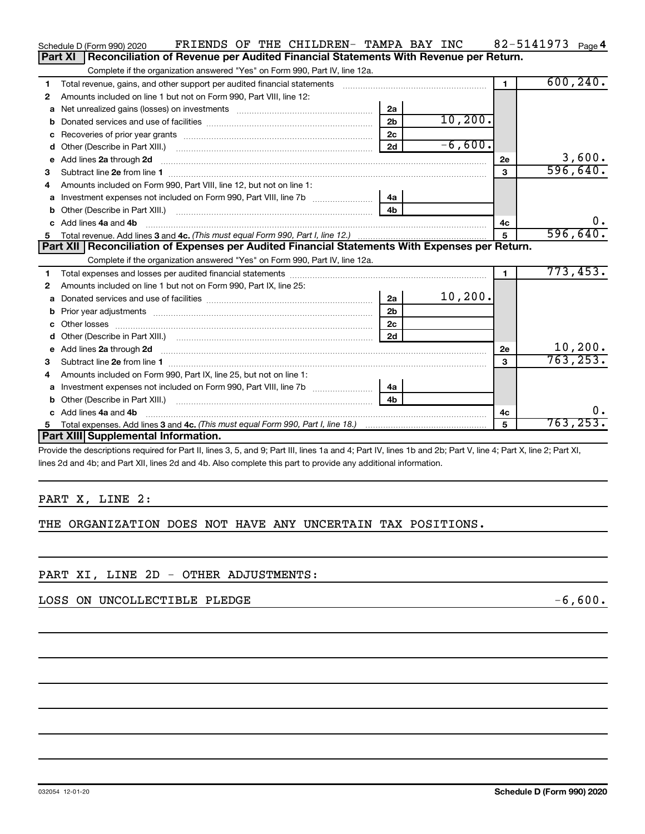|    | FRIENDS OF THE CHILDREN- TAMPA BAY INC<br>Schedule D (Form 990) 2020                                                    |                |           |                | 82-5141973 $_{Page 4}$ |
|----|-------------------------------------------------------------------------------------------------------------------------|----------------|-----------|----------------|------------------------|
|    | Reconciliation of Revenue per Audited Financial Statements With Revenue per Return.<br>Part XI                          |                |           |                |                        |
|    | Complete if the organization answered "Yes" on Form 990, Part IV, line 12a.                                             |                |           |                |                        |
| 1  | Total revenue, gains, and other support per audited financial statements                                                |                |           | $\blacksquare$ | 600, 240.              |
| 2  | Amounts included on line 1 but not on Form 990, Part VIII, line 12:                                                     |                |           |                |                        |
| a  |                                                                                                                         | 2a             |           |                |                        |
|    |                                                                                                                         | 2 <sub>b</sub> | 10, 200.  |                |                        |
|    |                                                                                                                         | 2 <sub>c</sub> |           |                |                        |
| d  |                                                                                                                         | 2d             | $-6,600.$ |                |                        |
| е  | Add lines 2a through 2d                                                                                                 |                |           | <b>2e</b>      | 3,600.                 |
| З  |                                                                                                                         |                |           | $\mathbf{3}$   | 596,640.               |
| 4  | Amounts included on Form 990, Part VIII, line 12, but not on line 1:                                                    |                |           |                |                        |
|    |                                                                                                                         |                |           |                |                        |
|    |                                                                                                                         | 4 <sub>b</sub> |           |                |                        |
|    | c Add lines 4a and 4b                                                                                                   |                |           | 4c             | 0.                     |
|    |                                                                                                                         | $5\phantom{1}$ | 596,640.  |                |                        |
|    |                                                                                                                         |                |           |                |                        |
|    | Part XII   Reconciliation of Expenses per Audited Financial Statements With Expenses per Return.                        |                |           |                |                        |
|    | Complete if the organization answered "Yes" on Form 990, Part IV, line 12a.                                             |                |           |                |                        |
| 1  |                                                                                                                         |                |           | $\blacksquare$ | 773,453.               |
| 2  | Amounts included on line 1 but not on Form 990, Part IX, line 25:                                                       |                |           |                |                        |
| a  |                                                                                                                         | 2a             | 10, 200.  |                |                        |
| b  |                                                                                                                         | 2 <sub>b</sub> |           |                |                        |
|    | Other losses                                                                                                            | 2c             |           |                |                        |
| d  |                                                                                                                         | 2d             |           |                |                        |
| e  | Add lines 2a through 2d <b>continuum contract and all contract and all contract and all contract and all contract a</b> |                |           | 2e             | 10, 200.               |
| з  |                                                                                                                         |                |           | 3              | 763, 253.              |
| 4  | Amounts included on Form 990, Part IX, line 25, but not on line 1:                                                      |                |           |                |                        |
| a  |                                                                                                                         | 4a             |           |                |                        |
|    | Other (Describe in Part XIII.)                                                                                          | 4 <sub>b</sub> |           |                |                        |
|    | Add lines 4a and 4b                                                                                                     |                |           | 4c             | 0.                     |
| 5. | Part XIII Supplemental Information.                                                                                     |                |           | 5              | 763, 253.              |

Provide the descriptions required for Part II, lines 3, 5, and 9; Part III, lines 1a and 4; Part IV, lines 1b and 2b; Part V, line 4; Part X, line 2; Part XI, lines 2d and 4b; and Part XII, lines 2d and 4b. Also complete this part to provide any additional information.

## PART X, LINE 2:

THE ORGANIZATION DOES NOT HAVE ANY UNCERTAIN TAX POSITIONS.

## PART XI, LINE 2D - OTHER ADJUSTMENTS:

LOSS ON UNCOLLECTIBLE PLEDGE  $-6,600$ .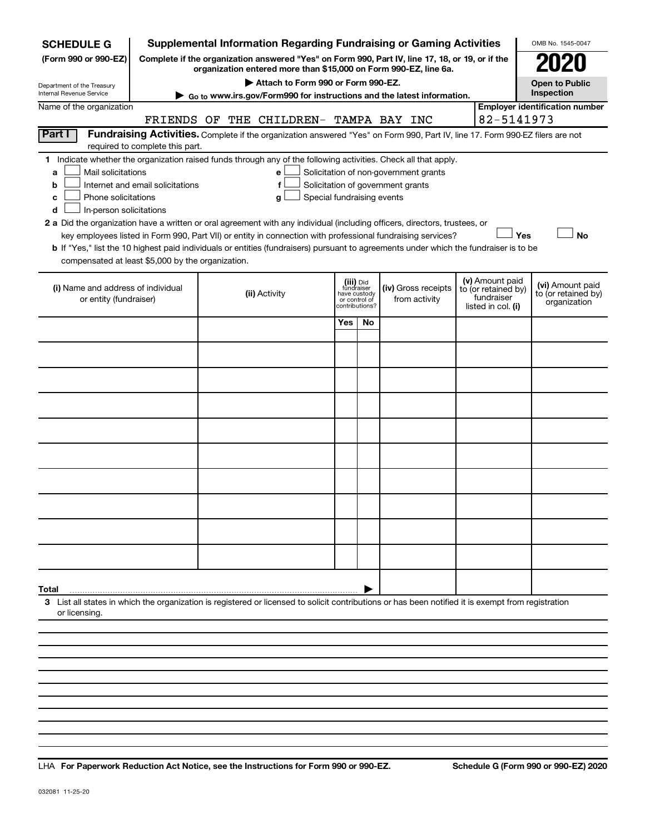| <b>SCHEDULE G</b>                                                                                                                                          |                                                                            |               | <b>Supplemental Information Regarding Fundraising or Gaming Activities</b>                                                                                          |     |                                 |                                      |                                       |  |                                   | OMB No. 1545-0047                       |
|------------------------------------------------------------------------------------------------------------------------------------------------------------|----------------------------------------------------------------------------|---------------|---------------------------------------------------------------------------------------------------------------------------------------------------------------------|-----|---------------------------------|--------------------------------------|---------------------------------------|--|-----------------------------------|-----------------------------------------|
| (Form 990 or 990-EZ)                                                                                                                                       |                                                                            |               | Complete if the organization answered "Yes" on Form 990, Part IV, line 17, 18, or 19, or if the<br>organization entered more than \$15,000 on Form 990-EZ, line 6a. |     |                                 |                                      |                                       |  |                                   |                                         |
| Department of the Treasury                                                                                                                                 |                                                                            |               | Attach to Form 990 or Form 990-EZ.                                                                                                                                  |     |                                 |                                      |                                       |  |                                   | <b>Open to Public</b>                   |
| Internal Revenue Service                                                                                                                                   |                                                                            |               | ► Go to www.irs.gov/Form990 for instructions and the latest information.                                                                                            |     |                                 |                                      |                                       |  |                                   | Inspection                              |
| Name of the organization                                                                                                                                   |                                                                            |               |                                                                                                                                                                     |     |                                 |                                      |                                       |  | 82-5141973                        | <b>Employer identification number</b>   |
| Part I                                                                                                                                                     |                                                                            |               | FRIENDS OF THE CHILDREN- TAMPA BAY INC                                                                                                                              |     |                                 |                                      |                                       |  |                                   |                                         |
|                                                                                                                                                            | required to complete this part.                                            |               | Fundraising Activities. Complete if the organization answered "Yes" on Form 990, Part IV, line 17. Form 990-EZ filers are not                                       |     |                                 |                                      |                                       |  |                                   |                                         |
| 1 Indicate whether the organization raised funds through any of the following activities. Check all that apply.                                            |                                                                            |               |                                                                                                                                                                     |     |                                 |                                      |                                       |  |                                   |                                         |
| Mail solicitations<br>a                                                                                                                                    |                                                                            |               | e                                                                                                                                                                   |     |                                 |                                      | Solicitation of non-government grants |  |                                   |                                         |
| b                                                                                                                                                          | Internet and email solicitations<br>f<br>Solicitation of government grants |               |                                                                                                                                                                     |     |                                 |                                      |                                       |  |                                   |                                         |
| c                                                                                                                                                          | Phone solicitations<br>Special fundraising events<br>g                     |               |                                                                                                                                                                     |     |                                 |                                      |                                       |  |                                   |                                         |
| In-person solicitations<br>d<br>2 a Did the organization have a written or oral agreement with any individual (including officers, directors, trustees, or |                                                                            |               |                                                                                                                                                                     |     |                                 |                                      |                                       |  |                                   |                                         |
|                                                                                                                                                            |                                                                            |               | key employees listed in Form 990, Part VII) or entity in connection with professional fundraising services?                                                         |     |                                 |                                      |                                       |  |                                   | Yes<br><b>No</b>                        |
| b If "Yes," list the 10 highest paid individuals or entities (fundraisers) pursuant to agreements under which the fundraiser is to be                      |                                                                            |               |                                                                                                                                                                     |     |                                 |                                      |                                       |  |                                   |                                         |
| compensated at least \$5,000 by the organization.                                                                                                          |                                                                            |               |                                                                                                                                                                     |     |                                 |                                      |                                       |  |                                   |                                         |
|                                                                                                                                                            |                                                                            |               |                                                                                                                                                                     |     | (iii) Did                       |                                      |                                       |  | (v) Amount paid                   |                                         |
| (i) Name and address of individual                                                                                                                         |                                                                            | (ii) Activity |                                                                                                                                                                     |     | fundraiser<br>have custody      | (iv) Gross receipts<br>from activity |                                       |  | to (or retained by)<br>fundraiser | (vi) Amount paid<br>to (or retained by) |
| or entity (fundraiser)                                                                                                                                     |                                                                            |               |                                                                                                                                                                     |     | or control of<br>?contributions |                                      |                                       |  | listed in col. (i)                | organization                            |
|                                                                                                                                                            |                                                                            |               |                                                                                                                                                                     | Yes | No                              |                                      |                                       |  |                                   |                                         |
|                                                                                                                                                            |                                                                            |               |                                                                                                                                                                     |     |                                 |                                      |                                       |  |                                   |                                         |
|                                                                                                                                                            |                                                                            |               |                                                                                                                                                                     |     |                                 |                                      |                                       |  |                                   |                                         |
|                                                                                                                                                            |                                                                            |               |                                                                                                                                                                     |     |                                 |                                      |                                       |  |                                   |                                         |
|                                                                                                                                                            |                                                                            |               |                                                                                                                                                                     |     |                                 |                                      |                                       |  |                                   |                                         |
|                                                                                                                                                            |                                                                            |               |                                                                                                                                                                     |     |                                 |                                      |                                       |  |                                   |                                         |
|                                                                                                                                                            |                                                                            |               |                                                                                                                                                                     |     |                                 |                                      |                                       |  |                                   |                                         |
|                                                                                                                                                            |                                                                            |               |                                                                                                                                                                     |     |                                 |                                      |                                       |  |                                   |                                         |
|                                                                                                                                                            |                                                                            |               |                                                                                                                                                                     |     |                                 |                                      |                                       |  |                                   |                                         |
|                                                                                                                                                            |                                                                            |               |                                                                                                                                                                     |     |                                 |                                      |                                       |  |                                   |                                         |
|                                                                                                                                                            |                                                                            |               |                                                                                                                                                                     |     |                                 |                                      |                                       |  |                                   |                                         |
|                                                                                                                                                            |                                                                            |               |                                                                                                                                                                     |     |                                 |                                      |                                       |  |                                   |                                         |
|                                                                                                                                                            |                                                                            |               |                                                                                                                                                                     |     |                                 |                                      |                                       |  |                                   |                                         |
|                                                                                                                                                            |                                                                            |               |                                                                                                                                                                     |     |                                 |                                      |                                       |  |                                   |                                         |
| Total                                                                                                                                                      |                                                                            |               |                                                                                                                                                                     |     |                                 |                                      |                                       |  |                                   |                                         |
| 3 List all states in which the organization is registered or licensed to solicit contributions or has been notified it is exempt from registration         |                                                                            |               |                                                                                                                                                                     |     |                                 |                                      |                                       |  |                                   |                                         |
| or licensing.                                                                                                                                              |                                                                            |               |                                                                                                                                                                     |     |                                 |                                      |                                       |  |                                   |                                         |
|                                                                                                                                                            |                                                                            |               |                                                                                                                                                                     |     |                                 |                                      |                                       |  |                                   |                                         |
|                                                                                                                                                            |                                                                            |               |                                                                                                                                                                     |     |                                 |                                      |                                       |  |                                   |                                         |

**For Paperwork Reduction Act Notice, see the Instructions for Form 990 or 990-EZ. Schedule G (Form 990 or 990-EZ) 2020** LHA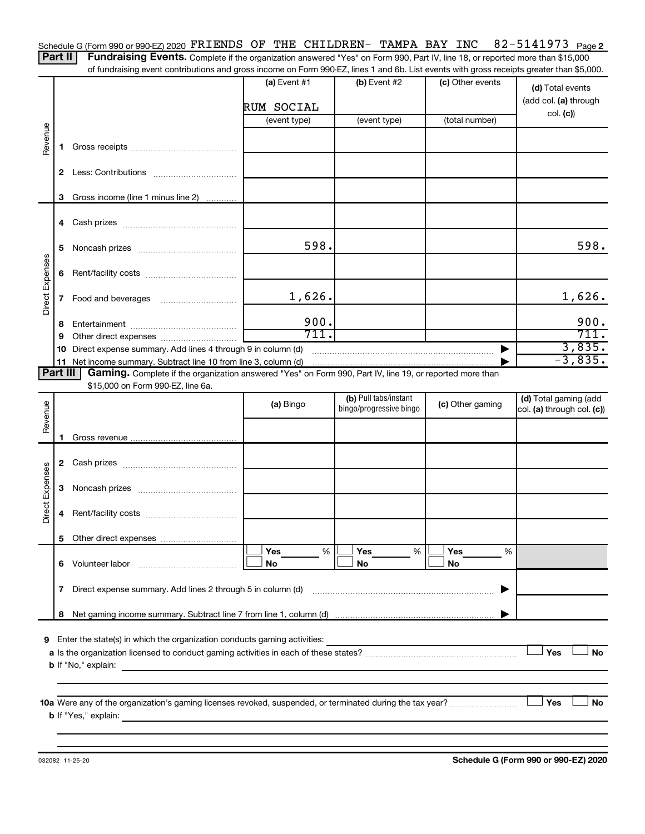82-5141973 Page 2 Schedule G (Form 990 or 990-EZ) 2020  $\verb|FRIENDS|$  OF THE CHILDREN- TAMPA BAY INC  $\>$  82-5141973  $\>$  Page

Part II | Fundraising Events. Complete if the organization answered "Yes" on Form 990, Part IV, line 18, or reported more than \$15,000 of fundraising event contributions and gross income on Form 990-EZ, lines 1 and 6b. List events with gross receipts greater than \$5,000.

|                 |    | randomy over it commutations and gross moonito on nominoco EZ, imos in and ob. Else events with gross receipts groater than \$0,000. |                |                                                  |                  |                                                     |
|-----------------|----|--------------------------------------------------------------------------------------------------------------------------------------|----------------|--------------------------------------------------|------------------|-----------------------------------------------------|
|                 |    |                                                                                                                                      | (a) Event $#1$ | (b) Event $#2$                                   | (c) Other events | (d) Total events<br>(add col. (a) through           |
|                 |    |                                                                                                                                      | RUM SOCIAL     |                                                  |                  | col. (c)                                            |
|                 |    |                                                                                                                                      | (event type)   | (event type)                                     | (total number)   |                                                     |
| Revenue         | 1. |                                                                                                                                      |                |                                                  |                  |                                                     |
|                 |    |                                                                                                                                      |                |                                                  |                  |                                                     |
|                 |    | 3 Gross income (line 1 minus line 2)                                                                                                 |                |                                                  |                  |                                                     |
|                 |    |                                                                                                                                      |                |                                                  |                  |                                                     |
|                 | 5  |                                                                                                                                      | 598.           |                                                  |                  | 598.                                                |
|                 |    |                                                                                                                                      |                |                                                  |                  |                                                     |
| Direct Expenses |    |                                                                                                                                      | 1,626.         |                                                  |                  | 1,626.                                              |
|                 | 8. |                                                                                                                                      | 900.           |                                                  |                  | 900.                                                |
|                 | 9  |                                                                                                                                      | 711.           |                                                  |                  | 711.                                                |
|                 |    | 10 Direct expense summary. Add lines 4 through 9 in column (d)                                                                       |                |                                                  |                  | $\frac{3,835}{-3,835}$                              |
|                 |    |                                                                                                                                      |                |                                                  |                  |                                                     |
| Part III        |    | Gaming. Complete if the organization answered "Yes" on Form 990, Part IV, line 19, or reported more than                             |                |                                                  |                  |                                                     |
|                 |    | \$15,000 on Form 990-EZ, line 6a.                                                                                                    |                |                                                  |                  |                                                     |
| Revenue         |    |                                                                                                                                      | (a) Bingo      | (b) Pull tabs/instant<br>bingo/progressive bingo | (c) Other gaming | (d) Total gaming (add<br>col. (a) through col. (c)) |
|                 |    |                                                                                                                                      |                |                                                  |                  |                                                     |
|                 |    |                                                                                                                                      |                |                                                  |                  |                                                     |
|                 |    |                                                                                                                                      |                |                                                  |                  |                                                     |
|                 |    |                                                                                                                                      |                |                                                  |                  |                                                     |
| Direct Expenses | 4  |                                                                                                                                      |                |                                                  |                  |                                                     |
|                 |    |                                                                                                                                      |                |                                                  |                  |                                                     |
|                 |    |                                                                                                                                      | Yes<br>%       | Yes<br>%                                         | Yes<br>%         |                                                     |
|                 |    | 6 Volunteer labor                                                                                                                    | No             | No                                               | No               |                                                     |
|                 | 7  | Direct expense summary. Add lines 2 through 5 in column (d)                                                                          |                |                                                  |                  |                                                     |
|                 | 8  |                                                                                                                                      |                |                                                  |                  |                                                     |
|                 |    | 9 Enter the state(s) in which the organization conducts gaming activities:                                                           |                |                                                  |                  |                                                     |
|                 |    |                                                                                                                                      |                |                                                  |                  | Yes<br><b>No</b>                                    |
|                 |    | <b>b</b> If "No," explain:                                                                                                           |                |                                                  |                  |                                                     |
|                 |    |                                                                                                                                      |                |                                                  |                  |                                                     |
|                 |    |                                                                                                                                      |                |                                                  |                  |                                                     |
|                 |    | <b>b</b> If "Yes," explain:                                                                                                          |                |                                                  |                  | Yes<br>No                                           |
|                 |    |                                                                                                                                      |                |                                                  |                  |                                                     |

032082 11-25-20

**Schedule G (Form 990 or 990-EZ) 2020**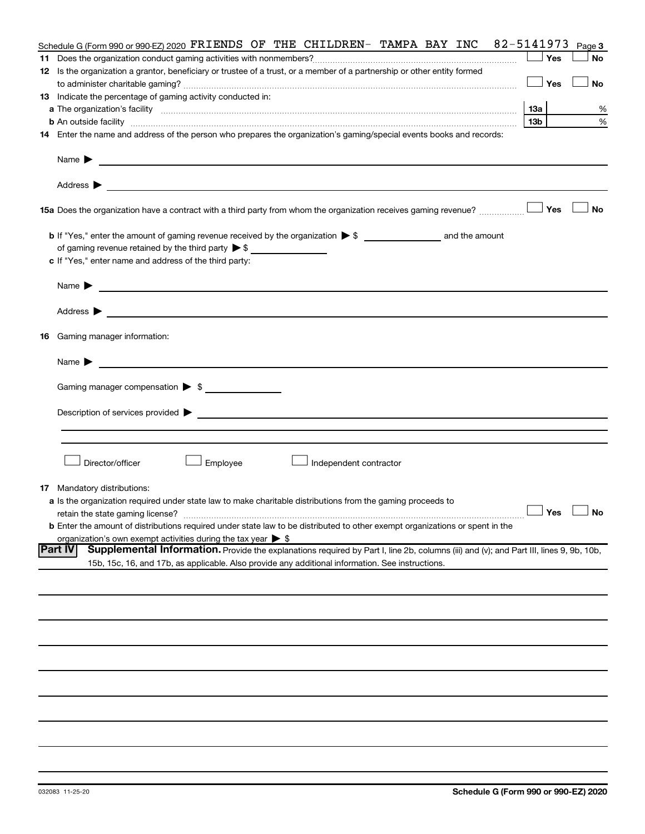|    | Schedule G (Form 990 or 990-EZ) 2020 FRIENDS OF THE CHILDREN- TAMPA BAY INC 82-5141973                                                                        |                 | Page 3               |
|----|---------------------------------------------------------------------------------------------------------------------------------------------------------------|-----------------|----------------------|
| 11 |                                                                                                                                                               |                 | Yes<br><b>No</b>     |
|    | 12 Is the organization a grantor, beneficiary or trustee of a trust, or a member of a partnership or other entity formed                                      |                 |                      |
|    |                                                                                                                                                               | Yes             | <b>No</b>            |
|    | 13 Indicate the percentage of gaming activity conducted in:                                                                                                   |                 |                      |
|    |                                                                                                                                                               | 13a             | %                    |
|    | <b>b</b> An outside facility <i>www.communicality www.communicality.communicality www.communicality www.communicality.communicality www.communicality.com</i> | 13 <sub>b</sub> | %                    |
|    | 14 Enter the name and address of the person who prepares the organization's gaming/special events books and records:                                          |                 |                      |
|    |                                                                                                                                                               |                 |                      |
|    | Name $\blacktriangleright$<br><u>and the contract of the contract of the contract of the contract of the contract of the contract of</u>                      |                 |                      |
|    |                                                                                                                                                               |                 |                      |
|    | 15a Does the organization have a contract with a third party from whom the organization receives gaming revenue?                                              | Yes             | <b>No</b>            |
|    |                                                                                                                                                               |                 |                      |
|    | of gaming revenue retained by the third party $\triangleright$ \$                                                                                             |                 |                      |
|    | c If "Yes," enter name and address of the third party:                                                                                                        |                 |                      |
|    |                                                                                                                                                               |                 |                      |
|    | Name $\blacktriangleright$ $\blacksquare$                                                                                                                     |                 |                      |
|    |                                                                                                                                                               |                 |                      |
|    | <b>16</b> Gaming manager information:                                                                                                                         |                 |                      |
|    | <u> 1989 - Johann Harry Harry Harry Harry Harry Harry Harry Harry Harry Harry Harry Harry Harry Harry Harry Harry</u><br>Name $\blacktriangleright$           |                 |                      |
|    | Gaming manager compensation > \$                                                                                                                              |                 |                      |
|    |                                                                                                                                                               |                 |                      |
|    | Description of services provided > example and the contract of the contract of the contract of the contract of                                                |                 |                      |
|    |                                                                                                                                                               |                 |                      |
|    |                                                                                                                                                               |                 |                      |
|    | Director/officer<br>Employee<br>Independent contractor                                                                                                        |                 |                      |
|    | <b>17</b> Mandatory distributions:                                                                                                                            |                 |                      |
|    | a Is the organization required under state law to make charitable distributions from the gaming proceeds to                                                   |                 |                      |
|    |                                                                                                                                                               |                 | $\Box$ Yes $\Box$ No |
|    | <b>b</b> Enter the amount of distributions required under state law to be distributed to other exempt organizations or spent in the                           |                 |                      |
|    | organization's own exempt activities during the tax year $\triangleright$ \$                                                                                  |                 |                      |
|    | Part IV<br>Supplemental Information. Provide the explanations required by Part I, line 2b, columns (iii) and (v); and Part III, lines 9, 9b, 10b,             |                 |                      |
|    | 15b, 15c, 16, and 17b, as applicable. Also provide any additional information. See instructions.                                                              |                 |                      |
|    |                                                                                                                                                               |                 |                      |
|    |                                                                                                                                                               |                 |                      |
|    |                                                                                                                                                               |                 |                      |
|    |                                                                                                                                                               |                 |                      |
|    |                                                                                                                                                               |                 |                      |
|    |                                                                                                                                                               |                 |                      |
|    |                                                                                                                                                               |                 |                      |
|    |                                                                                                                                                               |                 |                      |
|    |                                                                                                                                                               |                 |                      |
|    |                                                                                                                                                               |                 |                      |
|    |                                                                                                                                                               |                 |                      |
|    |                                                                                                                                                               |                 |                      |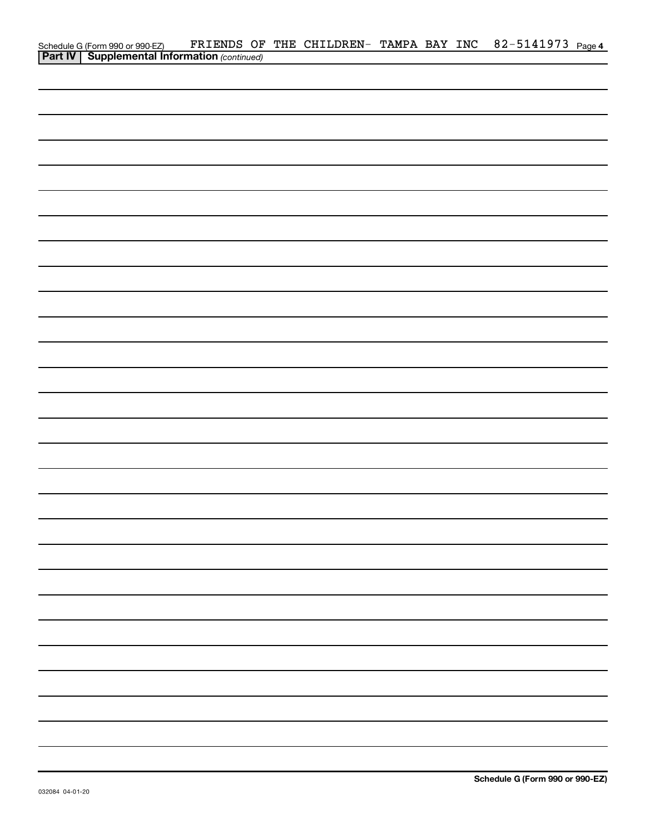|                                                                                                     |  | FRIENDS OF THE CHILDREN- TAMPA BAY INC |  | 82-5141973 Page 4 |  |
|-----------------------------------------------------------------------------------------------------|--|----------------------------------------|--|-------------------|--|
| Schedule G (Form 990 or 990-EZ) FRIENDS OF<br><b>Part IV   Supplemental Information</b> (continued) |  |                                        |  |                   |  |
|                                                                                                     |  |                                        |  |                   |  |
|                                                                                                     |  |                                        |  |                   |  |
|                                                                                                     |  |                                        |  |                   |  |
|                                                                                                     |  |                                        |  |                   |  |
|                                                                                                     |  |                                        |  |                   |  |
|                                                                                                     |  |                                        |  |                   |  |
|                                                                                                     |  |                                        |  |                   |  |
|                                                                                                     |  |                                        |  |                   |  |
|                                                                                                     |  |                                        |  |                   |  |
|                                                                                                     |  |                                        |  |                   |  |
|                                                                                                     |  |                                        |  |                   |  |
|                                                                                                     |  |                                        |  |                   |  |
|                                                                                                     |  |                                        |  |                   |  |
|                                                                                                     |  |                                        |  |                   |  |
|                                                                                                     |  |                                        |  |                   |  |
|                                                                                                     |  |                                        |  |                   |  |
|                                                                                                     |  |                                        |  |                   |  |
|                                                                                                     |  |                                        |  |                   |  |
|                                                                                                     |  |                                        |  |                   |  |
|                                                                                                     |  |                                        |  |                   |  |
|                                                                                                     |  |                                        |  |                   |  |
|                                                                                                     |  |                                        |  |                   |  |
|                                                                                                     |  |                                        |  |                   |  |
|                                                                                                     |  |                                        |  |                   |  |
|                                                                                                     |  |                                        |  |                   |  |
|                                                                                                     |  |                                        |  |                   |  |
|                                                                                                     |  |                                        |  |                   |  |
|                                                                                                     |  |                                        |  |                   |  |
|                                                                                                     |  |                                        |  |                   |  |
|                                                                                                     |  |                                        |  |                   |  |
|                                                                                                     |  |                                        |  |                   |  |
|                                                                                                     |  |                                        |  |                   |  |
|                                                                                                     |  |                                        |  |                   |  |
|                                                                                                     |  |                                        |  |                   |  |
|                                                                                                     |  |                                        |  |                   |  |
|                                                                                                     |  |                                        |  |                   |  |
|                                                                                                     |  |                                        |  |                   |  |
|                                                                                                     |  |                                        |  |                   |  |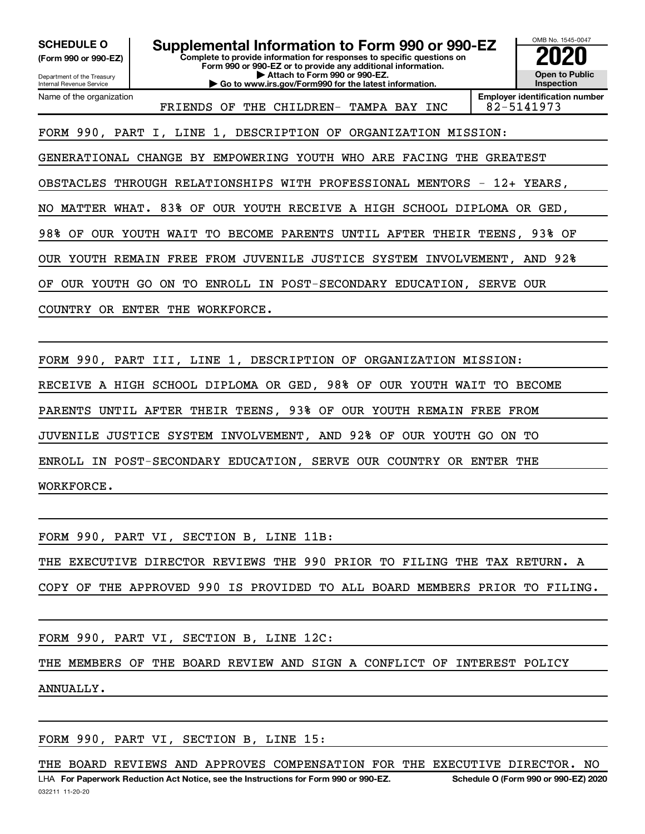**(Form 990 or 990-EZ)**

Department of the Treasury

**Complete to provide information for responses to specific questions on Form 990 or 990-EZ or to provide any additional information. | Attach to Form 990 or 990-EZ. | Go to www.irs.gov/Form990 for the latest information. SCHEDULE O Supplemental Information to Form 990 or 990-EZ 2020**<br>(Form 990 or 990-EZ) Complete to provide information for responses to specific questions on



Internal Revenue Service Name of the organization

FRIENDS OF THE CHILDREN- TAMPA BAY INC | 82-5141973

**Employer identification number**

FORM 990, PART I, LINE 1, DESCRIPTION OF ORGANIZATION MISSION:

GENERATIONAL CHANGE BY EMPOWERING YOUTH WHO ARE FACING THE GREATEST

OBSTACLES THROUGH RELATIONSHIPS WITH PROFESSIONAL MENTORS - 12+ YEARS,

NO MATTER WHAT. 83% OF OUR YOUTH RECEIVE A HIGH SCHOOL DIPLOMA OR GED,

98% OF OUR YOUTH WAIT TO BECOME PARENTS UNTIL AFTER THEIR TEENS, 93% OF

OUR YOUTH REMAIN FREE FROM JUVENILE JUSTICE SYSTEM INVOLVEMENT, AND 92%

OF OUR YOUTH GO ON TO ENROLL IN POST-SECONDARY EDUCATION, SERVE OUR

COUNTRY OR ENTER THE WORKFORCE.

FORM 990, PART III, LINE 1, DESCRIPTION OF ORGANIZATION MISSION: RECEIVE A HIGH SCHOOL DIPLOMA OR GED, 98% OF OUR YOUTH WAIT TO BECOME PARENTS UNTIL AFTER THEIR TEENS, 93% OF OUR YOUTH REMAIN FREE FROM JUVENILE JUSTICE SYSTEM INVOLVEMENT, AND 92% OF OUR YOUTH GO ON TO ENROLL IN POST-SECONDARY EDUCATION, SERVE OUR COUNTRY OR ENTER THE WORKFORCE.

FORM 990, PART VI, SECTION B, LINE 11B:

THE EXECUTIVE DIRECTOR REVIEWS THE 990 PRIOR TO FILING THE TAX RETURN. A

COPY OF THE APPROVED 990 IS PROVIDED TO ALL BOARD MEMBERS PRIOR TO FILING.

FORM 990, PART VI, SECTION B, LINE 12C:

THE MEMBERS OF THE BOARD REVIEW AND SIGN A CONFLICT OF INTEREST POLICY ANNUALLY.

FORM 990, PART VI, SECTION B, LINE 15:

THE BOARD REVIEWS AND APPROVES COMPENSATION FOR THE EXECUTIVE DIRECTOR. NO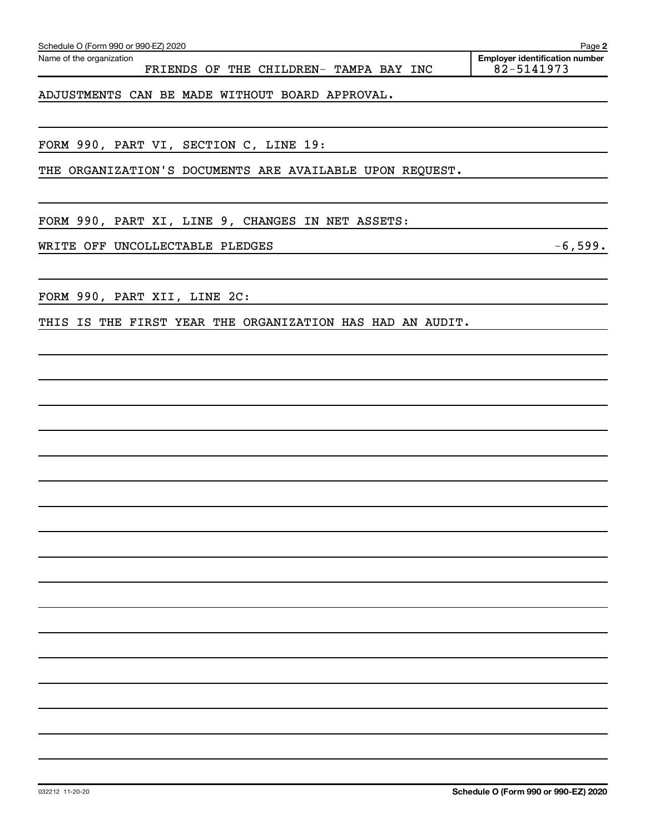| ADJUSTMENTS CAN BE MADE WITHOUT BOARD APPROVAL.                                                                        |  |  |  |  |  |  |
|------------------------------------------------------------------------------------------------------------------------|--|--|--|--|--|--|
|                                                                                                                        |  |  |  |  |  |  |
| FORM 990, PART VI, SECTION C, LINE 19:                                                                                 |  |  |  |  |  |  |
| THE ORGANIZATION'S DOCUMENTS ARE AVAILABLE UPON REQUEST.                                                               |  |  |  |  |  |  |
| <u> 1989 - Andrea Andrew Maria (h. 1989).</u>                                                                          |  |  |  |  |  |  |
| FORM 990, PART XI, LINE 9, CHANGES IN NET ASSETS:                                                                      |  |  |  |  |  |  |
| WRITE OFF UNCOLLECTABLE PLEDGES<br>$-6,599.$                                                                           |  |  |  |  |  |  |
|                                                                                                                        |  |  |  |  |  |  |
| FORM 990, PART XII, LINE 2C:                                                                                           |  |  |  |  |  |  |
| THIS IS THE FIRST YEAR THE ORGANIZATION HAS HAD AN AUDIT.<br><u> 1980 - Johann Barn, mars eta bainar eta idazlea (</u> |  |  |  |  |  |  |
| <u> 1989 - Andrea Andrew Maria (h. 1989).</u>                                                                          |  |  |  |  |  |  |
|                                                                                                                        |  |  |  |  |  |  |
|                                                                                                                        |  |  |  |  |  |  |
|                                                                                                                        |  |  |  |  |  |  |
|                                                                                                                        |  |  |  |  |  |  |
|                                                                                                                        |  |  |  |  |  |  |
|                                                                                                                        |  |  |  |  |  |  |
|                                                                                                                        |  |  |  |  |  |  |
|                                                                                                                        |  |  |  |  |  |  |
|                                                                                                                        |  |  |  |  |  |  |
|                                                                                                                        |  |  |  |  |  |  |
|                                                                                                                        |  |  |  |  |  |  |
|                                                                                                                        |  |  |  |  |  |  |
|                                                                                                                        |  |  |  |  |  |  |
|                                                                                                                        |  |  |  |  |  |  |
|                                                                                                                        |  |  |  |  |  |  |
|                                                                                                                        |  |  |  |  |  |  |
|                                                                                                                        |  |  |  |  |  |  |
|                                                                                                                        |  |  |  |  |  |  |

FRIENDS OF THE CHILDREN- TAMPA BAY INC

**2**

Employer identification number<br>82-5141973

Schedule O (Form 990 or 990-EZ) 2020

Name of the organization